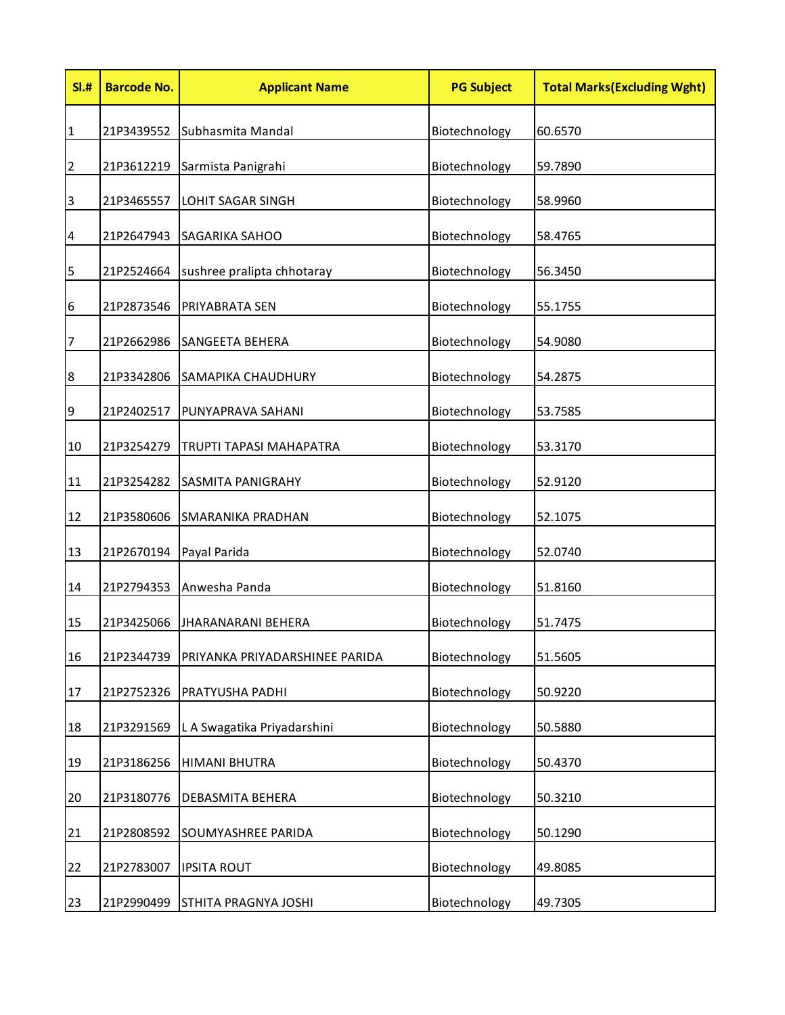| SI.#             | <b>Barcode No.</b> | <b>Applicant Name</b>          | <b>PG Subject</b> | <b>Total Marks (Excluding Wght)</b> |
|------------------|--------------------|--------------------------------|-------------------|-------------------------------------|
| $\vert$ 1        | 21P3439552         | Subhasmita Mandal              | Biotechnology     | 60.6570                             |
| $\overline{2}$   | 21P3612219         | Sarmista Panigrahi             | Biotechnology     | 59.7890                             |
| $\overline{3}$   | 21P3465557         | <b>LOHIT SAGAR SINGH</b>       | Biotechnology     | 58.9960                             |
| $\overline{a}$   | 21P2647943         | <b>SAGARIKA SAHOO</b>          | Biotechnology     | 58.4765                             |
| 5                | 21P2524664         | sushree pralipta chhotaray     | Biotechnology     | 56.3450                             |
| $6\phantom{.}6$  | 21P2873546         | PRIYABRATA SEN                 | Biotechnology     | 55.1755                             |
| $\overline{7}$   | 21P2662986         | <b>SANGEETA BEHERA</b>         | Biotechnology     | 54.9080                             |
| $\boldsymbol{8}$ | 21P3342806         | SAMAPIKA CHAUDHURY             | Biotechnology     | 54.2875                             |
| 9                | 21P2402517         | PUNYAPRAVA SAHANI              | Biotechnology     | 53.7585                             |
| 10               | 21P3254279         | TRUPTI TAPASI MAHAPATRA        | Biotechnology     | 53.3170                             |
| 11               | 21P3254282         | SASMITA PANIGRAHY              | Biotechnology     | 52.9120                             |
| 12               | 21P3580606         | SMARANIKA PRADHAN              | Biotechnology     | 52.1075                             |
| 13               | 21P2670194         | Payal Parida                   | Biotechnology     | 52.0740                             |
| 14               | 21P2794353         | Anwesha Panda                  | Biotechnology     | 51.8160                             |
| 15               | 21P3425066         | <b>JHARANARANI BEHERA</b>      | Biotechnology     | 51.7475                             |
| 16               | 21P2344739         | PRIYANKA PRIYADARSHINEE PARIDA | Biotechnology     | 51.5605                             |
| 17               | 21P2752326         | PRATYUSHA PADHI                | Biotechnology     | 50.9220                             |
| 18               | 21P3291569         | L A Swagatika Priyadarshini    | Biotechnology     | 50.5880                             |
| 19               | 21P3186256         | <b>HIMANI BHUTRA</b>           | Biotechnology     | 50.4370                             |
| 20               | 21P3180776         | DEBASMITA BEHERA               | Biotechnology     | 50.3210                             |
| 21               | 21P2808592         | SOUMYASHREE PARIDA             | Biotechnology     | 50.1290                             |
| 22               | 21P2783007         | <b>IPSITA ROUT</b>             | Biotechnology     | 49.8085                             |
| 23               | 21P2990499         | STHITA PRAGNYA JOSHI           | Biotechnology     | 49.7305                             |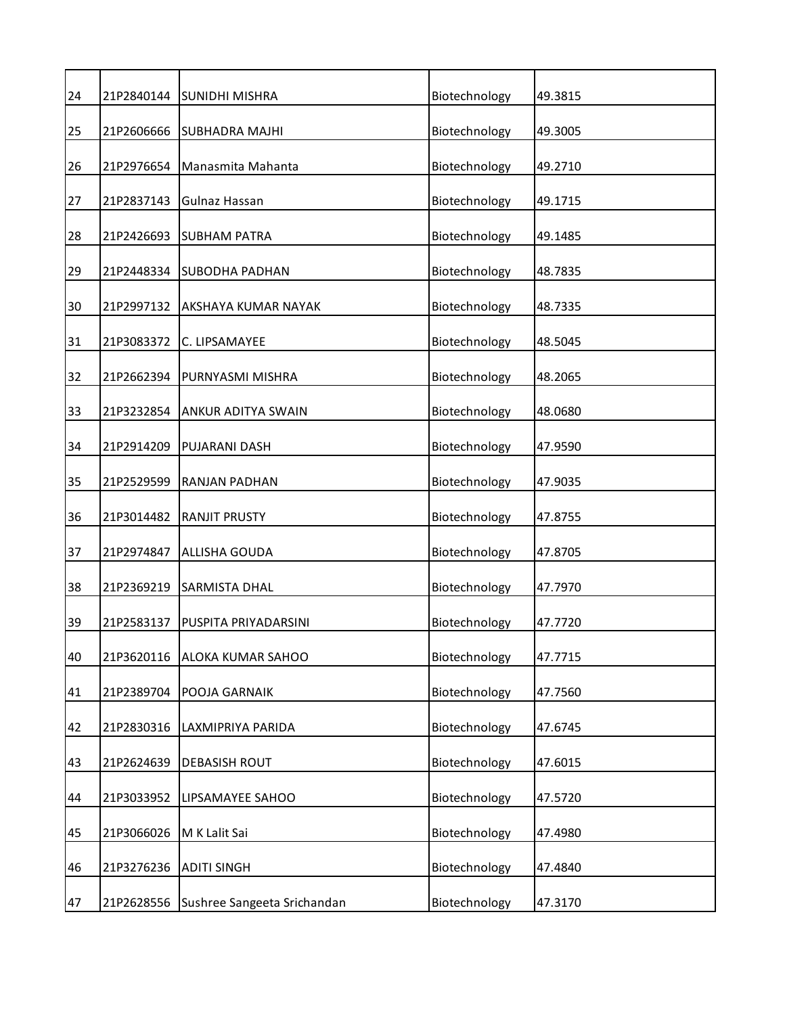| 21P2840144 | <b>SUNIDHI MISHRA</b>       | Biotechnology | 49.3815 |
|------------|-----------------------------|---------------|---------|
| 21P2606666 | <b>SUBHADRA MAJHI</b>       | Biotechnology | 49.3005 |
| 21P2976654 | Manasmita Mahanta           | Biotechnology | 49.2710 |
| 21P2837143 | Gulnaz Hassan               | Biotechnology | 49.1715 |
| 21P2426693 | <b>SUBHAM PATRA</b>         | Biotechnology | 49.1485 |
| 21P2448334 | <b>SUBODHA PADHAN</b>       | Biotechnology | 48.7835 |
| 21P2997132 | AKSHAYA KUMAR NAYAK         | Biotechnology | 48.7335 |
| 21P3083372 | C. LIPSAMAYEE               | Biotechnology | 48.5045 |
| 21P2662394 | PURNYASMI MISHRA            | Biotechnology | 48.2065 |
| 21P3232854 | ANKUR ADITYA SWAIN          | Biotechnology | 48.0680 |
| 21P2914209 | PUJARANI DASH               | Biotechnology | 47.9590 |
| 21P2529599 | RANJAN PADHAN               | Biotechnology | 47.9035 |
| 21P3014482 | <b>RANJIT PRUSTY</b>        | Biotechnology | 47.8755 |
| 21P2974847 | ALLISHA GOUDA               | Biotechnology | 47.8705 |
| 21P2369219 | <b>SARMISTA DHAL</b>        | Biotechnology | 47.7970 |
| 21P2583137 | PUSPITA PRIYADARSINI        | Biotechnology | 47.7720 |
| 21P3620116 | ALOKA KUMAR SAHOO           | Biotechnology | 47.7715 |
| 21P2389704 | POOJA GARNAIK               | Biotechnology | 47.7560 |
| 21P2830316 | LAXMIPRIYA PARIDA           | Biotechnology | 47.6745 |
| 21P2624639 | <b>DEBASISH ROUT</b>        | Biotechnology | 47.6015 |
| 21P3033952 | LIPSAMAYEE SAHOO            | Biotechnology | 47.5720 |
| 21P3066026 | M K Lalit Sai               | Biotechnology | 47.4980 |
| 21P3276236 | <b>ADITI SINGH</b>          | Biotechnology | 47.4840 |
| 21P2628556 | Sushree Sangeeta Srichandan | Biotechnology | 47.3170 |
|            |                             |               |         |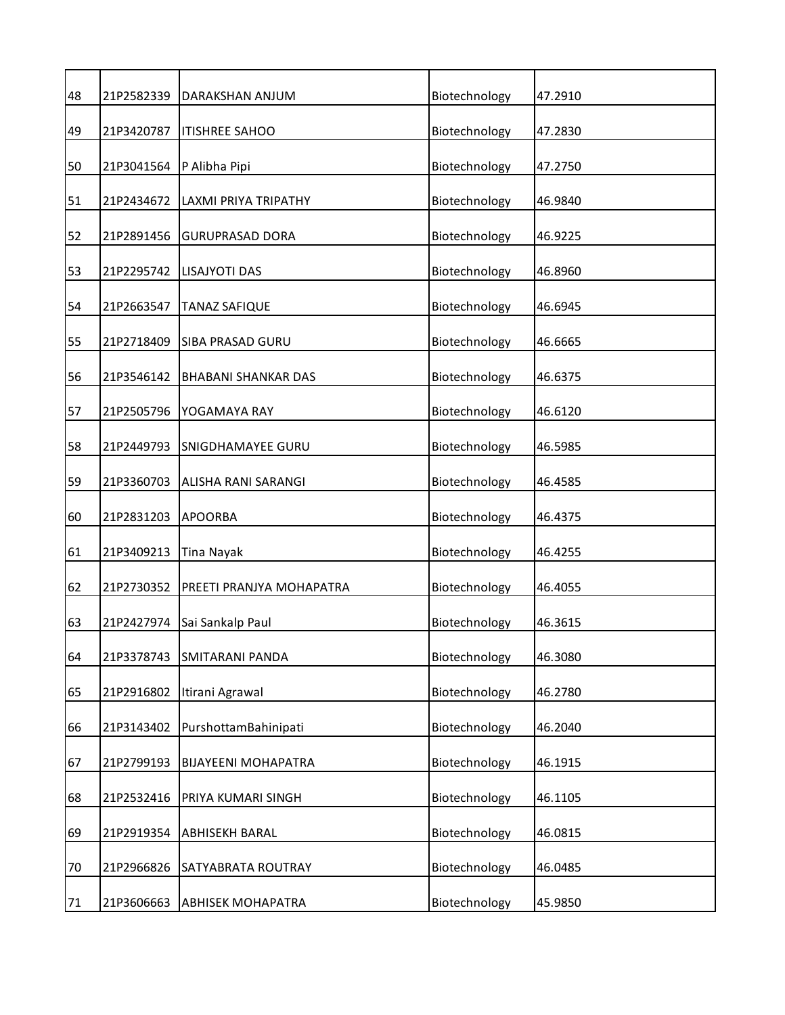| 48 | 21P2582339 | DARAKSHAN ANJUM            | Biotechnology | 47.2910 |
|----|------------|----------------------------|---------------|---------|
| 49 | 21P3420787 | <b>ITISHREE SAHOO</b>      | Biotechnology | 47.2830 |
| 50 | 21P3041564 | P Alibha Pipi              | Biotechnology | 47.2750 |
| 51 | 21P2434672 | LAXMI PRIYA TRIPATHY       | Biotechnology | 46.9840 |
| 52 | 21P2891456 | <b>GURUPRASAD DORA</b>     | Biotechnology | 46.9225 |
| 53 | 21P2295742 | LISAJYOTI DAS              | Biotechnology | 46.8960 |
| 54 | 21P2663547 | <b>TANAZ SAFIQUE</b>       | Biotechnology | 46.6945 |
| 55 | 21P2718409 | <b>SIBA PRASAD GURU</b>    | Biotechnology | 46.6665 |
| 56 | 21P3546142 | <b>BHABANI SHANKAR DAS</b> | Biotechnology | 46.6375 |
| 57 | 21P2505796 | YOGAMAYA RAY               | Biotechnology | 46.6120 |
| 58 | 21P2449793 | <b>SNIGDHAMAYEE GURU</b>   | Biotechnology | 46.5985 |
| 59 | 21P3360703 | ALISHA RANI SARANGI        | Biotechnology | 46.4585 |
| 60 | 21P2831203 | <b>APOORBA</b>             | Biotechnology | 46.4375 |
| 61 | 21P3409213 | Tina Nayak                 | Biotechnology | 46.4255 |
| 62 | 21P2730352 | PREETI PRANJYA MOHAPATRA   | Biotechnology | 46.4055 |
| 63 | 21P2427974 | Sai Sankalp Paul           | Biotechnology | 46.3615 |
| 64 | 21P3378743 | <b>SMITARANI PANDA</b>     | Biotechnology | 46.3080 |
| 65 | 21P2916802 | Itirani Agrawal            | Biotechnology | 46.2780 |
| 66 | 21P3143402 | PurshottamBahinipati       | Biotechnology | 46.2040 |
| 67 | 21P2799193 | <b>BIJAYEENI MOHAPATRA</b> | Biotechnology | 46.1915 |
| 68 | 21P2532416 | PRIYA KUMARI SINGH         | Biotechnology | 46.1105 |
| 69 | 21P2919354 | <b>ABHISEKH BARAL</b>      | Biotechnology | 46.0815 |
| 70 | 21P2966826 | SATYABRATA ROUTRAY         | Biotechnology | 46.0485 |
| 71 | 21P3606663 | <b>ABHISEK MOHAPATRA</b>   | Biotechnology | 45.9850 |
|    |            |                            |               |         |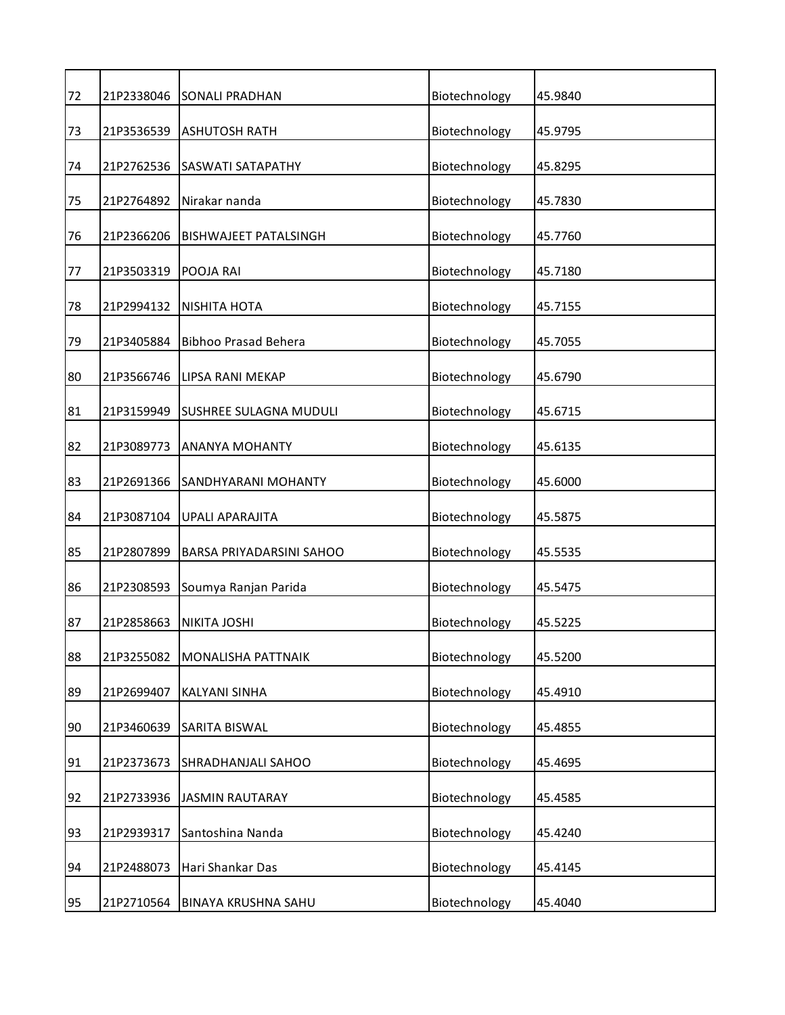| 72 | 21P2338046 | <b>SONALI PRADHAN</b>        | Biotechnology | 45.9840 |
|----|------------|------------------------------|---------------|---------|
| 73 | 21P3536539 | <b>ASHUTOSH RATH</b>         | Biotechnology | 45.9795 |
| 74 | 21P2762536 | <b>SASWATI SATAPATHY</b>     | Biotechnology | 45.8295 |
| 75 | 21P2764892 | Nirakar nanda                | Biotechnology | 45.7830 |
| 76 | 21P2366206 | <b>BISHWAJEET PATALSINGH</b> | Biotechnology | 45.7760 |
| 77 | 21P3503319 | POOJA RAI                    | Biotechnology | 45.7180 |
| 78 | 21P2994132 | <b>NISHITA HOTA</b>          | Biotechnology | 45.7155 |
| 79 | 21P3405884 | <b>Bibhoo Prasad Behera</b>  | Biotechnology | 45.7055 |
| 80 | 21P3566746 | LIPSA RANI MEKAP             | Biotechnology | 45.6790 |
| 81 | 21P3159949 | SUSHREE SULAGNA MUDULI       | Biotechnology | 45.6715 |
| 82 | 21P3089773 | <b>ANANYA MOHANTY</b>        | Biotechnology | 45.6135 |
| 83 | 21P2691366 | SANDHYARANI MOHANTY          | Biotechnology | 45.6000 |
| 84 | 21P3087104 | <b>UPALI APARAJITA</b>       | Biotechnology | 45.5875 |
| 85 | 21P2807899 | BARSA PRIYADARSINI SAHOO     | Biotechnology | 45.5535 |
| 86 | 21P2308593 | Soumya Ranjan Parida         | Biotechnology | 45.5475 |
| 87 | 21P2858663 | <b>NIKITA JOSHI</b>          | Biotechnology | 45.5225 |
| 88 | 21P3255082 | MONALISHA PATTNAIK           | Biotechnology | 45.5200 |
| 89 | 21P2699407 | KALYANI SINHA                | Biotechnology | 45.4910 |
| 90 | 21P3460639 | SARITA BISWAL                | Biotechnology | 45.4855 |
| 91 | 21P2373673 | SHRADHANJALI SAHOO           | Biotechnology | 45.4695 |
| 92 | 21P2733936 | <b>JASMIN RAUTARAY</b>       | Biotechnology | 45.4585 |
| 93 | 21P2939317 | Santoshina Nanda             | Biotechnology | 45.4240 |
| 94 | 21P2488073 | Hari Shankar Das             | Biotechnology | 45.4145 |
| 95 | 21P2710564 | BINAYA KRUSHNA SAHU          | Biotechnology | 45.4040 |
|    |            |                              |               |         |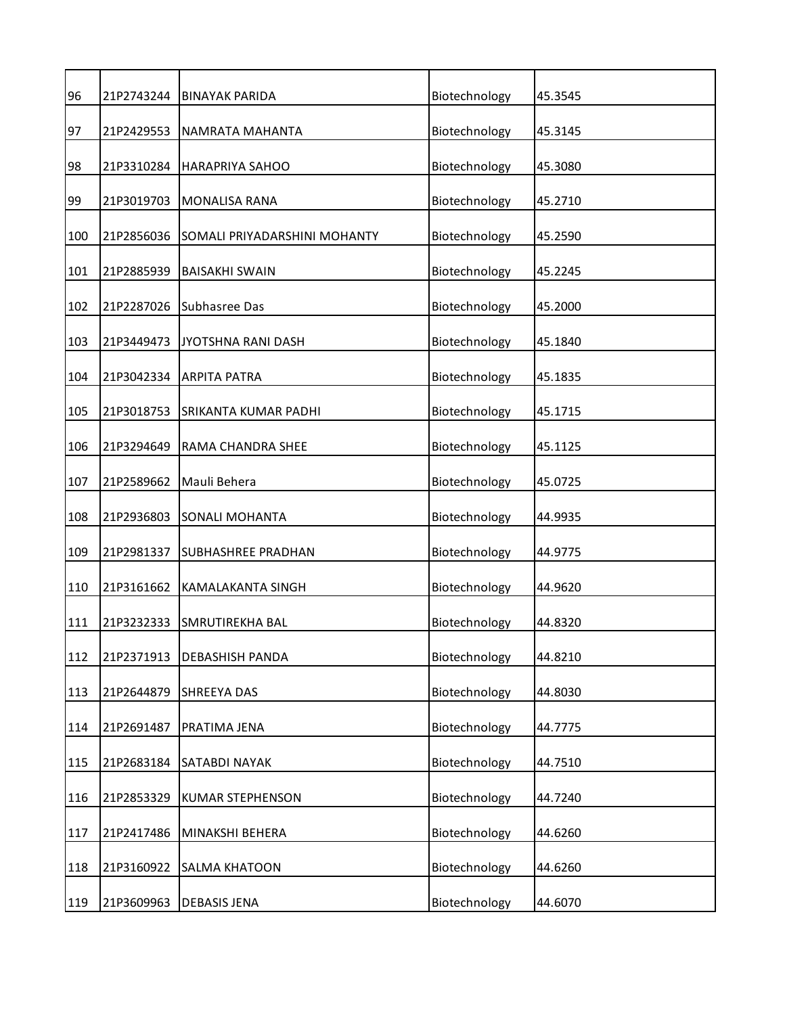| 96  | 21P2743244 | <b>BINAYAK PARIDA</b>        | Biotechnology | 45.3545 |
|-----|------------|------------------------------|---------------|---------|
| 97  | 21P2429553 | NAMRATA MAHANTA              | Biotechnology | 45.3145 |
| 98  | 21P3310284 | <b>HARAPRIYA SAHOO</b>       | Biotechnology | 45.3080 |
| 99  | 21P3019703 | <b>MONALISA RANA</b>         | Biotechnology | 45.2710 |
| 100 | 21P2856036 | SOMALI PRIYADARSHINI MOHANTY | Biotechnology | 45.2590 |
| 101 | 21P2885939 | <b>BAISAKHI SWAIN</b>        | Biotechnology | 45.2245 |
| 102 | 21P2287026 | Subhasree Das                | Biotechnology | 45.2000 |
| 103 | 21P3449473 | JYOTSHNA RANI DASH           | Biotechnology | 45.1840 |
| 104 | 21P3042334 | <b>ARPITA PATRA</b>          | Biotechnology | 45.1835 |
| 105 | 21P3018753 | SRIKANTA KUMAR PADHI         | Biotechnology | 45.1715 |
| 106 | 21P3294649 | RAMA CHANDRA SHEE            | Biotechnology | 45.1125 |
| 107 | 21P2589662 | Mauli Behera                 | Biotechnology | 45.0725 |
| 108 | 21P2936803 | SONALI MOHANTA               | Biotechnology | 44.9935 |
| 109 | 21P2981337 | <b>SUBHASHREE PRADHAN</b>    | Biotechnology | 44.9775 |
| 110 | 21P3161662 | KAMALAKANTA SINGH            | Biotechnology | 44.9620 |
| 111 | 21P3232333 | SMRUTIREKHA BAL              | Biotechnology | 44.8320 |
| 112 | 21P2371913 | <b>DEBASHISH PANDA</b>       | Biotechnology | 44.8210 |
| 113 | 21P2644879 | SHREEYA DAS                  | Biotechnology | 44.8030 |
| 114 | 21P2691487 | PRATIMA JENA                 | Biotechnology | 44.7775 |
| 115 | 21P2683184 | SATABDI NAYAK                | Biotechnology | 44.7510 |
| 116 | 21P2853329 | <b>KUMAR STEPHENSON</b>      | Biotechnology | 44.7240 |
| 117 | 21P2417486 | MINAKSHI BEHERA              | Biotechnology | 44.6260 |
| 118 | 21P3160922 | <b>SALMA KHATOON</b>         | Biotechnology | 44.6260 |
| 119 | 21P3609963 | <b>DEBASIS JENA</b>          | Biotechnology | 44.6070 |
|     |            |                              |               |         |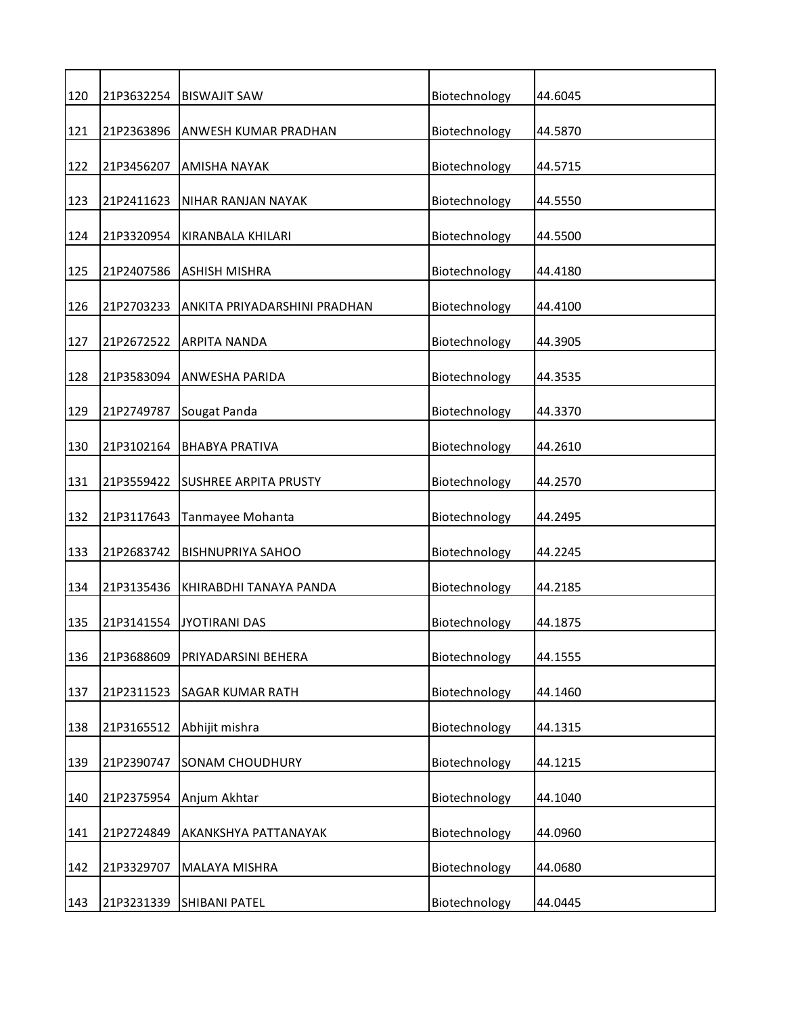| 120 | 21P3632254 | <b>BISWAJIT SAW</b>          | Biotechnology | 44.6045 |
|-----|------------|------------------------------|---------------|---------|
| 121 | 21P2363896 | ANWESH KUMAR PRADHAN         | Biotechnology | 44.5870 |
| 122 | 21P3456207 | AMISHA NAYAK                 | Biotechnology | 44.5715 |
| 123 | 21P2411623 | NIHAR RANJAN NAYAK           | Biotechnology | 44.5550 |
| 124 | 21P3320954 | KIRANBALA KHILARI            | Biotechnology | 44.5500 |
| 125 | 21P2407586 | <b>ASHISH MISHRA</b>         | Biotechnology | 44.4180 |
| 126 | 21P2703233 | ANKITA PRIYADARSHINI PRADHAN | Biotechnology | 44.4100 |
| 127 | 21P2672522 | <b>ARPITA NANDA</b>          | Biotechnology | 44.3905 |
| 128 | 21P3583094 | ANWESHA PARIDA               | Biotechnology | 44.3535 |
| 129 | 21P2749787 | Sougat Panda                 | Biotechnology | 44.3370 |
| 130 | 21P3102164 | <b>BHABYA PRATIVA</b>        | Biotechnology | 44.2610 |
| 131 | 21P3559422 | <b>SUSHREE ARPITA PRUSTY</b> | Biotechnology | 44.2570 |
| 132 | 21P3117643 | Tanmayee Mohanta             | Biotechnology | 44.2495 |
| 133 | 21P2683742 | <b>BISHNUPRIYA SAHOO</b>     | Biotechnology | 44.2245 |
| 134 | 21P3135436 | KHIRABDHI TANAYA PANDA       | Biotechnology | 44.2185 |
| 135 | 21P3141554 | <b>JYOTIRANI DAS</b>         | Biotechnology | 44.1875 |
| 136 | 21P3688609 | PRIYADARSINI BEHERA          | Biotechnology | 44.1555 |
| 137 | 21P2311523 | <b>SAGAR KUMAR RATH</b>      | Biotechnology | 44.1460 |
| 138 | 21P3165512 | Abhijit mishra               | Biotechnology | 44.1315 |
| 139 | 21P2390747 | SONAM CHOUDHURY              | Biotechnology | 44.1215 |
| 140 | 21P2375954 | Anjum Akhtar                 | Biotechnology | 44.1040 |
| 141 | 21P2724849 | AKANKSHYA PATTANAYAK         | Biotechnology | 44.0960 |
| 142 | 21P3329707 | MALAYA MISHRA                | Biotechnology | 44.0680 |
| 143 | 21P3231339 | SHIBANI PATEL                | Biotechnology | 44.0445 |
|     |            |                              |               |         |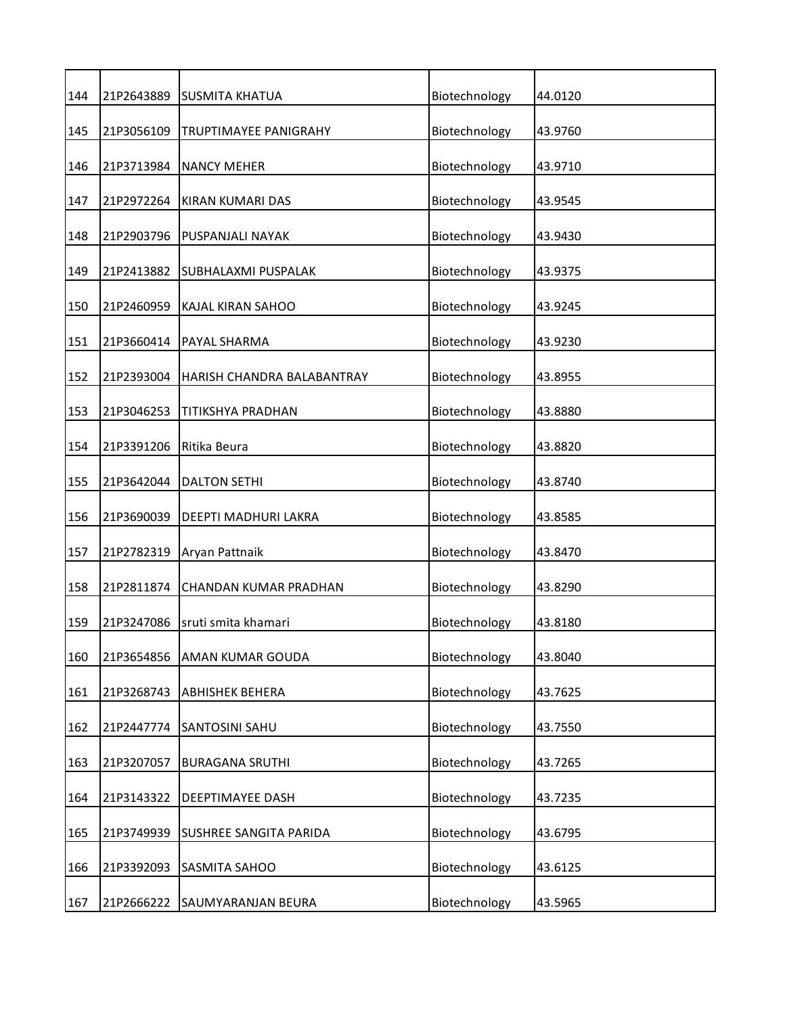| 144 | 21P2643889 | <b>SUSMITA KHATUA</b>      | Biotechnology | 44.0120 |
|-----|------------|----------------------------|---------------|---------|
| 145 | 21P3056109 | TRUPTIMAYEE PANIGRAHY      | Biotechnology | 43.9760 |
| 146 | 21P3713984 | <b>NANCY MEHER</b>         | Biotechnology | 43.9710 |
| 147 | 21P2972264 | KIRAN KUMARI DAS           | Biotechnology | 43.9545 |
| 148 | 21P2903796 | PUSPANJALI NAYAK           | Biotechnology | 43.9430 |
| 149 | 21P2413882 | SUBHALAXMI PUSPALAK        | Biotechnology | 43.9375 |
| 150 | 21P2460959 | KAJAL KIRAN SAHOO          | Biotechnology | 43.9245 |
| 151 | 21P3660414 | PAYAL SHARMA               | Biotechnology | 43.9230 |
| 152 | 21P2393004 | HARISH CHANDRA BALABANTRAY | Biotechnology | 43.8955 |
| 153 | 21P3046253 | TITIKSHYA PRADHAN          | Biotechnology | 43.8880 |
| 154 | 21P3391206 | Ritika Beura               | Biotechnology | 43.8820 |
| 155 | 21P3642044 | <b>DALTON SETHI</b>        | Biotechnology | 43.8740 |
| 156 | 21P3690039 | DEEPTI MADHURI LAKRA       | Biotechnology | 43.8585 |
| 157 | 21P2782319 | Aryan Pattnaik             | Biotechnology | 43.8470 |
| 158 | 21P2811874 | CHANDAN KUMAR PRADHAN      | Biotechnology | 43.8290 |
| 159 | 21P3247086 | sruti smita khamari        | Biotechnology | 43.8180 |
| 160 | 21P3654856 | AMAN KUMAR GOUDA           | Biotechnology | 43.8040 |
| 161 | 21P3268743 | <b>ABHISHEK BEHERA</b>     | Biotechnology | 43.7625 |
| 162 | 21P2447774 | SANTOSINI SAHU             | Biotechnology | 43.7550 |
| 163 | 21P3207057 | <b>BURAGANA SRUTHI</b>     | Biotechnology | 43.7265 |
| 164 | 21P3143322 | DEEPTIMAYEE DASH           | Biotechnology | 43.7235 |
| 165 | 21P3749939 | SUSHREE SANGITA PARIDA     | Biotechnology | 43.6795 |
| 166 | 21P3392093 | SASMITA SAHOO              | Biotechnology | 43.6125 |
| 167 | 21P2666222 | SAUMYARANJAN BEURA         | Biotechnology | 43.5965 |
|     |            |                            |               |         |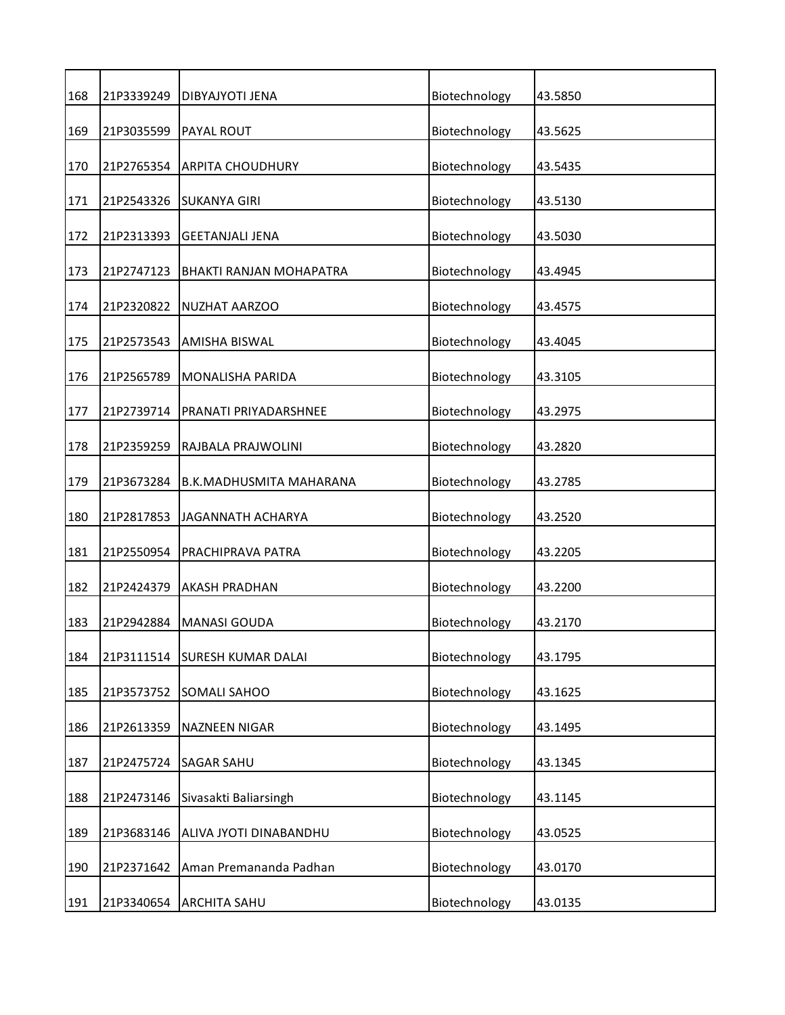| 168 | 21P3339249 | DIBYAJYOTI JENA           | Biotechnology | 43.5850 |
|-----|------------|---------------------------|---------------|---------|
| 169 | 21P3035599 | PAYAL ROUT                | Biotechnology | 43.5625 |
| 170 | 21P2765354 | <b>ARPITA CHOUDHURY</b>   | Biotechnology | 43.5435 |
| 171 | 21P2543326 | <b>SUKANYA GIRI</b>       | Biotechnology | 43.5130 |
| 172 | 21P2313393 | <b>GEETANJALI JENA</b>    | Biotechnology | 43.5030 |
| 173 | 21P2747123 | BHAKTI RANJAN MOHAPATRA   | Biotechnology | 43.4945 |
| 174 | 21P2320822 | NUZHAT AARZOO             | Biotechnology | 43.4575 |
| 175 | 21P2573543 | AMISHA BISWAL             | Biotechnology | 43.4045 |
| 176 | 21P2565789 | MONALISHA PARIDA          | Biotechnology | 43.3105 |
| 177 | 21P2739714 | PRANATI PRIYADARSHNEE     | Biotechnology | 43.2975 |
| 178 | 21P2359259 | RAJBALA PRAJWOLINI        | Biotechnology | 43.2820 |
| 179 | 21P3673284 | B.K.MADHUSMITA MAHARANA   | Biotechnology | 43.2785 |
| 180 | 21P2817853 | JAGANNATH ACHARYA         | Biotechnology | 43.2520 |
| 181 | 21P2550954 | PRACHIPRAVA PATRA         | Biotechnology | 43.2205 |
| 182 | 21P2424379 | <b>AKASH PRADHAN</b>      | Biotechnology | 43.2200 |
| 183 | 21P2942884 | <b>MANASI GOUDA</b>       | Biotechnology | 43.2170 |
| 184 | 21P3111514 | <b>SURESH KUMAR DALAI</b> | Biotechnology | 43.1795 |
| 185 | 21P3573752 | SOMALI SAHOO              | Biotechnology | 43.1625 |
| 186 | 21P2613359 | NAZNEEN NIGAR             | Biotechnology | 43.1495 |
| 187 | 21P2475724 | SAGAR SAHU                | Biotechnology | 43.1345 |
| 188 | 21P2473146 | Sivasakti Baliarsingh     | Biotechnology | 43.1145 |
| 189 | 21P3683146 | ALIVA JYOTI DINABANDHU    | Biotechnology | 43.0525 |
| 190 | 21P2371642 | Aman Premananda Padhan    | Biotechnology | 43.0170 |
| 191 | 21P3340654 | ARCHITA SAHU              | Biotechnology | 43.0135 |
|     |            |                           |               |         |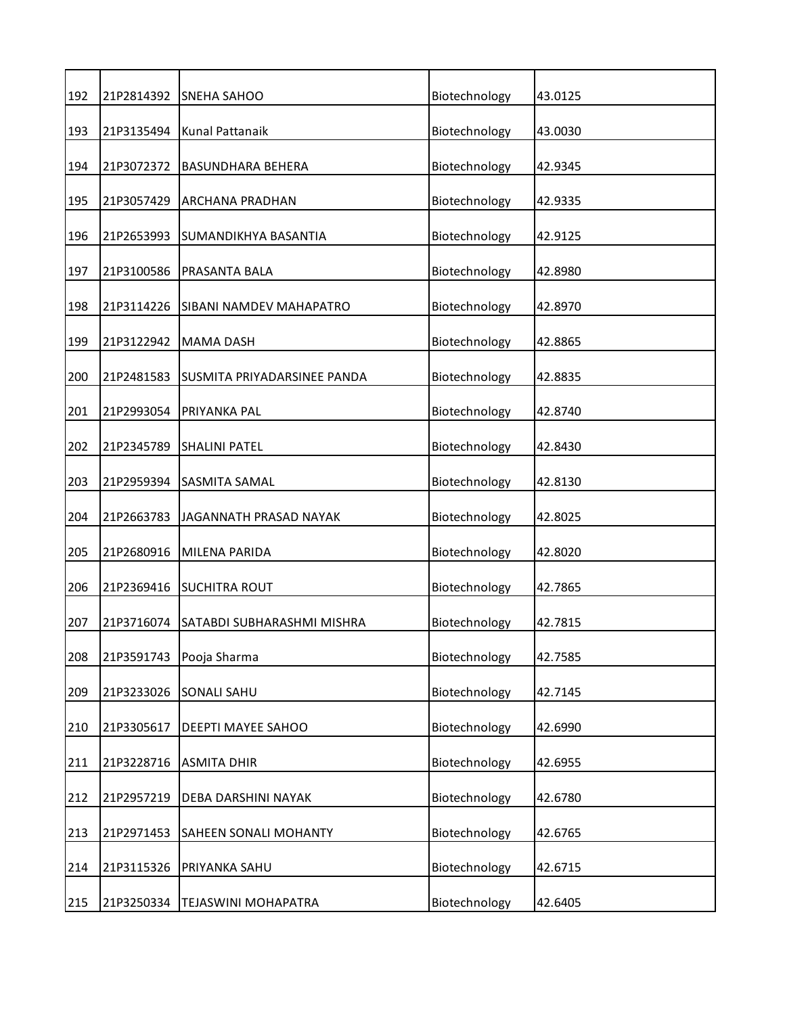| 192 | 21P2814392 | <b>SNEHA SAHOO</b>          | Biotechnology | 43.0125 |
|-----|------------|-----------------------------|---------------|---------|
| 193 | 21P3135494 | Kunal Pattanaik             | Biotechnology | 43.0030 |
| 194 | 21P3072372 | <b>BASUNDHARA BEHERA</b>    | Biotechnology | 42.9345 |
| 195 | 21P3057429 | ARCHANA PRADHAN             | Biotechnology | 42.9335 |
| 196 | 21P2653993 | SUMANDIKHYA BASANTIA        | Biotechnology | 42.9125 |
| 197 | 21P3100586 | PRASANTA BALA               | Biotechnology | 42.8980 |
| 198 | 21P3114226 | SIBANI NAMDEV MAHAPATRO     | Biotechnology | 42.8970 |
| 199 | 21P3122942 | <b>MAMA DASH</b>            | Biotechnology | 42.8865 |
| 200 | 21P2481583 | SUSMITA PRIYADARSINEE PANDA | Biotechnology | 42.8835 |
| 201 | 21P2993054 | PRIYANKA PAL                | Biotechnology | 42.8740 |
| 202 | 21P2345789 | <b>SHALINI PATEL</b>        | Biotechnology | 42.8430 |
| 203 | 21P2959394 | SASMITA SAMAL               | Biotechnology | 42.8130 |
| 204 | 21P2663783 | JAGANNATH PRASAD NAYAK      | Biotechnology | 42.8025 |
| 205 | 21P2680916 | <b>MILENA PARIDA</b>        | Biotechnology | 42.8020 |
| 206 | 21P2369416 | <b>SUCHITRA ROUT</b>        | Biotechnology | 42.7865 |
| 207 | 21P3716074 | SATABDI SUBHARASHMI MISHRA  | Biotechnology | 42.7815 |
| 208 | 21P3591743 | Pooja Sharma                | Biotechnology | 42.7585 |
| 209 | 21P3233026 | <b>SONALI SAHU</b>          | Biotechnology | 42.7145 |
| 210 | 21P3305617 | DEEPTI MAYEE SAHOO          | Biotechnology | 42.6990 |
| 211 | 21P3228716 | <b>ASMITA DHIR</b>          | Biotechnology | 42.6955 |
| 212 | 21P2957219 | DEBA DARSHINI NAYAK         | Biotechnology | 42.6780 |
| 213 | 21P2971453 | SAHEEN SONALI MOHANTY       | Biotechnology | 42.6765 |
| 214 | 21P3115326 | PRIYANKA SAHU               | Biotechnology | 42.6715 |
| 215 | 21P3250334 | TEJASWINI MOHAPATRA         | Biotechnology | 42.6405 |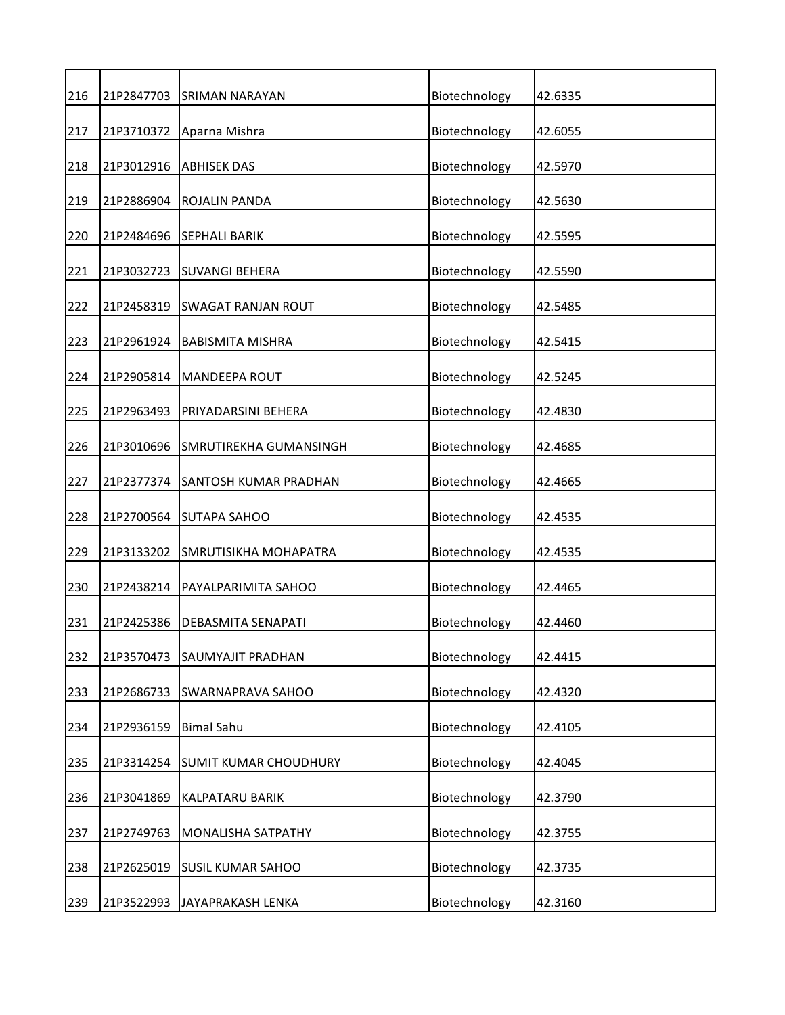| 216 | 21P2847703 | <b>SRIMAN NARAYAN</b>     | Biotechnology | 42.6335 |
|-----|------------|---------------------------|---------------|---------|
| 217 | 21P3710372 | Aparna Mishra             | Biotechnology | 42.6055 |
| 218 | 21P3012916 | <b>ABHISEK DAS</b>        | Biotechnology | 42.5970 |
| 219 | 21P2886904 | ROJALIN PANDA             | Biotechnology | 42.5630 |
| 220 | 21P2484696 | <b>SEPHALI BARIK</b>      | Biotechnology | 42.5595 |
| 221 | 21P3032723 | <b>SUVANGI BEHERA</b>     | Biotechnology | 42.5590 |
| 222 | 21P2458319 | <b>SWAGAT RANJAN ROUT</b> | Biotechnology | 42.5485 |
| 223 | 21P2961924 | <b>BABISMITA MISHRA</b>   | Biotechnology | 42.5415 |
| 224 | 21P2905814 | <b>MANDEEPA ROUT</b>      | Biotechnology | 42.5245 |
| 225 | 21P2963493 | PRIYADARSINI BEHERA       | Biotechnology | 42.4830 |
| 226 | 21P3010696 | SMRUTIREKHA GUMANSINGH    | Biotechnology | 42.4685 |
| 227 | 21P2377374 | SANTOSH KUMAR PRADHAN     | Biotechnology | 42.4665 |
| 228 | 21P2700564 | <b>SUTAPA SAHOO</b>       | Biotechnology | 42.4535 |
| 229 | 21P3133202 | SMRUTISIKHA MOHAPATRA     | Biotechnology | 42.4535 |
| 230 | 21P2438214 | PAYALPARIMITA SAHOO       | Biotechnology | 42.4465 |
| 231 | 21P2425386 | DEBASMITA SENAPATI        | Biotechnology | 42.4460 |
| 232 | 21P3570473 | SAUMYAJIT PRADHAN         | Biotechnology | 42.4415 |
| 233 | 21P2686733 | SWARNAPRAVA SAHOO         | Biotechnology | 42.4320 |
| 234 | 21P2936159 | <b>Bimal Sahu</b>         | Biotechnology | 42.4105 |
| 235 | 21P3314254 | SUMIT KUMAR CHOUDHURY     | Biotechnology | 42.4045 |
| 236 | 21P3041869 | KALPATARU BARIK           | Biotechnology | 42.3790 |
| 237 | 21P2749763 | MONALISHA SATPATHY        | Biotechnology | 42.3755 |
| 238 | 21P2625019 | <b>SUSIL KUMAR SAHOO</b>  | Biotechnology | 42.3735 |
| 239 | 21P3522993 | JAYAPRAKASH LENKA         | Biotechnology | 42.3160 |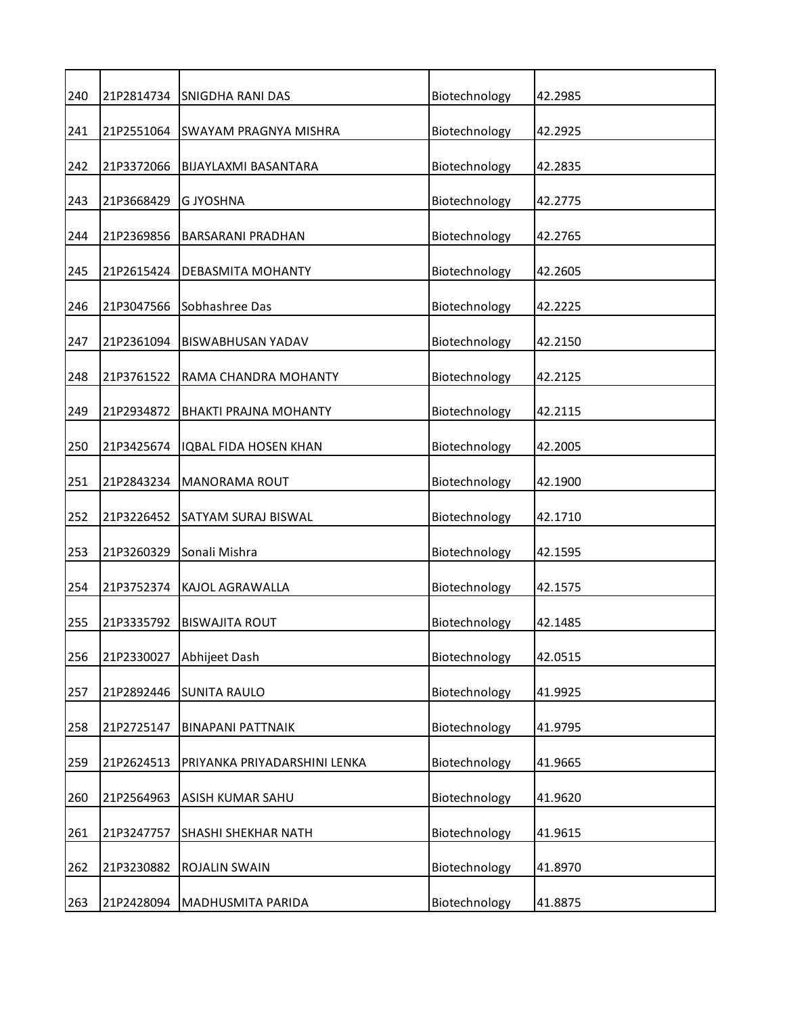| 240 | 21P2814734 | <b>SNIGDHA RANI DAS</b>      | Biotechnology | 42.2985 |
|-----|------------|------------------------------|---------------|---------|
| 241 | 21P2551064 | SWAYAM PRAGNYA MISHRA        | Biotechnology | 42.2925 |
| 242 | 21P3372066 | BIJAYLAXMI BASANTARA         | Biotechnology | 42.2835 |
| 243 | 21P3668429 | <b>G JYOSHNA</b>             | Biotechnology | 42.2775 |
| 244 | 21P2369856 | <b>BARSARANI PRADHAN</b>     | Biotechnology | 42.2765 |
| 245 | 21P2615424 | DEBASMITA MOHANTY            | Biotechnology | 42.2605 |
| 246 | 21P3047566 | Sobhashree Das               | Biotechnology | 42.2225 |
| 247 | 21P2361094 | BISWABHUSAN YADAV            | Biotechnology | 42.2150 |
| 248 | 21P3761522 | RAMA CHANDRA MOHANTY         | Biotechnology | 42.2125 |
| 249 | 21P2934872 | <b>BHAKTI PRAJNA MOHANTY</b> | Biotechnology | 42.2115 |
| 250 | 21P3425674 | IQBAL FIDA HOSEN KHAN        | Biotechnology | 42.2005 |
| 251 | 21P2843234 | <b>MANORAMA ROUT</b>         | Biotechnology | 42.1900 |
| 252 | 21P3226452 | <b>SATYAM SURAJ BISWAL</b>   | Biotechnology | 42.1710 |
| 253 | 21P3260329 | Sonali Mishra                | Biotechnology | 42.1595 |
| 254 | 21P3752374 | KAJOL AGRAWALLA              | Biotechnology | 42.1575 |
| 255 | 21P3335792 | <b>BISWAJITA ROUT</b>        | Biotechnology | 42.1485 |
| 256 | 21P2330027 | Abhijeet Dash                | Biotechnology | 42.0515 |
| 257 | 21P2892446 | <b>SUNITA RAULO</b>          | Biotechnology | 41.9925 |
| 258 | 21P2725147 | <b>BINAPANI PATTNAIK</b>     | Biotechnology | 41.9795 |
| 259 | 21P2624513 | PRIYANKA PRIYADARSHINI LENKA | Biotechnology | 41.9665 |
| 260 | 21P2564963 | ASISH KUMAR SAHU             | Biotechnology | 41.9620 |
| 261 | 21P3247757 | SHASHI SHEKHAR NATH          | Biotechnology | 41.9615 |
| 262 | 21P3230882 | ROJALIN SWAIN                | Biotechnology | 41.8970 |
| 263 | 21P2428094 | MADHUSMITA PARIDA            | Biotechnology | 41.8875 |
|     |            |                              |               |         |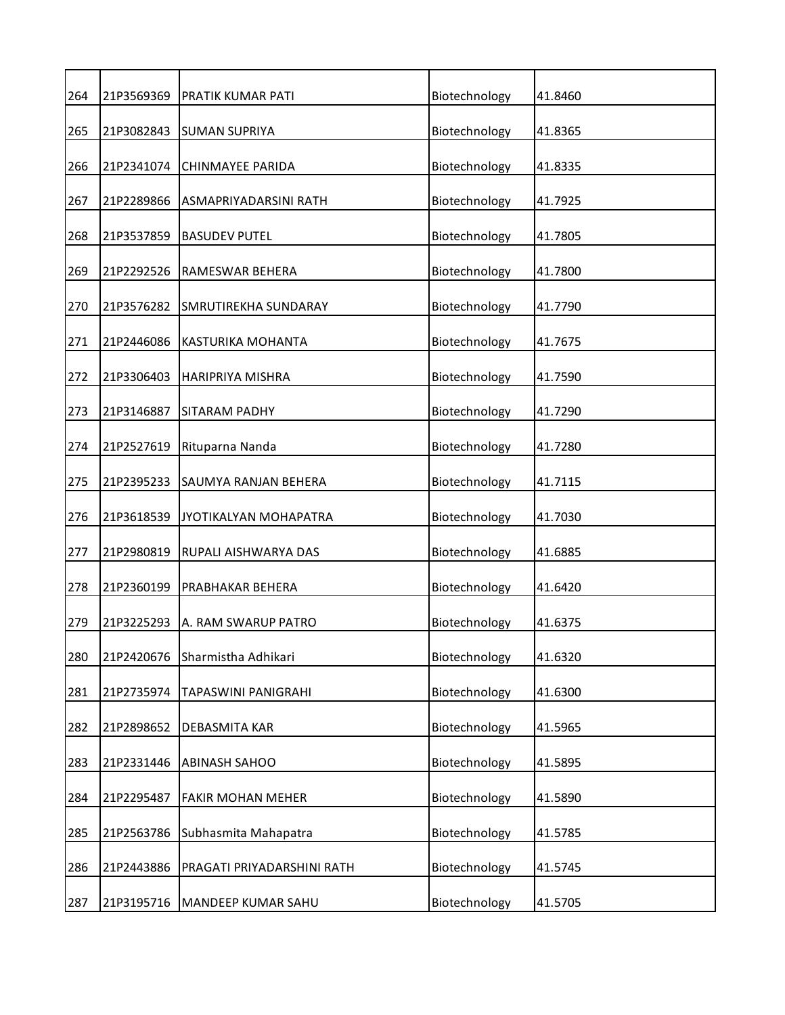| 264 | 21P3569369 | PRATIK KUMAR PATI          | Biotechnology | 41.8460 |
|-----|------------|----------------------------|---------------|---------|
| 265 | 21P3082843 | <b>SUMAN SUPRIYA</b>       | Biotechnology | 41.8365 |
| 266 | 21P2341074 | CHINMAYEE PARIDA           | Biotechnology | 41.8335 |
| 267 | 21P2289866 | ASMAPRIYADARSINI RATH      | Biotechnology | 41.7925 |
| 268 | 21P3537859 | <b>BASUDEV PUTEL</b>       | Biotechnology | 41.7805 |
| 269 | 21P2292526 | RAMESWAR BEHERA            | Biotechnology | 41.7800 |
| 270 | 21P3576282 | SMRUTIREKHA SUNDARAY       | Biotechnology | 41.7790 |
| 271 | 21P2446086 | KASTURIKA MOHANTA          | Biotechnology | 41.7675 |
| 272 | 21P3306403 | HARIPRIYA MISHRA           | Biotechnology | 41.7590 |
| 273 | 21P3146887 | SITARAM PADHY              | Biotechnology | 41.7290 |
| 274 | 21P2527619 | Rituparna Nanda            | Biotechnology | 41.7280 |
| 275 | 21P2395233 | SAUMYA RANJAN BEHERA       | Biotechnology | 41.7115 |
| 276 | 21P3618539 | JYOTIKALYAN MOHAPATRA      | Biotechnology | 41.7030 |
| 277 | 21P2980819 | RUPALI AISHWARYA DAS       | Biotechnology | 41.6885 |
| 278 | 21P2360199 | PRABHAKAR BEHERA           | Biotechnology | 41.6420 |
| 279 | 21P3225293 | A. RAM SWARUP PATRO        | Biotechnology | 41.6375 |
| 280 | 21P2420676 | Sharmistha Adhikari        | Biotechnology | 41.6320 |
| 281 | 21P2735974 | TAPASWINI PANIGRAHI        | Biotechnology | 41.6300 |
| 282 | 21P2898652 | DEBASMITA KAR              | Biotechnology | 41.5965 |
| 283 | 21P2331446 | <b>ABINASH SAHOO</b>       | Biotechnology | 41.5895 |
| 284 | 21P2295487 | <b>FAKIR MOHAN MEHER</b>   | Biotechnology | 41.5890 |
| 285 | 21P2563786 | Subhasmita Mahapatra       | Biotechnology | 41.5785 |
| 286 | 21P2443886 | PRAGATI PRIYADARSHINI RATH | Biotechnology | 41.5745 |
| 287 | 21P3195716 | MANDEEP KUMAR SAHU         | Biotechnology | 41.5705 |
|     |            |                            |               |         |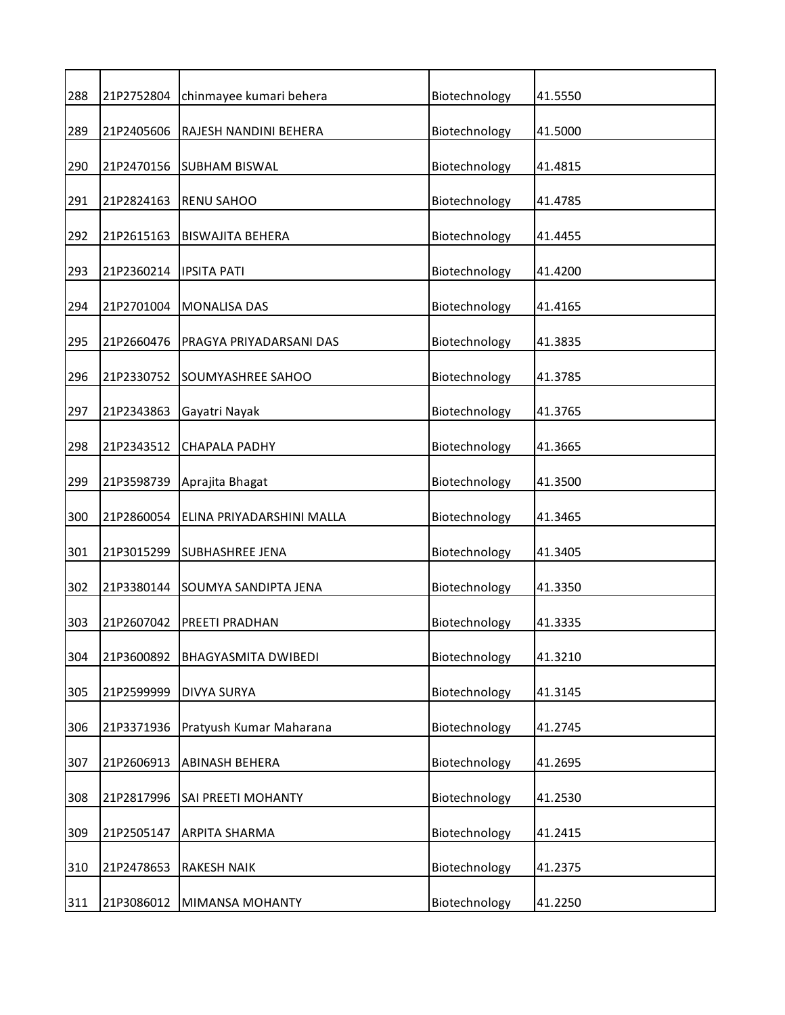| 288 | 21P2752804 | chinmayee kumari behera    | Biotechnology | 41.5550 |
|-----|------------|----------------------------|---------------|---------|
| 289 | 21P2405606 | RAJESH NANDINI BEHERA      | Biotechnology | 41.5000 |
| 290 | 21P2470156 | <b>SUBHAM BISWAL</b>       | Biotechnology | 41.4815 |
| 291 | 21P2824163 | <b>RENU SAHOO</b>          | Biotechnology | 41.4785 |
| 292 | 21P2615163 | <b>BISWAJITA BEHERA</b>    | Biotechnology | 41.4455 |
| 293 | 21P2360214 | <b>IPSITA PATI</b>         | Biotechnology | 41.4200 |
| 294 | 21P2701004 | <b>MONALISA DAS</b>        | Biotechnology | 41.4165 |
| 295 | 21P2660476 | PRAGYA PRIYADARSANI DAS    | Biotechnology | 41.3835 |
| 296 | 21P2330752 | SOUMYASHREE SAHOO          | Biotechnology | 41.3785 |
| 297 | 21P2343863 | Gayatri Nayak              | Biotechnology | 41.3765 |
| 298 | 21P2343512 | <b>CHAPALA PADHY</b>       | Biotechnology | 41.3665 |
| 299 | 21P3598739 | Aprajita Bhagat            | Biotechnology | 41.3500 |
| 300 | 21P2860054 | ELINA PRIYADARSHINI MALLA  | Biotechnology | 41.3465 |
| 301 | 21P3015299 | <b>SUBHASHREE JENA</b>     | Biotechnology | 41.3405 |
| 302 | 21P3380144 | SOUMYA SANDIPTA JENA       | Biotechnology | 41.3350 |
| 303 | 21P2607042 | PREETI PRADHAN             | Biotechnology | 41.3335 |
| 304 | 21P3600892 | <b>BHAGYASMITA DWIBEDI</b> | Biotechnology | 41.3210 |
| 305 | 21P2599999 | <b>DIVYA SURYA</b>         | Biotechnology | 41.3145 |
| 306 | 21P3371936 | Pratyush Kumar Maharana    | Biotechnology | 41.2745 |
| 307 | 21P2606913 | ABINASH BEHERA             | Biotechnology | 41.2695 |
| 308 | 21P2817996 | SAI PREETI MOHANTY         | Biotechnology | 41.2530 |
| 309 | 21P2505147 | ARPITA SHARMA              | Biotechnology | 41.2415 |
| 310 | 21P2478653 | <b>RAKESH NAIK</b>         | Biotechnology | 41.2375 |
| 311 | 21P3086012 | MIMANSA MOHANTY            | Biotechnology | 41.2250 |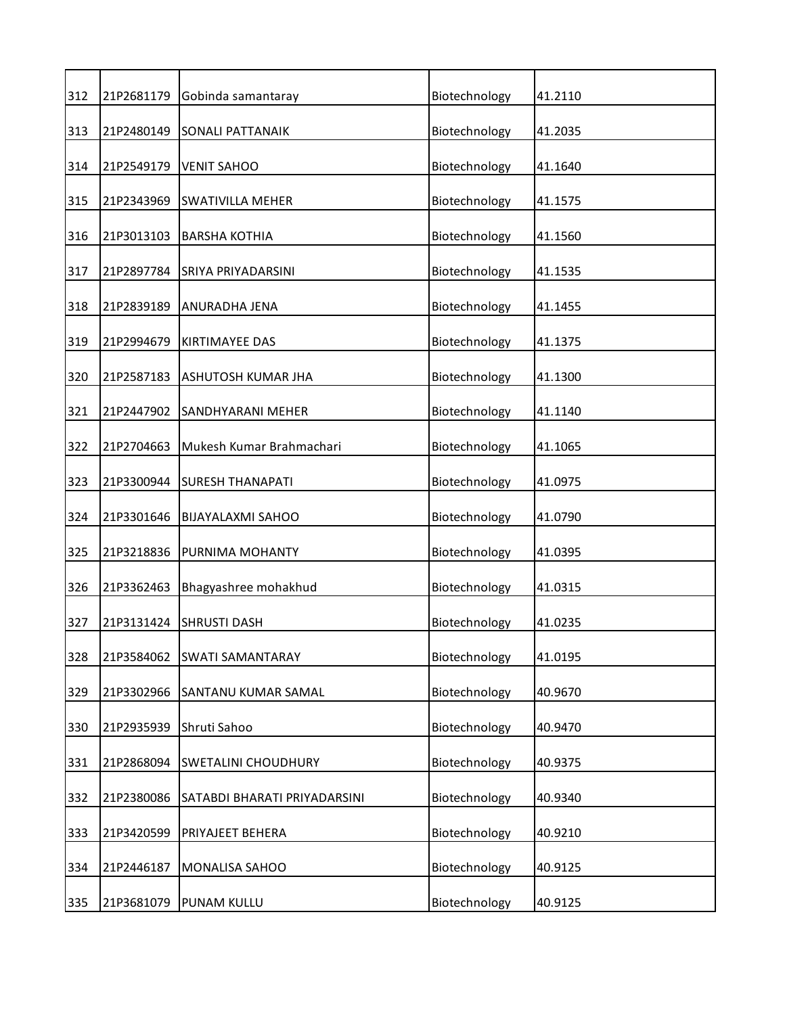| 312 | 21P2681179 | Gobinda samantaray           | Biotechnology | 41.2110 |
|-----|------------|------------------------------|---------------|---------|
| 313 | 21P2480149 | <b>SONALI PATTANAIK</b>      | Biotechnology | 41.2035 |
| 314 | 21P2549179 | <b>VENIT SAHOO</b>           | Biotechnology | 41.1640 |
| 315 | 21P2343969 | <b>SWATIVILLA MEHER</b>      | Biotechnology | 41.1575 |
| 316 | 21P3013103 | <b>BARSHA KOTHIA</b>         | Biotechnology | 41.1560 |
| 317 | 21P2897784 | SRIYA PRIYADARSINI           | Biotechnology | 41.1535 |
| 318 | 21P2839189 | ANURADHA JENA                | Biotechnology | 41.1455 |
| 319 | 21P2994679 | <b>KIRTIMAYEE DAS</b>        | Biotechnology | 41.1375 |
| 320 | 21P2587183 | ASHUTOSH KUMAR JHA           | Biotechnology | 41.1300 |
| 321 | 21P2447902 | SANDHYARANI MEHER            | Biotechnology | 41.1140 |
| 322 | 21P2704663 | Mukesh Kumar Brahmachari     | Biotechnology | 41.1065 |
| 323 | 21P3300944 | <b>SURESH THANAPATI</b>      | Biotechnology | 41.0975 |
| 324 | 21P3301646 | <b>BIJAYALAXMI SAHOO</b>     | Biotechnology | 41.0790 |
| 325 | 21P3218836 | PURNIMA MOHANTY              | Biotechnology | 41.0395 |
| 326 | 21P3362463 | Bhagyashree mohakhud         | Biotechnology | 41.0315 |
| 327 | 21P3131424 | <b>SHRUSTI DASH</b>          | Biotechnology | 41.0235 |
| 328 | 21P3584062 | <b>SWATI SAMANTARAY</b>      | Biotechnology | 41.0195 |
| 329 | 21P3302966 | SANTANU KUMAR SAMAL          | Biotechnology | 40.9670 |
| 330 | 21P2935939 | Shruti Sahoo                 | Biotechnology | 40.9470 |
| 331 | 21P2868094 | <b>SWETALINI CHOUDHURY</b>   | Biotechnology | 40.9375 |
| 332 | 21P2380086 | SATABDI BHARATI PRIYADARSINI | Biotechnology | 40.9340 |
| 333 | 21P3420599 | PRIYAJEET BEHERA             | Biotechnology | 40.9210 |
| 334 | 21P2446187 | MONALISA SAHOO               | Biotechnology | 40.9125 |
| 335 | 21P3681079 | PUNAM KULLU                  | Biotechnology | 40.9125 |
|     |            |                              |               |         |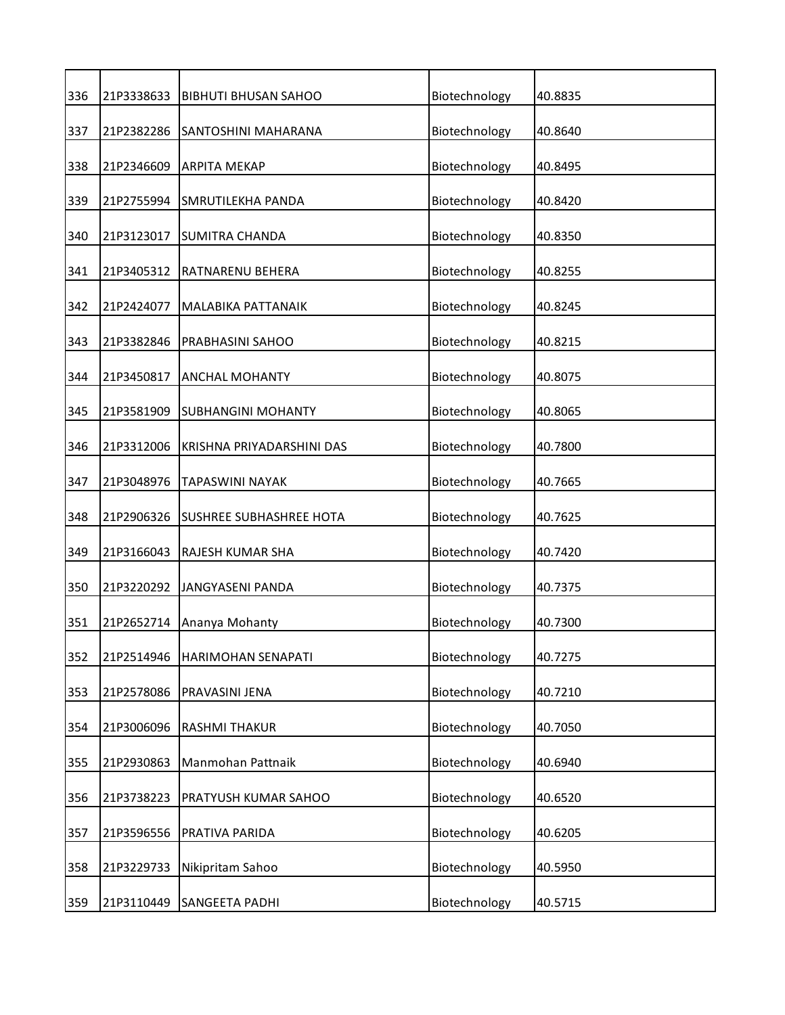| 336 | 21P3338633 | <b>BIBHUTI BHUSAN SAHOO</b>    | Biotechnology | 40.8835 |
|-----|------------|--------------------------------|---------------|---------|
| 337 | 21P2382286 | SANTOSHINI MAHARANA            | Biotechnology | 40.8640 |
| 338 | 21P2346609 | <b>ARPITA MEKAP</b>            | Biotechnology | 40.8495 |
| 339 | 21P2755994 | SMRUTILEKHA PANDA              | Biotechnology | 40.8420 |
| 340 | 21P3123017 | <b>SUMITRA CHANDA</b>          | Biotechnology | 40.8350 |
| 341 | 21P3405312 | RATNARENU BEHERA               | Biotechnology | 40.8255 |
| 342 | 21P2424077 | MALABIKA PATTANAIK             | Biotechnology | 40.8245 |
| 343 | 21P3382846 | PRABHASINI SAHOO               | Biotechnology | 40.8215 |
| 344 | 21P3450817 | <b>ANCHAL MOHANTY</b>          | Biotechnology | 40.8075 |
| 345 | 21P3581909 | <b>SUBHANGINI MOHANTY</b>      | Biotechnology | 40.8065 |
| 346 | 21P3312006 | KRISHNA PRIYADARSHINI DAS      | Biotechnology | 40.7800 |
| 347 | 21P3048976 | TAPASWINI NAYAK                | Biotechnology | 40.7665 |
| 348 | 21P2906326 | <b>SUSHREE SUBHASHREE HOTA</b> | Biotechnology | 40.7625 |
| 349 | 21P3166043 | RAJESH KUMAR SHA               | Biotechnology | 40.7420 |
| 350 | 21P3220292 | <b>JANGYASENI PANDA</b>        | Biotechnology | 40.7375 |
| 351 | 21P2652714 | Ananya Mohanty                 | Biotechnology | 40.7300 |
| 352 | 21P2514946 | HARIMOHAN SENAPATI             | Biotechnology | 40.7275 |
| 353 | 21P2578086 | PRAVASINI JENA                 | Biotechnology | 40.7210 |
| 354 | 21P3006096 | RASHMI THAKUR                  | Biotechnology | 40.7050 |
| 355 | 21P2930863 | Manmohan Pattnaik              | Biotechnology | 40.6940 |
| 356 | 21P3738223 | PRATYUSH KUMAR SAHOO           | Biotechnology | 40.6520 |
| 357 | 21P3596556 | PRATIVA PARIDA                 | Biotechnology | 40.6205 |
| 358 | 21P3229733 | Nikipritam Sahoo               | Biotechnology | 40.5950 |
| 359 | 21P3110449 | SANGEETA PADHI                 | Biotechnology | 40.5715 |
|     |            |                                |               |         |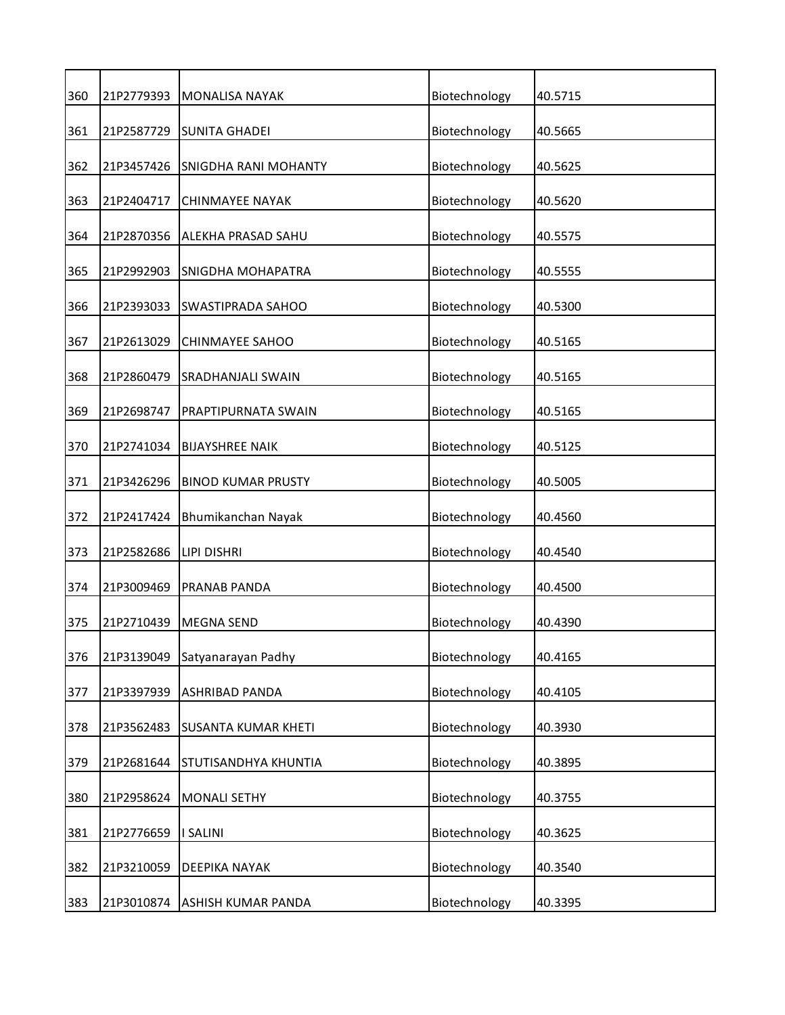| 360 | 21P2779393 | <b>MONALISA NAYAK</b>      | Biotechnology | 40.5715 |
|-----|------------|----------------------------|---------------|---------|
| 361 | 21P2587729 | <b>SUNITA GHADEI</b>       | Biotechnology | 40.5665 |
| 362 | 21P3457426 | SNIGDHA RANI MOHANTY       | Biotechnology | 40.5625 |
| 363 | 21P2404717 | <b>CHINMAYEE NAYAK</b>     | Biotechnology | 40.5620 |
| 364 | 21P2870356 | ALEKHA PRASAD SAHU         | Biotechnology | 40.5575 |
| 365 | 21P2992903 | <b>SNIGDHA MOHAPATRA</b>   | Biotechnology | 40.5555 |
| 366 | 21P2393033 | <b>SWASTIPRADA SAHOO</b>   | Biotechnology | 40.5300 |
| 367 | 21P2613029 | <b>CHINMAYEE SAHOO</b>     | Biotechnology | 40.5165 |
| 368 | 21P2860479 | SRADHANJALI SWAIN          | Biotechnology | 40.5165 |
| 369 | 21P2698747 | PRAPTIPURNATA SWAIN        | Biotechnology | 40.5165 |
| 370 | 21P2741034 | <b>BIJAYSHREE NAIK</b>     | Biotechnology | 40.5125 |
| 371 | 21P3426296 | <b>BINOD KUMAR PRUSTY</b>  | Biotechnology | 40.5005 |
| 372 | 21P2417424 | Bhumikanchan Nayak         | Biotechnology | 40.4560 |
| 373 | 21P2582686 | LIPI DISHRI                | Biotechnology | 40.4540 |
| 374 | 21P3009469 | PRANAB PANDA               | Biotechnology | 40.4500 |
| 375 | 21P2710439 | <b>MEGNA SEND</b>          | Biotechnology | 40.4390 |
| 376 | 21P3139049 | Satyanarayan Padhy         | Biotechnology | 40.4165 |
| 377 | 21P3397939 | ASHRIBAD PANDA             | Biotechnology | 40.4105 |
| 378 | 21P3562483 | <b>SUSANTA KUMAR KHETI</b> | Biotechnology | 40.3930 |
| 379 | 21P2681644 | STUTISANDHYA KHUNTIA       | Biotechnology | 40.3895 |
| 380 | 21P2958624 | <b>MONALI SETHY</b>        | Biotechnology | 40.3755 |
| 381 | 21P2776659 | <b>I SALINI</b>            | Biotechnology | 40.3625 |
| 382 | 21P3210059 | DEEPIKA NAYAK              | Biotechnology | 40.3540 |
| 383 | 21P3010874 | ASHISH KUMAR PANDA         | Biotechnology | 40.3395 |
|     |            |                            |               |         |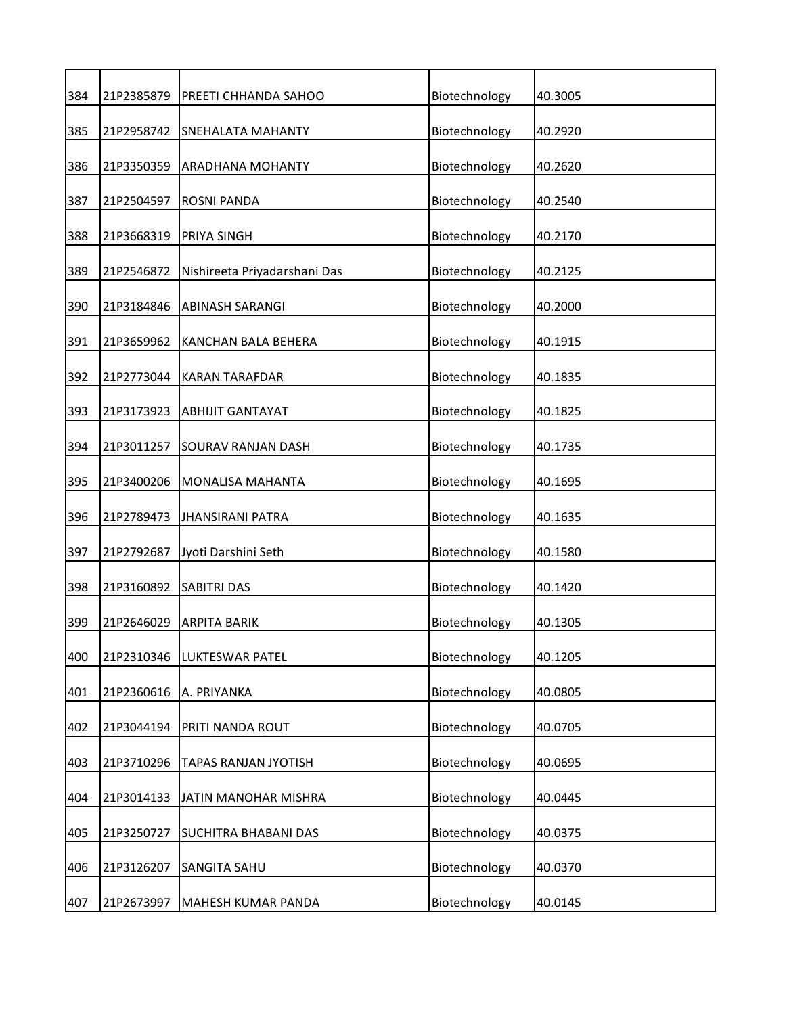| 384 | 21P2385879 | PREETI CHHANDA SAHOO         | Biotechnology | 40.3005 |
|-----|------------|------------------------------|---------------|---------|
| 385 | 21P2958742 | SNEHALATA MAHANTY            | Biotechnology | 40.2920 |
| 386 | 21P3350359 | ARADHANA MOHANTY             | Biotechnology | 40.2620 |
| 387 | 21P2504597 | ROSNI PANDA                  | Biotechnology | 40.2540 |
| 388 | 21P3668319 | PRIYA SINGH                  | Biotechnology | 40.2170 |
| 389 | 21P2546872 | Nishireeta Priyadarshani Das | Biotechnology | 40.2125 |
| 390 | 21P3184846 | <b>ABINASH SARANGI</b>       | Biotechnology | 40.2000 |
| 391 | 21P3659962 | KANCHAN BALA BEHERA          | Biotechnology | 40.1915 |
| 392 | 21P2773044 | <b>KARAN TARAFDAR</b>        | Biotechnology | 40.1835 |
| 393 | 21P3173923 | <b>ABHIJIT GANTAYAT</b>      | Biotechnology | 40.1825 |
| 394 | 21P3011257 | SOURAV RANJAN DASH           | Biotechnology | 40.1735 |
| 395 | 21P3400206 | MONALISA MAHANTA             | Biotechnology | 40.1695 |
| 396 | 21P2789473 | <b>JHANSIRANI PATRA</b>      | Biotechnology | 40.1635 |
| 397 | 21P2792687 | Jyoti Darshini Seth          | Biotechnology | 40.1580 |
| 398 | 21P3160892 | <b>SABITRI DAS</b>           | Biotechnology | 40.1420 |
| 399 | 21P2646029 | <b>ARPITA BARIK</b>          | Biotechnology | 40.1305 |
| 400 | 21P2310346 | LUKTESWAR PATEL              | Biotechnology | 40.1205 |
| 401 | 21P2360616 | A. PRIYANKA                  | Biotechnology | 40.0805 |
| 402 | 21P3044194 | PRITI NANDA ROUT             | Biotechnology | 40.0705 |
| 403 | 21P3710296 | TAPAS RANJAN JYOTISH         | Biotechnology | 40.0695 |
| 404 | 21P3014133 | JATIN MANOHAR MISHRA         | Biotechnology | 40.0445 |
| 405 | 21P3250727 | <b>SUCHITRA BHABANI DAS</b>  | Biotechnology | 40.0375 |
| 406 | 21P3126207 | SANGITA SAHU                 | Biotechnology | 40.0370 |
| 407 | 21P2673997 | MAHESH KUMAR PANDA           | Biotechnology | 40.0145 |
|     |            |                              |               |         |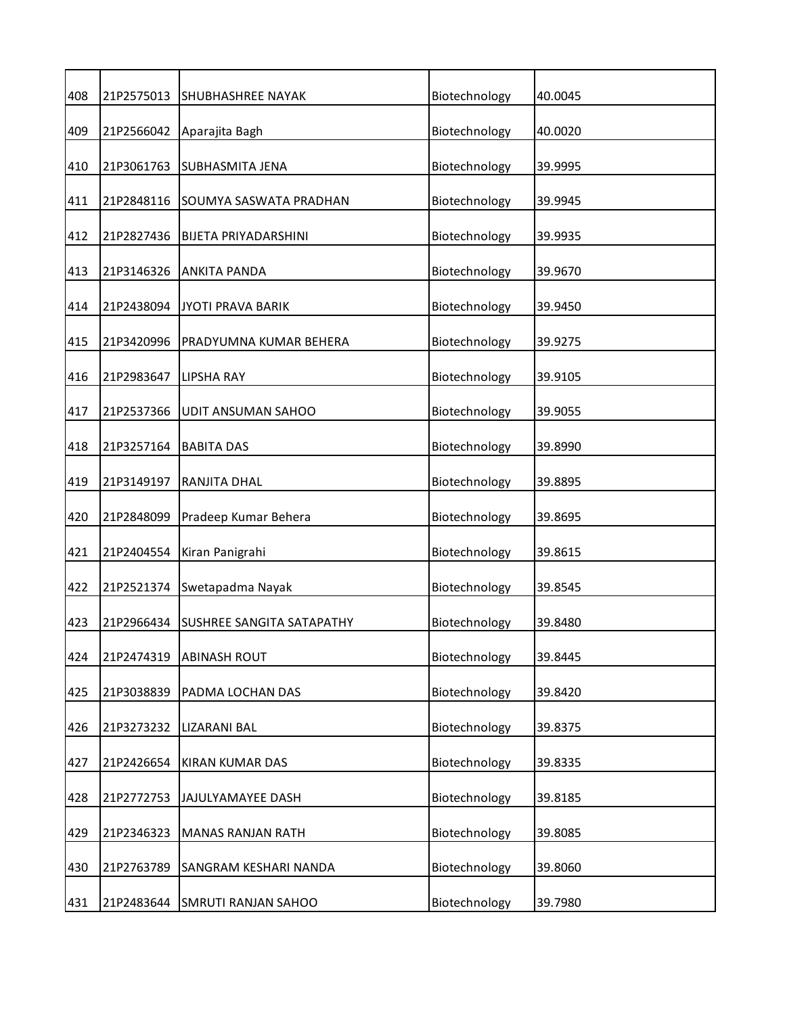| 408 | 21P2575013 | <b>SHUBHASHREE NAYAK</b>    | Biotechnology | 40.0045 |
|-----|------------|-----------------------------|---------------|---------|
| 409 | 21P2566042 | Aparajita Bagh              | Biotechnology | 40.0020 |
| 410 | 21P3061763 | <b>SUBHASMITA JENA</b>      | Biotechnology | 39.9995 |
| 411 | 21P2848116 | SOUMYA SASWATA PRADHAN      | Biotechnology | 39.9945 |
| 412 | 21P2827436 | <b>BIJETA PRIYADARSHINI</b> | Biotechnology | 39.9935 |
| 413 | 21P3146326 | <b>ANKITA PANDA</b>         | Biotechnology | 39.9670 |
| 414 | 21P2438094 | <b>JYOTI PRAVA BARIK</b>    | Biotechnology | 39.9450 |
| 415 | 21P3420996 | PRADYUMNA KUMAR BEHERA      | Biotechnology | 39.9275 |
| 416 | 21P2983647 | <b>LIPSHA RAY</b>           | Biotechnology | 39.9105 |
| 417 | 21P2537366 | UDIT ANSUMAN SAHOO          | Biotechnology | 39.9055 |
| 418 | 21P3257164 | <b>BABITA DAS</b>           | Biotechnology | 39.8990 |
| 419 | 21P3149197 | RANJITA DHAL                | Biotechnology | 39.8895 |
| 420 | 21P2848099 | Pradeep Kumar Behera        | Biotechnology | 39.8695 |
| 421 | 21P2404554 | Kiran Panigrahi             | Biotechnology | 39.8615 |
| 422 | 21P2521374 | Swetapadma Nayak            | Biotechnology | 39.8545 |
| 423 | 21P2966434 | SUSHREE SANGITA SATAPATHY   | Biotechnology | 39.8480 |
| 424 | 21P2474319 | <b>ABINASH ROUT</b>         | Biotechnology | 39.8445 |
| 425 | 21P3038839 | PADMA LOCHAN DAS            | Biotechnology | 39.8420 |
| 426 | 21P3273232 | LIZARANI BAL                | Biotechnology | 39.8375 |
| 427 | 21P2426654 | KIRAN KUMAR DAS             | Biotechnology | 39.8335 |
| 428 | 21P2772753 | JAJULYAMAYEE DASH           | Biotechnology | 39.8185 |
| 429 | 21P2346323 | <b>MANAS RANJAN RATH</b>    | Biotechnology | 39.8085 |
| 430 | 21P2763789 | SANGRAM KESHARI NANDA       | Biotechnology | 39.8060 |
| 431 | 21P2483644 | <b>SMRUTI RANJAN SAHOO</b>  | Biotechnology | 39.7980 |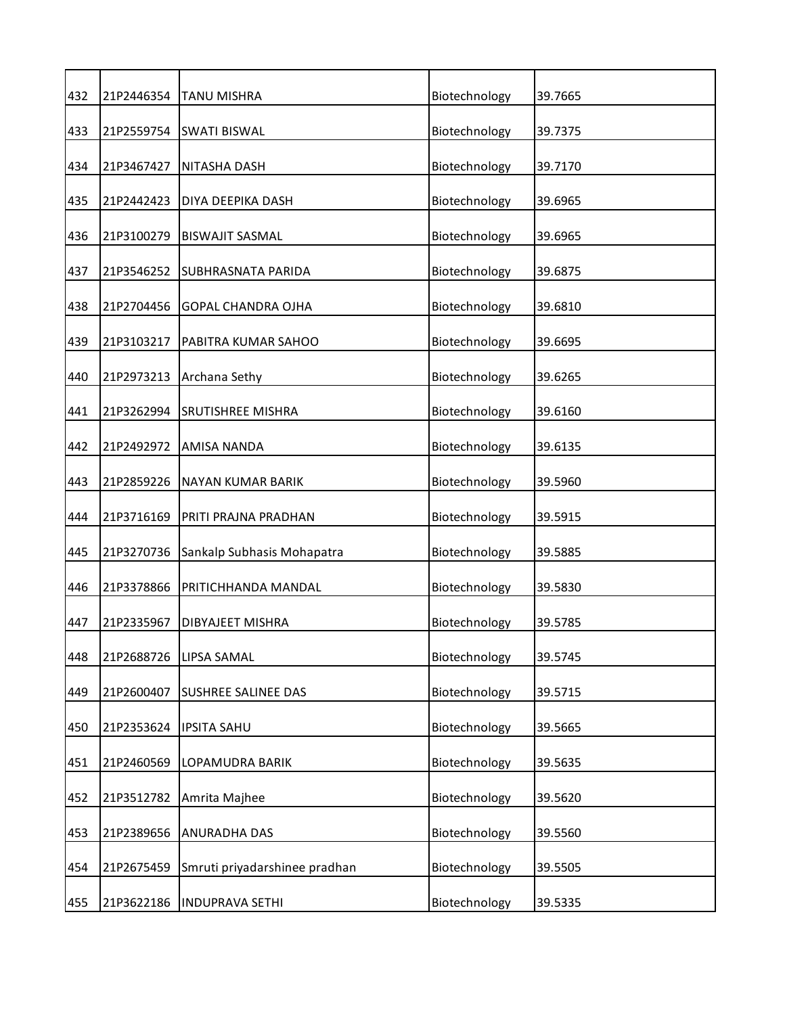| 432 | 21P2446354 | <b>TANU MISHRA</b>            | Biotechnology | 39.7665 |
|-----|------------|-------------------------------|---------------|---------|
| 433 | 21P2559754 | <b>SWATI BISWAL</b>           | Biotechnology | 39.7375 |
| 434 | 21P3467427 | NITASHA DASH                  | Biotechnology | 39.7170 |
| 435 | 21P2442423 | DIYA DEEPIKA DASH             | Biotechnology | 39.6965 |
| 436 | 21P3100279 | <b>BISWAJIT SASMAL</b>        | Biotechnology | 39.6965 |
| 437 | 21P3546252 | <b>SUBHRASNATA PARIDA</b>     | Biotechnology | 39.6875 |
| 438 | 21P2704456 | <b>GOPAL CHANDRA OJHA</b>     | Biotechnology | 39.6810 |
| 439 | 21P3103217 | PABITRA KUMAR SAHOO           | Biotechnology | 39.6695 |
| 440 | 21P2973213 | Archana Sethy                 | Biotechnology | 39.6265 |
| 441 | 21P3262994 | <b>SRUTISHREE MISHRA</b>      | Biotechnology | 39.6160 |
| 442 | 21P2492972 | AMISA NANDA                   | Biotechnology | 39.6135 |
| 443 | 21P2859226 | <b>NAYAN KUMAR BARIK</b>      | Biotechnology | 39.5960 |
| 444 | 21P3716169 | PRITI PRAJNA PRADHAN          | Biotechnology | 39.5915 |
| 445 | 21P3270736 | Sankalp Subhasis Mohapatra    | Biotechnology | 39.5885 |
| 446 | 21P3378866 | PRITICHHANDA MANDAL           | Biotechnology | 39.5830 |
| 447 | 21P2335967 | DIBYAJEET MISHRA              | Biotechnology | 39.5785 |
| 448 | 21P2688726 | LIPSA SAMAL                   | Biotechnology | 39.5745 |
| 449 | 21P2600407 | SUSHREE SALINEE DAS           | Biotechnology | 39.5715 |
| 450 | 21P2353624 | <b>IPSITA SAHU</b>            | Biotechnology | 39.5665 |
| 451 | 21P2460569 | LOPAMUDRA BARIK               | Biotechnology | 39.5635 |
| 452 | 21P3512782 | Amrita Majhee                 | Biotechnology | 39.5620 |
| 453 | 21P2389656 | <b>ANURADHA DAS</b>           | Biotechnology | 39.5560 |
| 454 | 21P2675459 | Smruti priyadarshinee pradhan | Biotechnology | 39.5505 |
| 455 | 21P3622186 | <b>INDUPRAVA SETHI</b>        | Biotechnology | 39.5335 |
|     |            |                               |               |         |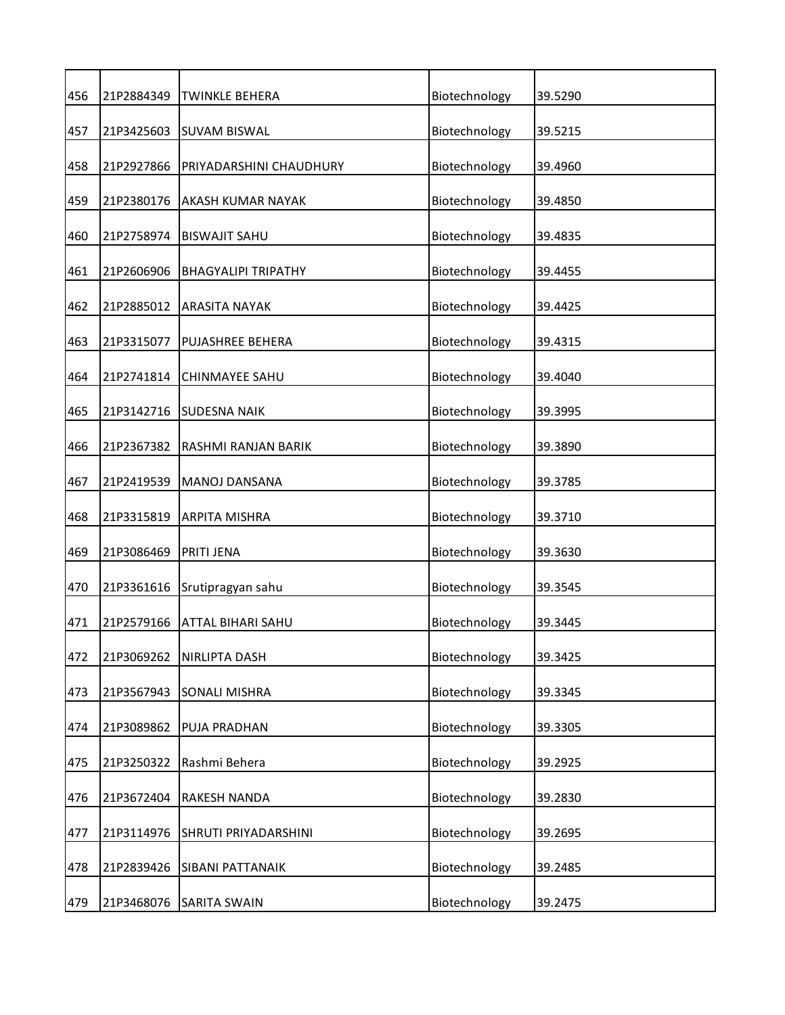| 456 | 21P2884349 | <b>TWINKLE BEHERA</b>      | Biotechnology | 39.5290 |
|-----|------------|----------------------------|---------------|---------|
| 457 | 21P3425603 | <b>SUVAM BISWAL</b>        | Biotechnology | 39.5215 |
| 458 | 21P2927866 | PRIYADARSHINI CHAUDHURY    | Biotechnology | 39.4960 |
| 459 | 21P2380176 | AKASH KUMAR NAYAK          | Biotechnology | 39.4850 |
| 460 | 21P2758974 | <b>BISWAJIT SAHU</b>       | Biotechnology | 39.4835 |
| 461 | 21P2606906 | <b>BHAGYALIPI TRIPATHY</b> | Biotechnology | 39.4455 |
| 462 | 21P2885012 | <b>ARASITA NAYAK</b>       | Biotechnology | 39.4425 |
| 463 | 21P3315077 | <b>PUJASHREE BEHERA</b>    | Biotechnology | 39.4315 |
| 464 | 21P2741814 | <b>CHINMAYEE SAHU</b>      | Biotechnology | 39.4040 |
| 465 | 21P3142716 | <b>SUDESNA NAIK</b>        | Biotechnology | 39.3995 |
| 466 | 21P2367382 | RASHMI RANJAN BARIK        | Biotechnology | 39.3890 |
| 467 | 21P2419539 | <b>MANOJ DANSANA</b>       | Biotechnology | 39.3785 |
| 468 | 21P3315819 | <b>ARPITA MISHRA</b>       | Biotechnology | 39.3710 |
| 469 | 21P3086469 | PRITI JENA                 | Biotechnology | 39.3630 |
| 470 | 21P3361616 | Srutipragyan sahu          | Biotechnology | 39.3545 |
| 471 | 21P2579166 | <b>ATTAL BIHARI SAHU</b>   | Biotechnology | 39.3445 |
| 472 | 21P3069262 | NIRLIPTA DASH              | Biotechnology | 39.3425 |
| 473 | 21P3567943 | <b>SONALI MISHRA</b>       | Biotechnology | 39.3345 |
| 474 | 21P3089862 | PUJA PRADHAN               | Biotechnology | 39.3305 |
| 475 | 21P3250322 | Rashmi Behera              | Biotechnology | 39.2925 |
| 476 | 21P3672404 | <b>RAKESH NANDA</b>        | Biotechnology | 39.2830 |
| 477 | 21P3114976 | SHRUTI PRIYADARSHINI       | Biotechnology | 39.2695 |
| 478 | 21P2839426 | SIBANI PATTANAIK           | Biotechnology | 39.2485 |
| 479 | 21P3468076 | <b>SARITA SWAIN</b>        | Biotechnology | 39.2475 |
|     |            |                            |               |         |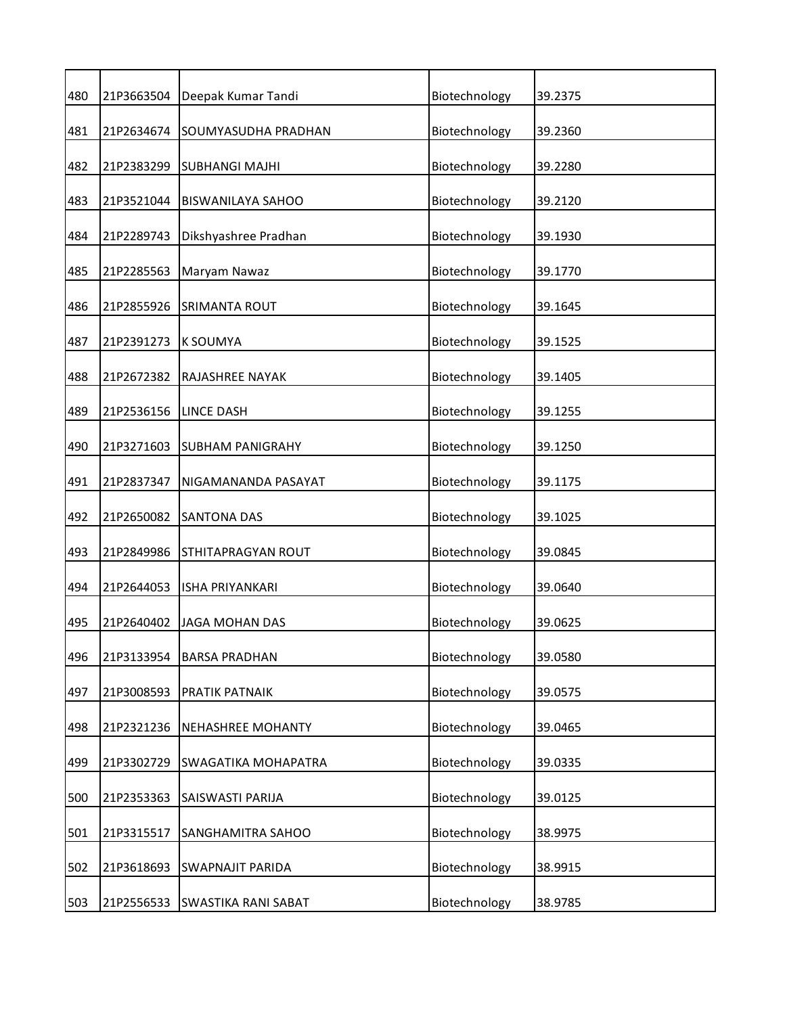| 480 | 21P3663504 | Deepak Kumar Tandi       | Biotechnology | 39.2375 |
|-----|------------|--------------------------|---------------|---------|
| 481 | 21P2634674 | SOUMYASUDHA PRADHAN      | Biotechnology | 39.2360 |
| 482 | 21P2383299 | <b>SUBHANGI MAJHI</b>    | Biotechnology | 39.2280 |
| 483 | 21P3521044 | <b>BISWANILAYA SAHOO</b> | Biotechnology | 39.2120 |
| 484 | 21P2289743 | Dikshyashree Pradhan     | Biotechnology | 39.1930 |
| 485 | 21P2285563 | Maryam Nawaz             | Biotechnology | 39.1770 |
| 486 | 21P2855926 | <b>SRIMANTA ROUT</b>     | Biotechnology | 39.1645 |
| 487 | 21P2391273 | <b>K SOUMYA</b>          | Biotechnology | 39.1525 |
| 488 | 21P2672382 | RAJASHREE NAYAK          | Biotechnology | 39.1405 |
| 489 | 21P2536156 | LINCE DASH               | Biotechnology | 39.1255 |
| 490 | 21P3271603 | <b>SUBHAM PANIGRAHY</b>  | Biotechnology | 39.1250 |
| 491 | 21P2837347 | NIGAMANANDA PASAYAT      | Biotechnology | 39.1175 |
| 492 | 21P2650082 | <b>SANTONA DAS</b>       | Biotechnology | 39.1025 |
| 493 | 21P2849986 | STHITAPRAGYAN ROUT       | Biotechnology | 39.0845 |
| 494 | 21P2644053 | <b>ISHA PRIYANKARI</b>   | Biotechnology | 39.0640 |
| 495 | 21P2640402 | <b>JAGA MOHAN DAS</b>    | Biotechnology | 39.0625 |
| 496 | 21P3133954 | <b>BARSA PRADHAN</b>     | Biotechnology | 39.0580 |
| 497 | 21P3008593 | PRATIK PATNAIK           | Biotechnology | 39.0575 |
| 498 | 21P2321236 | <b>NEHASHREE MOHANTY</b> | Biotechnology | 39.0465 |
| 499 | 21P3302729 | SWAGATIKA MOHAPATRA      | Biotechnology | 39.0335 |
| 500 | 21P2353363 | SAISWASTI PARIJA         | Biotechnology | 39.0125 |
| 501 | 21P3315517 | SANGHAMITRA SAHOO        | Biotechnology | 38.9975 |
| 502 | 21P3618693 | <b>SWAPNAJIT PARIDA</b>  | Biotechnology | 38.9915 |
| 503 | 21P2556533 | SWASTIKA RANI SABAT      | Biotechnology | 38.9785 |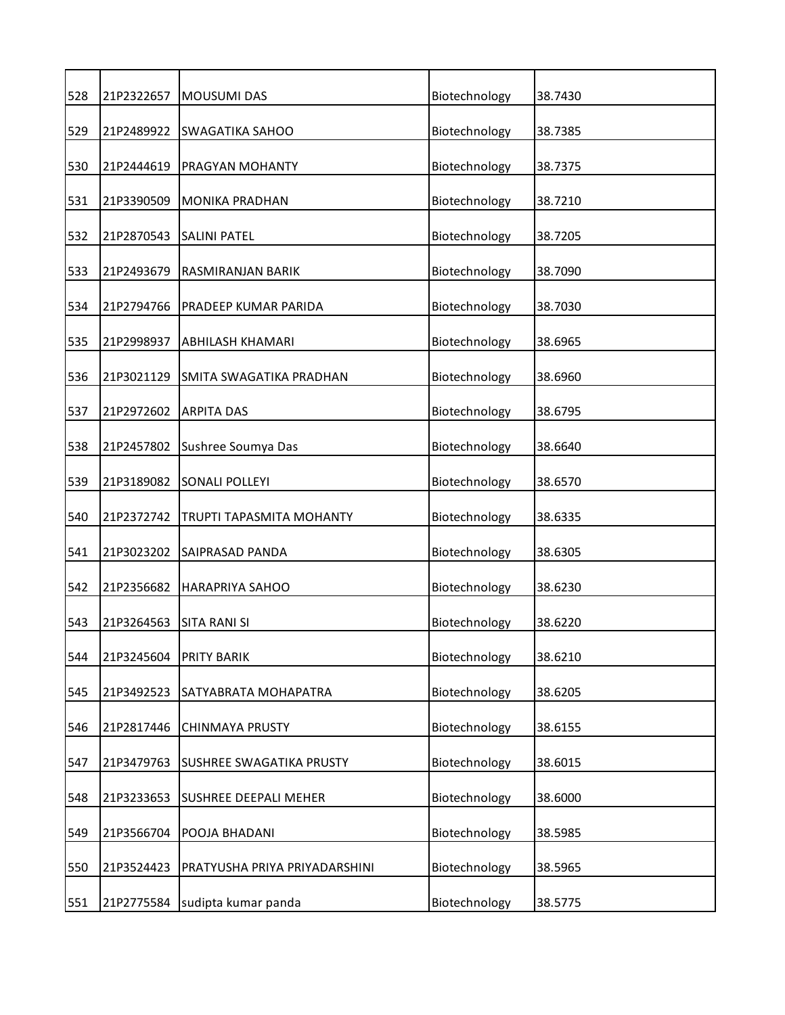| 528 | 21P2322657 | <b>MOUSUMI DAS</b>            | Biotechnology | 38.7430 |
|-----|------------|-------------------------------|---------------|---------|
| 529 | 21P2489922 | <b>SWAGATIKA SAHOO</b>        | Biotechnology | 38.7385 |
| 530 | 21P2444619 | PRAGYAN MOHANTY               | Biotechnology | 38.7375 |
| 531 | 21P3390509 | <b>MONIKA PRADHAN</b>         | Biotechnology | 38.7210 |
| 532 | 21P2870543 | <b>SALINI PATEL</b>           | Biotechnology | 38.7205 |
| 533 | 21P2493679 | RASMIRANJAN BARIK             | Biotechnology | 38.7090 |
| 534 | 21P2794766 | PRADEEP KUMAR PARIDA          | Biotechnology | 38.7030 |
| 535 | 21P2998937 | ABHILASH KHAMARI              | Biotechnology | 38.6965 |
| 536 | 21P3021129 | SMITA SWAGATIKA PRADHAN       | Biotechnology | 38.6960 |
| 537 | 21P2972602 | <b>ARPITA DAS</b>             | Biotechnology | 38.6795 |
| 538 | 21P2457802 | Sushree Soumya Das            | Biotechnology | 38.6640 |
| 539 | 21P3189082 | <b>SONALI POLLEYI</b>         | Biotechnology | 38.6570 |
| 540 | 21P2372742 | TRUPTI TAPASMITA MOHANTY      | Biotechnology | 38.6335 |
| 541 | 21P3023202 | SAIPRASAD PANDA               | Biotechnology | 38.6305 |
| 542 | 21P2356682 | HARAPRIYA SAHOO               | Biotechnology | 38.6230 |
| 543 | 21P3264563 | <b>SITA RANI SI</b>           | Biotechnology | 38.6220 |
| 544 | 21P3245604 | PRITY BARIK                   | Biotechnology | 38.6210 |
| 545 | 21P3492523 | SATYABRATA MOHAPATRA          | Biotechnology | 38.6205 |
| 546 | 21P2817446 | CHINMAYA PRUSTY               | Biotechnology | 38.6155 |
| 547 | 21P3479763 | SUSHREE SWAGATIKA PRUSTY      | Biotechnology | 38.6015 |
| 548 | 21P3233653 | <b>SUSHREE DEEPALI MEHER</b>  | Biotechnology | 38.6000 |
| 549 | 21P3566704 | POOJA BHADANI                 | Biotechnology | 38.5985 |
| 550 | 21P3524423 | PRATYUSHA PRIYA PRIYADARSHINI | Biotechnology | 38.5965 |
| 551 | 21P2775584 | sudipta kumar panda           | Biotechnology | 38.5775 |
|     |            |                               |               |         |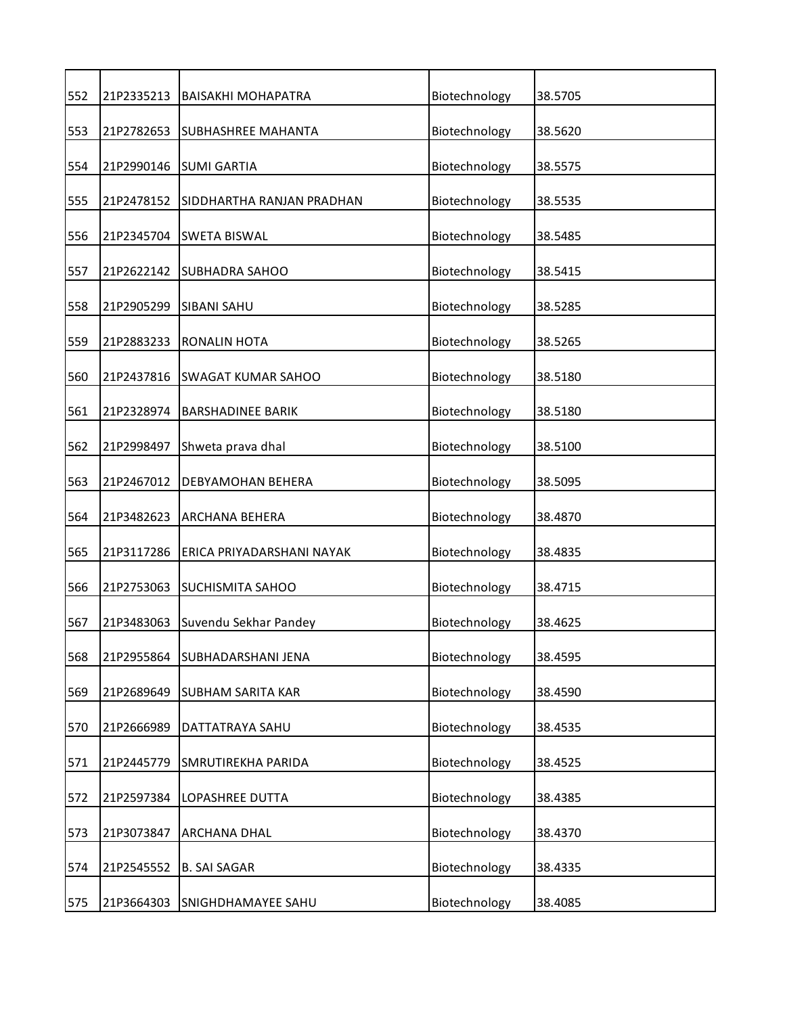| 552 | 21P2335213 | <b>BAISAKHI MOHAPATRA</b> | Biotechnology | 38.5705 |
|-----|------------|---------------------------|---------------|---------|
| 553 | 21P2782653 | <b>SUBHASHREE MAHANTA</b> | Biotechnology | 38.5620 |
| 554 | 21P2990146 | <b>SUMI GARTIA</b>        | Biotechnology | 38.5575 |
| 555 | 21P2478152 | SIDDHARTHA RANJAN PRADHAN | Biotechnology | 38.5535 |
| 556 | 21P2345704 | <b>SWETA BISWAL</b>       | Biotechnology | 38.5485 |
| 557 | 21P2622142 | <b>SUBHADRA SAHOO</b>     | Biotechnology | 38.5415 |
| 558 | 21P2905299 | <b>SIBANI SAHU</b>        | Biotechnology | 38.5285 |
| 559 | 21P2883233 | <b>RONALIN HOTA</b>       | Biotechnology | 38.5265 |
| 560 | 21P2437816 | <b>SWAGAT KUMAR SAHOO</b> | Biotechnology | 38.5180 |
| 561 | 21P2328974 | <b>BARSHADINEE BARIK</b>  | Biotechnology | 38.5180 |
| 562 | 21P2998497 | Shweta prava dhal         | Biotechnology | 38.5100 |
| 563 | 21P2467012 | DEBYAMOHAN BEHERA         | Biotechnology | 38.5095 |
| 564 | 21P3482623 | ARCHANA BEHERA            | Biotechnology | 38.4870 |
| 565 | 21P3117286 | ERICA PRIYADARSHANI NAYAK | Biotechnology | 38.4835 |
| 566 | 21P2753063 | <b>SUCHISMITA SAHOO</b>   | Biotechnology | 38.4715 |
| 567 | 21P3483063 | Suvendu Sekhar Pandey     | Biotechnology | 38.4625 |
| 568 | 21P2955864 | SUBHADARSHANI JENA        | Biotechnology | 38.4595 |
| 569 | 21P2689649 | SUBHAM SARITA KAR         | Biotechnology | 38.4590 |
| 570 | 21P2666989 | DATTATRAYA SAHU           | Biotechnology | 38.4535 |
| 571 | 21P2445779 | SMRUTIREKHA PARIDA        | Biotechnology | 38.4525 |
| 572 | 21P2597384 | LOPASHREE DUTTA           | Biotechnology | 38.4385 |
| 573 | 21P3073847 | ARCHANA DHAL              | Biotechnology | 38.4370 |
| 574 | 21P2545552 | <b>B. SAI SAGAR</b>       | Biotechnology | 38.4335 |
| 575 | 21P3664303 | SNIGHDHAMAYEE SAHU        | Biotechnology | 38.4085 |
|     |            |                           |               |         |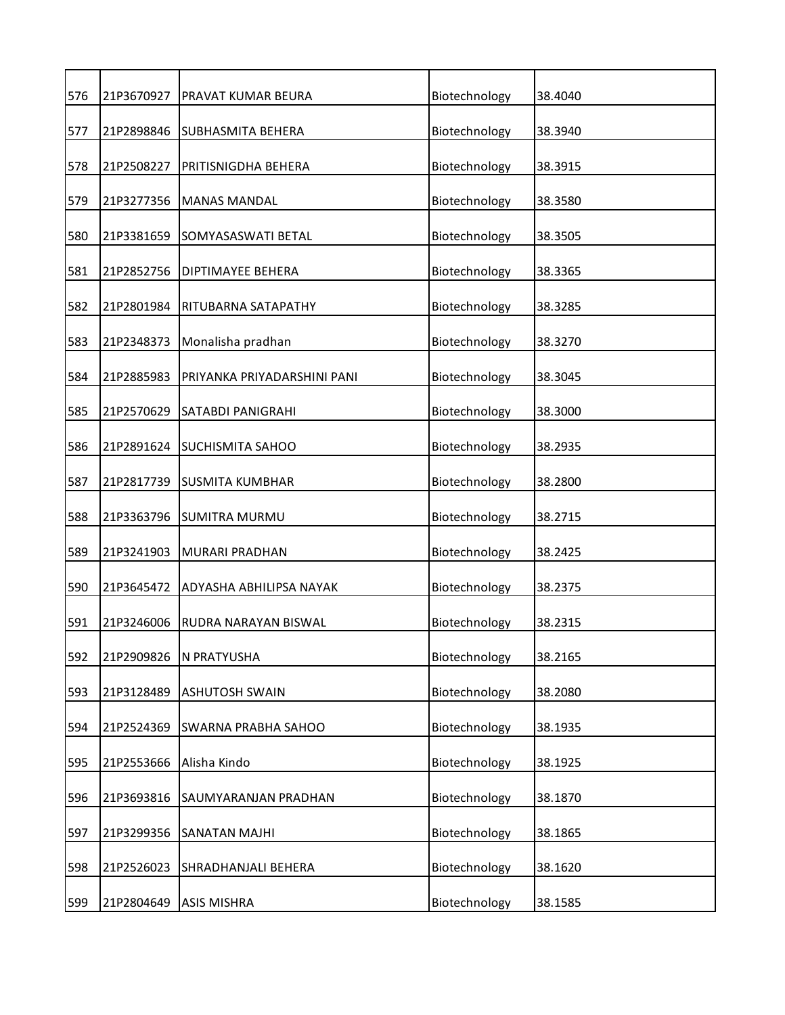| 576 | 21P3670927 | PRAVAT KUMAR BEURA          | Biotechnology | 38.4040 |
|-----|------------|-----------------------------|---------------|---------|
| 577 | 21P2898846 | <b>SUBHASMITA BEHERA</b>    | Biotechnology | 38.3940 |
| 578 | 21P2508227 | PRITISNIGDHA BEHERA         | Biotechnology | 38.3915 |
| 579 | 21P3277356 | <b>MANAS MANDAL</b>         | Biotechnology | 38.3580 |
| 580 | 21P3381659 | SOMYASASWATI BETAL          | Biotechnology | 38.3505 |
| 581 | 21P2852756 | <b>DIPTIMAYEE BEHERA</b>    | Biotechnology | 38.3365 |
| 582 | 21P2801984 | RITUBARNA SATAPATHY         | Biotechnology | 38.3285 |
| 583 | 21P2348373 | Monalisha pradhan           | Biotechnology | 38.3270 |
| 584 | 21P2885983 | PRIYANKA PRIYADARSHINI PANI | Biotechnology | 38.3045 |
| 585 | 21P2570629 | SATABDI PANIGRAHI           | Biotechnology | 38.3000 |
| 586 | 21P2891624 | <b>SUCHISMITA SAHOO</b>     | Biotechnology | 38.2935 |
| 587 | 21P2817739 | <b>SUSMITA KUMBHAR</b>      | Biotechnology | 38.2800 |
| 588 | 21P3363796 | <b>SUMITRA MURMU</b>        | Biotechnology | 38.2715 |
| 589 | 21P3241903 | <b>MURARI PRADHAN</b>       | Biotechnology | 38.2425 |
| 590 | 21P3645472 | ADYASHA ABHILIPSA NAYAK     | Biotechnology | 38.2375 |
| 591 | 21P3246006 | RUDRA NARAYAN BISWAL        | Biotechnology | 38.2315 |
| 592 | 21P2909826 | N PRATYUSHA                 | Biotechnology | 38.2165 |
| 593 | 21P3128489 | <b>ASHUTOSH SWAIN</b>       | Biotechnology | 38.2080 |
| 594 | 21P2524369 | SWARNA PRABHA SAHOO         | Biotechnology | 38.1935 |
| 595 | 21P2553666 | Alisha Kindo                | Biotechnology | 38.1925 |
| 596 | 21P3693816 | SAUMYARANJAN PRADHAN        | Biotechnology | 38.1870 |
| 597 | 21P3299356 | <b>SANATAN MAJHI</b>        | Biotechnology | 38.1865 |
| 598 | 21P2526023 | SHRADHANJALI BEHERA         | Biotechnology | 38.1620 |
| 599 | 21P2804649 | <b>ASIS MISHRA</b>          | Biotechnology | 38.1585 |
|     |            |                             |               |         |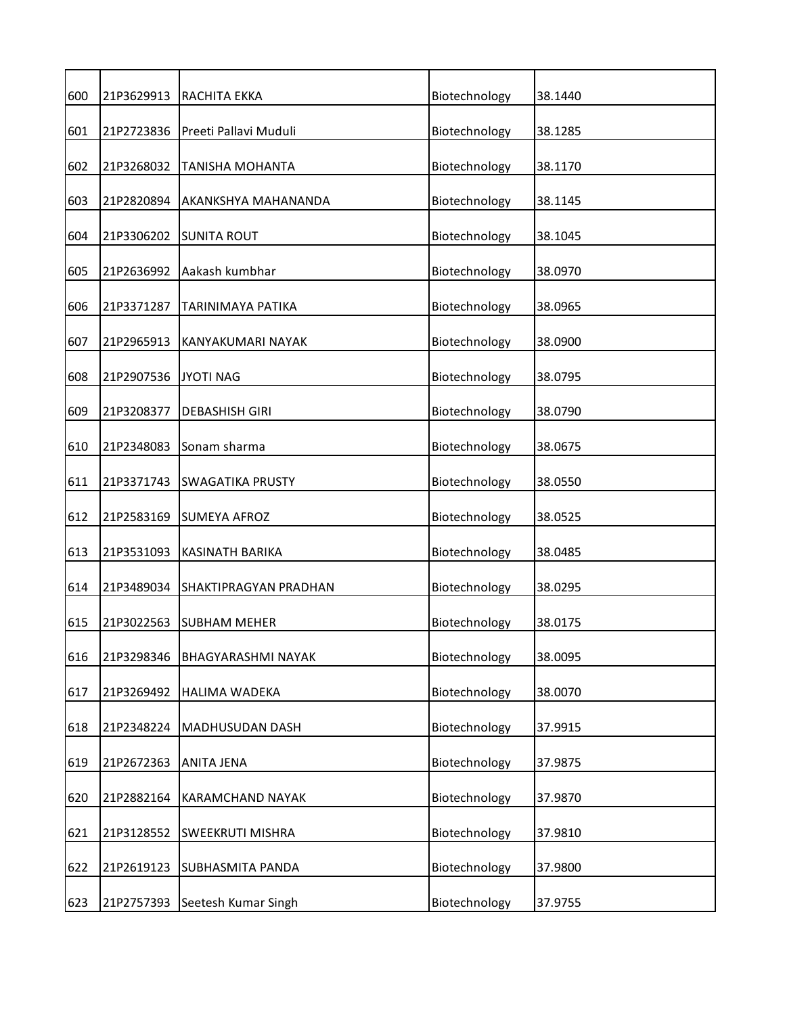| 600 | 21P3629913 | RACHITA EKKA              | Biotechnology | 38.1440 |
|-----|------------|---------------------------|---------------|---------|
| 601 | 21P2723836 | Preeti Pallavi Muduli     | Biotechnology | 38.1285 |
| 602 | 21P3268032 | TANISHA MOHANTA           | Biotechnology | 38.1170 |
| 603 | 21P2820894 | AKANKSHYA MAHANANDA       | Biotechnology | 38.1145 |
| 604 | 21P3306202 | <b>SUNITA ROUT</b>        | Biotechnology | 38.1045 |
| 605 | 21P2636992 | Aakash kumbhar            | Biotechnology | 38.0970 |
| 606 | 21P3371287 | TARINIMAYA PATIKA         | Biotechnology | 38.0965 |
| 607 | 21P2965913 | KANYAKUMARI NAYAK         | Biotechnology | 38.0900 |
| 608 | 21P2907536 | <b>JYOTI NAG</b>          | Biotechnology | 38.0795 |
| 609 | 21P3208377 | <b>DEBASHISH GIRI</b>     | Biotechnology | 38.0790 |
| 610 | 21P2348083 | Sonam sharma              | Biotechnology | 38.0675 |
| 611 | 21P3371743 | <b>SWAGATIKA PRUSTY</b>   | Biotechnology | 38.0550 |
| 612 | 21P2583169 | <b>SUMEYA AFROZ</b>       | Biotechnology | 38.0525 |
| 613 | 21P3531093 | KASINATH BARIKA           | Biotechnology | 38.0485 |
| 614 | 21P3489034 | SHAKTIPRAGYAN PRADHAN     | Biotechnology | 38.0295 |
| 615 | 21P3022563 | <b>SUBHAM MEHER</b>       | Biotechnology | 38.0175 |
| 616 | 21P3298346 | <b>BHAGYARASHMI NAYAK</b> | Biotechnology | 38.0095 |
| 617 | 21P3269492 | <b>HALIMA WADEKA</b>      | Biotechnology | 38.0070 |
| 618 | 21P2348224 | MADHUSUDAN DASH           | Biotechnology | 37.9915 |
| 619 | 21P2672363 | ANITA JENA                | Biotechnology | 37.9875 |
| 620 | 21P2882164 | <b>KARAMCHAND NAYAK</b>   | Biotechnology | 37.9870 |
| 621 | 21P3128552 | SWEEKRUTI MISHRA          | Biotechnology | 37.9810 |
| 622 | 21P2619123 | <b>SUBHASMITA PANDA</b>   | Biotechnology | 37.9800 |
| 623 | 21P2757393 | Seetesh Kumar Singh       | Biotechnology | 37.9755 |
|     |            |                           |               |         |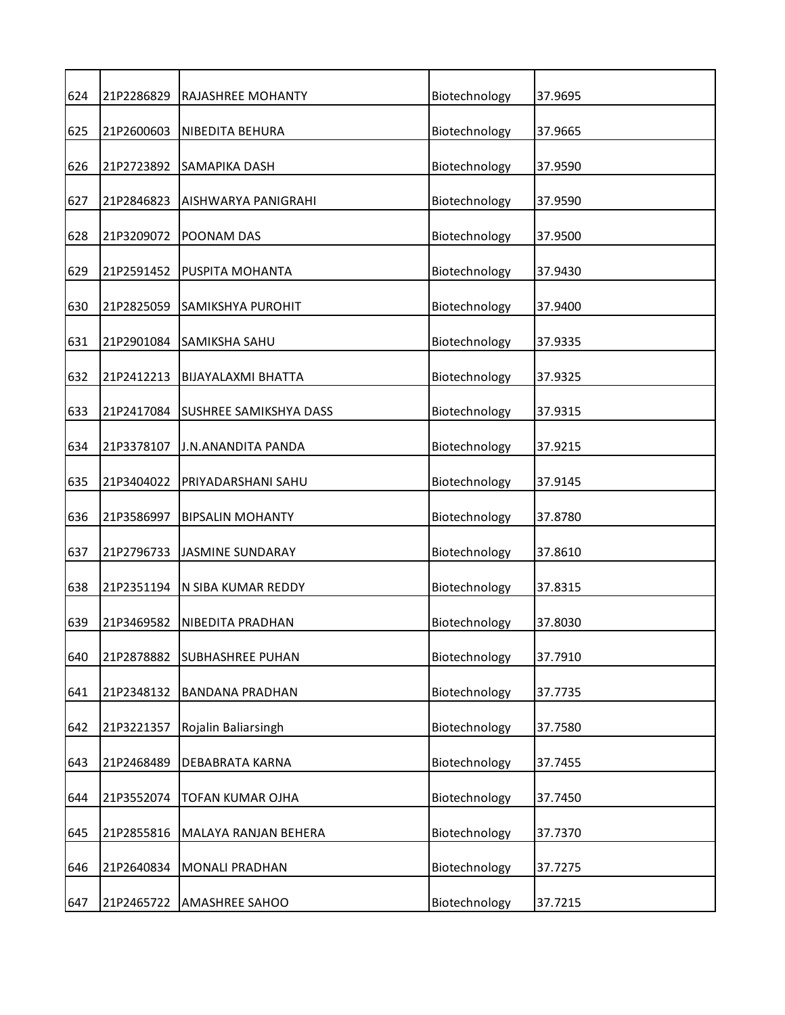| 624 | 21P2286829 | RAJASHREE MOHANTY             | Biotechnology | 37.9695 |
|-----|------------|-------------------------------|---------------|---------|
| 625 | 21P2600603 | NIBEDITA BEHURA               | Biotechnology | 37.9665 |
| 626 | 21P2723892 | SAMAPIKA DASH                 | Biotechnology | 37.9590 |
| 627 | 21P2846823 | AISHWARYA PANIGRAHI           | Biotechnology | 37.9590 |
| 628 | 21P3209072 | POONAM DAS                    | Biotechnology | 37.9500 |
| 629 | 21P2591452 | PUSPITA MOHANTA               | Biotechnology | 37.9430 |
| 630 | 21P2825059 | <b>SAMIKSHYA PUROHIT</b>      | Biotechnology | 37.9400 |
| 631 | 21P2901084 | SAMIKSHA SAHU                 | Biotechnology | 37.9335 |
| 632 | 21P2412213 | BIJAYALAXMI BHATTA            | Biotechnology | 37.9325 |
| 633 | 21P2417084 | <b>SUSHREE SAMIKSHYA DASS</b> | Biotechnology | 37.9315 |
| 634 | 21P3378107 | J.N.ANANDITA PANDA            | Biotechnology | 37.9215 |
| 635 | 21P3404022 | PRIYADARSHANI SAHU            | Biotechnology | 37.9145 |
| 636 | 21P3586997 | <b>BIPSALIN MOHANTY</b>       | Biotechnology | 37.8780 |
| 637 | 21P2796733 | <b>JASMINE SUNDARAY</b>       | Biotechnology | 37.8610 |
| 638 | 21P2351194 | N SIBA KUMAR REDDY            | Biotechnology | 37.8315 |
| 639 | 21P3469582 | NIBEDITA PRADHAN              | Biotechnology | 37.8030 |
| 640 | 21P2878882 | <b>SUBHASHREE PUHAN</b>       | Biotechnology | 37.7910 |
| 641 | 21P2348132 | <b>BANDANA PRADHAN</b>        | Biotechnology | 37.7735 |
| 642 | 21P3221357 | Rojalin Baliarsingh           | Biotechnology | 37.7580 |
| 643 | 21P2468489 | DEBABRATA KARNA               | Biotechnology | 37.7455 |
| 644 | 21P3552074 | <b>TOFAN KUMAR OJHA</b>       | Biotechnology | 37.7450 |
| 645 | 21P2855816 | MALAYA RANJAN BEHERA          | Biotechnology | 37.7370 |
| 646 | 21P2640834 | <b>MONALI PRADHAN</b>         | Biotechnology | 37.7275 |
| 647 | 21P2465722 | AMASHREE SAHOO                | Biotechnology | 37.7215 |
|     |            |                               |               |         |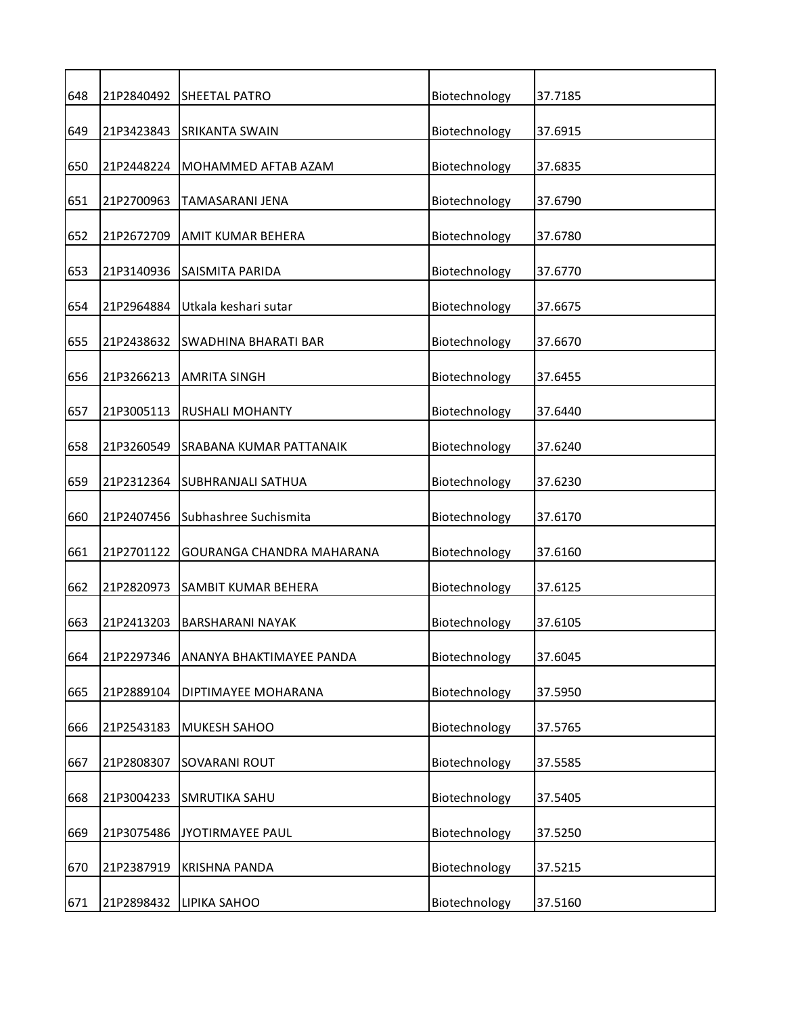| 648 | 21P2840492 | <b>SHEETAL PATRO</b>       | Biotechnology | 37.7185 |
|-----|------------|----------------------------|---------------|---------|
| 649 | 21P3423843 | SRIKANTA SWAIN             | Biotechnology | 37.6915 |
| 650 | 21P2448224 | MOHAMMED AFTAB AZAM        | Biotechnology | 37.6835 |
| 651 | 21P2700963 | TAMASARANI JENA            | Biotechnology | 37.6790 |
| 652 | 21P2672709 | <b>AMIT KUMAR BEHERA</b>   | Biotechnology | 37.6780 |
| 653 | 21P3140936 | SAISMITA PARIDA            | Biotechnology | 37.6770 |
| 654 | 21P2964884 | Utkala keshari sutar       | Biotechnology | 37.6675 |
| 655 | 21P2438632 | SWADHINA BHARATI BAR       | Biotechnology | 37.6670 |
| 656 | 21P3266213 | <b>AMRITA SINGH</b>        | Biotechnology | 37.6455 |
| 657 | 21P3005113 | <b>RUSHALI MOHANTY</b>     | Biotechnology | 37.6440 |
| 658 | 21P3260549 | SRABANA KUMAR PATTANAIK    | Biotechnology | 37.6240 |
| 659 | 21P2312364 | <b>SUBHRANJALI SATHUA</b>  | Biotechnology | 37.6230 |
| 660 | 21P2407456 | Subhashree Suchismita      | Biotechnology | 37.6170 |
| 661 | 21P2701122 | GOURANGA CHANDRA MAHARANA  | Biotechnology | 37.6160 |
| 662 | 21P2820973 | <b>SAMBIT KUMAR BEHERA</b> | Biotechnology | 37.6125 |
| 663 | 21P2413203 | <b>BARSHARANI NAYAK</b>    | Biotechnology | 37.6105 |
| 664 | 21P2297346 | ANANYA BHAKTIMAYEE PANDA   | Biotechnology | 37.6045 |
| 665 | 21P2889104 | DIPTIMAYEE MOHARANA        | Biotechnology | 37.5950 |
| 666 | 21P2543183 | MUKESH SAHOO               | Biotechnology | 37.5765 |
| 667 | 21P2808307 | <b>SOVARANI ROUT</b>       | Biotechnology | 37.5585 |
| 668 | 21P3004233 | <b>SMRUTIKA SAHU</b>       | Biotechnology | 37.5405 |
| 669 | 21P3075486 | JYOTIRMAYEE PAUL           | Biotechnology | 37.5250 |
| 670 | 21P2387919 | <b>KRISHNA PANDA</b>       | Biotechnology | 37.5215 |
| 671 | 21P2898432 | LIPIKA SAHOO               | Biotechnology | 37.5160 |
|     |            |                            |               |         |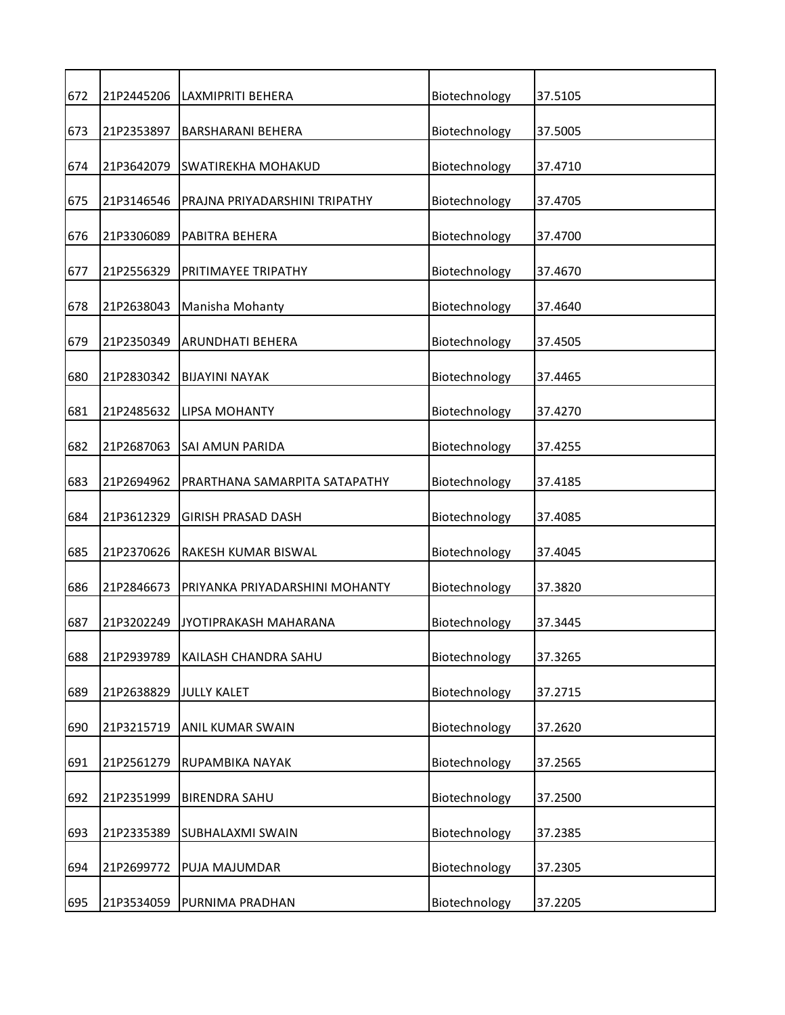| 672 | 21P2445206 | LAXMIPRITI BEHERA              | Biotechnology | 37.5105 |
|-----|------------|--------------------------------|---------------|---------|
| 673 | 21P2353897 | <b>BARSHARANI BEHERA</b>       | Biotechnology | 37.5005 |
| 674 | 21P3642079 | <b>SWATIREKHA MOHAKUD</b>      | Biotechnology | 37.4710 |
| 675 | 21P3146546 | PRAJNA PRIYADARSHINI TRIPATHY  | Biotechnology | 37.4705 |
| 676 | 21P3306089 | PABITRA BEHERA                 | Biotechnology | 37.4700 |
| 677 | 21P2556329 | PRITIMAYEE TRIPATHY            | Biotechnology | 37.4670 |
| 678 | 21P2638043 | Manisha Mohanty                | Biotechnology | 37.4640 |
| 679 | 21P2350349 | <b>ARUNDHATI BEHERA</b>        | Biotechnology | 37.4505 |
| 680 | 21P2830342 | <b>BIJAYINI NAYAK</b>          | Biotechnology | 37.4465 |
| 681 | 21P2485632 | <b>LIPSA MOHANTY</b>           | Biotechnology | 37.4270 |
| 682 | 21P2687063 | SAI AMUN PARIDA                | Biotechnology | 37.4255 |
| 683 | 21P2694962 | PRARTHANA SAMARPITA SATAPATHY  | Biotechnology | 37.4185 |
| 684 | 21P3612329 | <b>GIRISH PRASAD DASH</b>      | Biotechnology | 37.4085 |
| 685 | 21P2370626 | <b>RAKESH KUMAR BISWAL</b>     | Biotechnology | 37.4045 |
| 686 | 21P2846673 | PRIYANKA PRIYADARSHINI MOHANTY | Biotechnology | 37.3820 |
| 687 | 21P3202249 | <b>JYOTIPRAKASH MAHARANA</b>   | Biotechnology | 37.3445 |
| 688 | 21P2939789 | KAILASH CHANDRA SAHU           | Biotechnology | 37.3265 |
| 689 | 21P2638829 | <b>JULLY KALET</b>             | Biotechnology | 37.2715 |
| 690 | 21P3215719 | ANIL KUMAR SWAIN               | Biotechnology | 37.2620 |
| 691 | 21P2561279 | RUPAMBIKA NAYAK                | Biotechnology | 37.2565 |
| 692 | 21P2351999 | <b>BIRENDRA SAHU</b>           | Biotechnology | 37.2500 |
| 693 | 21P2335389 | SUBHALAXMI SWAIN               | Biotechnology | 37.2385 |
| 694 | 21P2699772 | PUJA MAJUMDAR                  | Biotechnology | 37.2305 |
| 695 | 21P3534059 | PURNIMA PRADHAN                | Biotechnology | 37.2205 |
|     |            |                                |               |         |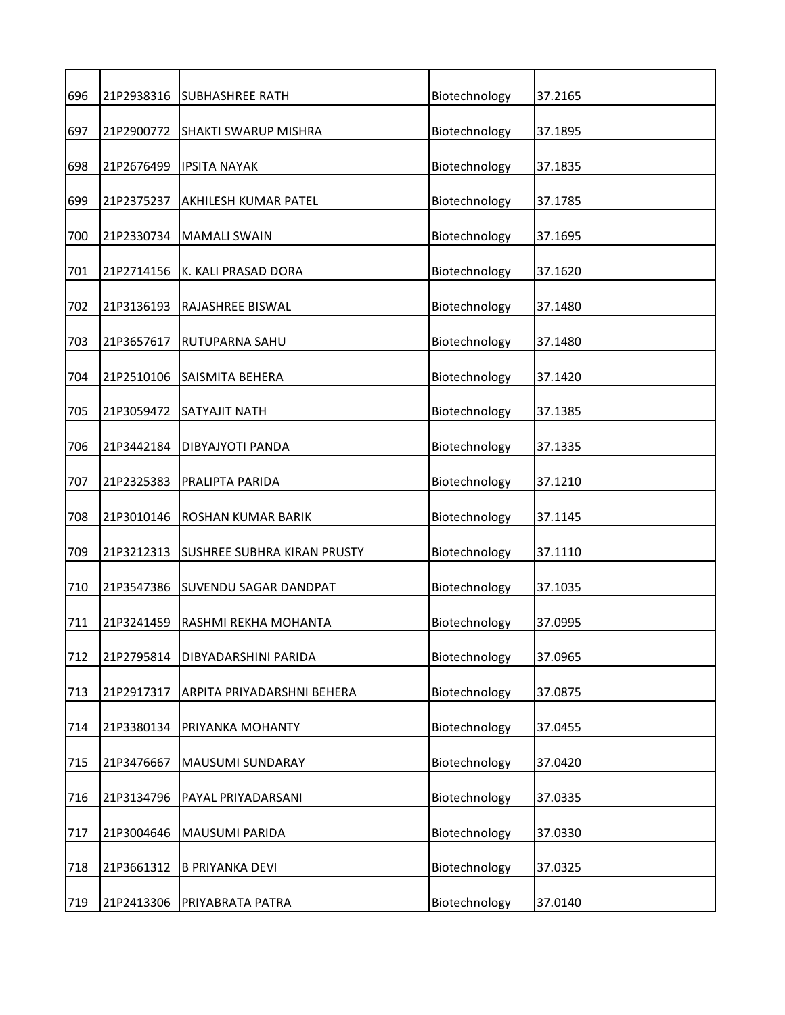| 696 | 21P2938316 | <b>SUBHASHREE RATH</b>             | Biotechnology | 37.2165 |
|-----|------------|------------------------------------|---------------|---------|
| 697 | 21P2900772 | SHAKTI SWARUP MISHRA               | Biotechnology | 37.1895 |
| 698 | 21P2676499 | <b>IPSITA NAYAK</b>                | Biotechnology | 37.1835 |
| 699 | 21P2375237 | AKHILESH KUMAR PATEL               | Biotechnology | 37.1785 |
| 700 | 21P2330734 | <b>MAMALI SWAIN</b>                | Biotechnology | 37.1695 |
| 701 | 21P2714156 | K. KALI PRASAD DORA                | Biotechnology | 37.1620 |
| 702 | 21P3136193 | RAJASHREE BISWAL                   | Biotechnology | 37.1480 |
| 703 | 21P3657617 | RUTUPARNA SAHU                     | Biotechnology | 37.1480 |
| 704 | 21P2510106 | SAISMITA BEHERA                    | Biotechnology | 37.1420 |
| 705 | 21P3059472 | SATYAJIT NATH                      | Biotechnology | 37.1385 |
| 706 | 21P3442184 | DIBYAJYOTI PANDA                   | Biotechnology | 37.1335 |
| 707 | 21P2325383 | PRALIPTA PARIDA                    | Biotechnology | 37.1210 |
| 708 | 21P3010146 | ROSHAN KUMAR BARIK                 | Biotechnology | 37.1145 |
| 709 | 21P3212313 | <b>SUSHREE SUBHRA KIRAN PRUSTY</b> | Biotechnology | 37.1110 |
| 710 | 21P3547386 | <b>SUVENDU SAGAR DANDPAT</b>       | Biotechnology | 37.1035 |
| 711 | 21P3241459 | RASHMI REKHA MOHANTA               | Biotechnology | 37.0995 |
| 712 | 21P2795814 | DIBYADARSHINI PARIDA               | Biotechnology | 37.0965 |
| 713 | 21P2917317 | ARPITA PRIYADARSHNI BEHERA         | Biotechnology | 37.0875 |
| 714 | 21P3380134 | PRIYANKA MOHANTY                   | Biotechnology | 37.0455 |
| 715 | 21P3476667 | MAUSUMI SUNDARAY                   | Biotechnology | 37.0420 |
| 716 | 21P3134796 | PAYAL PRIYADARSANI                 | Biotechnology | 37.0335 |
| 717 | 21P3004646 | MAUSUMI PARIDA                     | Biotechnology | 37.0330 |
| 718 | 21P3661312 | <b>B PRIYANKA DEVI</b>             | Biotechnology | 37.0325 |
| 719 | 21P2413306 | PRIYABRATA PATRA                   | Biotechnology | 37.0140 |
|     |            |                                    |               |         |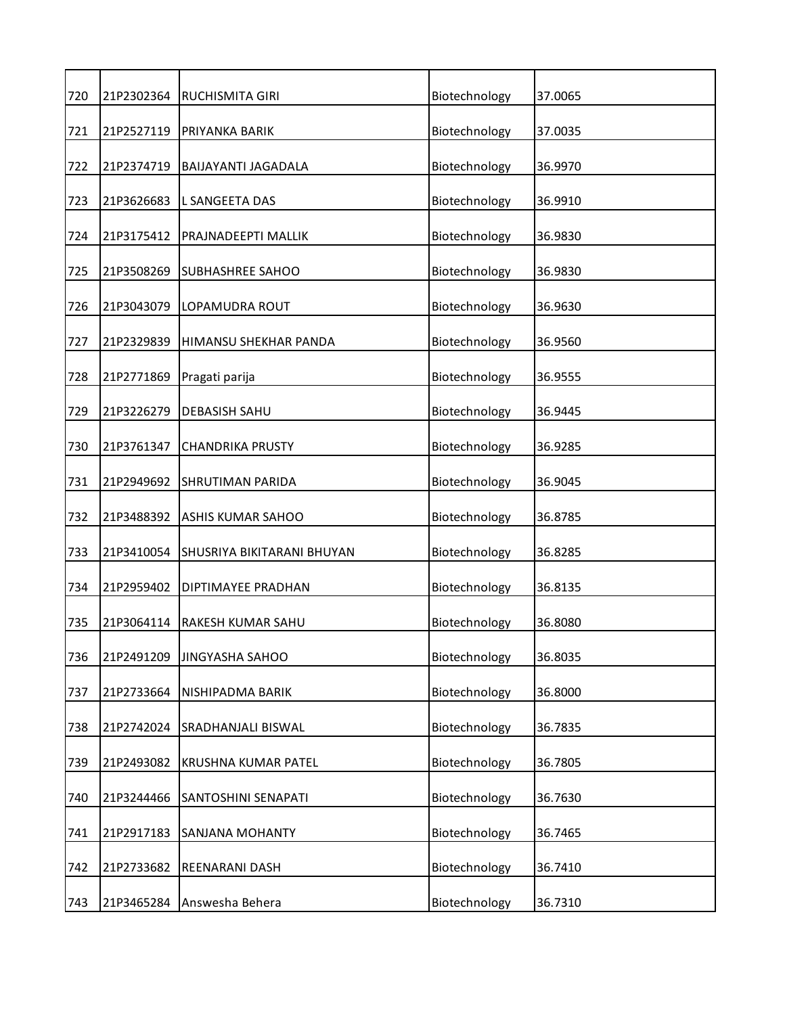| 720 | 21P2302364 | RUCHISMITA GIRI            | Biotechnology | 37.0065 |
|-----|------------|----------------------------|---------------|---------|
| 721 | 21P2527119 | PRIYANKA BARIK             | Biotechnology | 37.0035 |
| 722 | 21P2374719 | BAIJAYANTI JAGADALA        | Biotechnology | 36.9970 |
| 723 | 21P3626683 | L SANGEETA DAS             | Biotechnology | 36.9910 |
| 724 | 21P3175412 | PRAJNADEEPTI MALLIK        | Biotechnology | 36.9830 |
| 725 | 21P3508269 | <b>SUBHASHREE SAHOO</b>    | Biotechnology | 36.9830 |
| 726 | 21P3043079 | LOPAMUDRA ROUT             | Biotechnology | 36.9630 |
| 727 | 21P2329839 | HIMANSU SHEKHAR PANDA      | Biotechnology | 36.9560 |
| 728 | 21P2771869 | Pragati parija             | Biotechnology | 36.9555 |
| 729 | 21P3226279 | <b>DEBASISH SAHU</b>       | Biotechnology | 36.9445 |
| 730 | 21P3761347 | <b>CHANDRIKA PRUSTY</b>    | Biotechnology | 36.9285 |
| 731 | 21P2949692 | <b>SHRUTIMAN PARIDA</b>    | Biotechnology | 36.9045 |
| 732 | 21P3488392 | <b>ASHIS KUMAR SAHOO</b>   | Biotechnology | 36.8785 |
| 733 | 21P3410054 | SHUSRIYA BIKITARANI BHUYAN | Biotechnology | 36.8285 |
| 734 | 21P2959402 | DIPTIMAYEE PRADHAN         | Biotechnology | 36.8135 |
| 735 | 21P3064114 | RAKESH KUMAR SAHU          | Biotechnology | 36.8080 |
| 736 | 21P2491209 | <b>JINGYASHA SAHOO</b>     | Biotechnology | 36.8035 |
| 737 | 21P2733664 | NISHIPADMA BARIK           | Biotechnology | 36.8000 |
| 738 | 21P2742024 | SRADHANJALI BISWAL         | Biotechnology | 36.7835 |
| 739 | 21P2493082 | KRUSHNA KUMAR PATEL        | Biotechnology | 36.7805 |
| 740 | 21P3244466 | SANTOSHINI SENAPATI        | Biotechnology | 36.7630 |
| 741 | 21P2917183 | SANJANA MOHANTY            | Biotechnology | 36.7465 |
| 742 | 21P2733682 | REENARANI DASH             | Biotechnology | 36.7410 |
| 743 | 21P3465284 | Answesha Behera            | Biotechnology | 36.7310 |
|     |            |                            |               |         |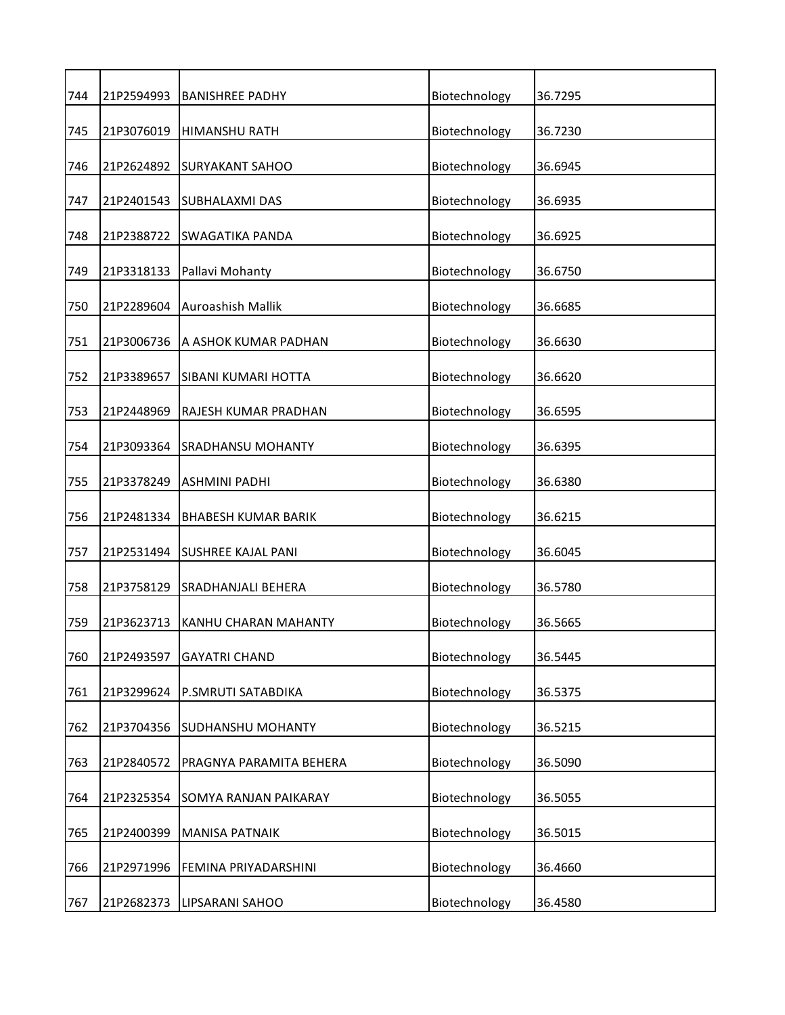| 744 | 21P2594993 | <b>BANISHREE PADHY</b>       | Biotechnology | 36.7295 |
|-----|------------|------------------------------|---------------|---------|
| 745 | 21P3076019 | <b>HIMANSHU RATH</b>         | Biotechnology | 36.7230 |
| 746 | 21P2624892 | <b>SURYAKANT SAHOO</b>       | Biotechnology | 36.6945 |
| 747 | 21P2401543 | <b>SUBHALAXMI DAS</b>        | Biotechnology | 36.6935 |
| 748 | 21P2388722 | <b>SWAGATIKA PANDA</b>       | Biotechnology | 36.6925 |
| 749 | 21P3318133 | Pallavi Mohanty              | Biotechnology | 36.6750 |
| 750 | 21P2289604 | Auroashish Mallik            | Biotechnology | 36.6685 |
| 751 | 21P3006736 | A ASHOK KUMAR PADHAN         | Biotechnology | 36.6630 |
| 752 | 21P3389657 | SIBANI KUMARI HOTTA          | Biotechnology | 36.6620 |
| 753 | 21P2448969 | RAJESH KUMAR PRADHAN         | Biotechnology | 36.6595 |
| 754 | 21P3093364 | SRADHANSU MOHANTY            | Biotechnology | 36.6395 |
| 755 | 21P3378249 | <b>ASHMINI PADHI</b>         | Biotechnology | 36.6380 |
| 756 | 21P2481334 | <b>BHABESH KUMAR BARIK</b>   | Biotechnology | 36.6215 |
| 757 | 21P2531494 | <b>SUSHREE KAJAL PANI</b>    | Biotechnology | 36.6045 |
| 758 | 21P3758129 | <b>SRADHANJALI BEHERA</b>    | Biotechnology | 36.5780 |
| 759 | 21P3623713 | KANHU CHARAN MAHANTY         | Biotechnology | 36.5665 |
| 760 | 21P2493597 | <b>GAYATRI CHAND</b>         | Biotechnology | 36.5445 |
| 761 | 21P3299624 | P.SMRUTI SATABDIKA           | Biotechnology | 36.5375 |
| 762 | 21P3704356 | SUDHANSHU MOHANTY            | Biotechnology | 36.5215 |
| 763 | 21P2840572 | PRAGNYA PARAMITA BEHERA      | Biotechnology | 36.5090 |
| 764 | 21P2325354 | <b>SOMYA RANJAN PAIKARAY</b> | Biotechnology | 36.5055 |
| 765 | 21P2400399 | <b>MANISA PATNAIK</b>        | Biotechnology | 36.5015 |
| 766 | 21P2971996 | FEMINA PRIYADARSHINI         | Biotechnology | 36.4660 |
| 767 | 21P2682373 | LIPSARANI SAHOO              | Biotechnology | 36.4580 |
|     |            |                              |               |         |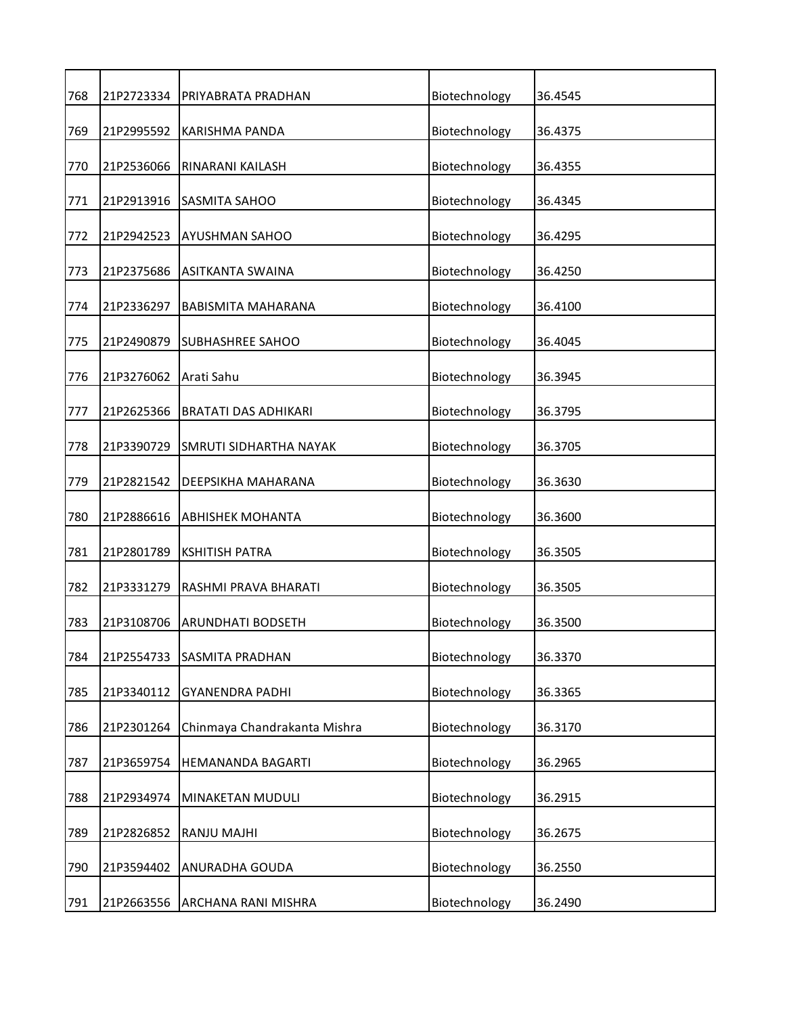| 768 | 21P2723334 | PRIYABRATA PRADHAN           | Biotechnology | 36.4545 |
|-----|------------|------------------------------|---------------|---------|
| 769 | 21P2995592 | KARISHMA PANDA               | Biotechnology | 36.4375 |
| 770 | 21P2536066 | RINARANI KAILASH             | Biotechnology | 36.4355 |
| 771 | 21P2913916 | SASMITA SAHOO                | Biotechnology | 36.4345 |
| 772 | 21P2942523 | <b>AYUSHMAN SAHOO</b>        | Biotechnology | 36.4295 |
| 773 | 21P2375686 | ASITKANTA SWAINA             | Biotechnology | 36.4250 |
| 774 | 21P2336297 | <b>BABISMITA MAHARANA</b>    | Biotechnology | 36.4100 |
| 775 | 21P2490879 | <b>SUBHASHREE SAHOO</b>      | Biotechnology | 36.4045 |
| 776 | 21P3276062 | Arati Sahu                   | Biotechnology | 36.3945 |
| 777 | 21P2625366 | <b>BRATATI DAS ADHIKARI</b>  | Biotechnology | 36.3795 |
| 778 | 21P3390729 | SMRUTI SIDHARTHA NAYAK       | Biotechnology | 36.3705 |
| 779 | 21P2821542 | DEEPSIKHA MAHARANA           | Biotechnology | 36.3630 |
| 780 | 21P2886616 | <b>ABHISHEK MOHANTA</b>      | Biotechnology | 36.3600 |
| 781 | 21P2801789 | <b>KSHITISH PATRA</b>        | Biotechnology | 36.3505 |
| 782 | 21P3331279 | RASHMI PRAVA BHARATI         | Biotechnology | 36.3505 |
| 783 | 21P3108706 | <b>ARUNDHATI BODSETH</b>     | Biotechnology | 36.3500 |
| 784 | 21P2554733 | SASMITA PRADHAN              | Biotechnology | 36.3370 |
| 785 | 21P3340112 | <b>GYANENDRA PADHI</b>       | Biotechnology | 36.3365 |
| 786 | 21P2301264 | Chinmaya Chandrakanta Mishra | Biotechnology | 36.3170 |
| 787 | 21P3659754 | HEMANANDA BAGARTI            | Biotechnology | 36.2965 |
| 788 | 21P2934974 | MINAKETAN MUDULI             | Biotechnology | 36.2915 |
| 789 | 21P2826852 | RANJU MAJHI                  | Biotechnology | 36.2675 |
| 790 | 21P3594402 | ANURADHA GOUDA               | Biotechnology | 36.2550 |
| 791 | 21P2663556 | ARCHANA RANI MISHRA          | Biotechnology | 36.2490 |
|     |            |                              |               |         |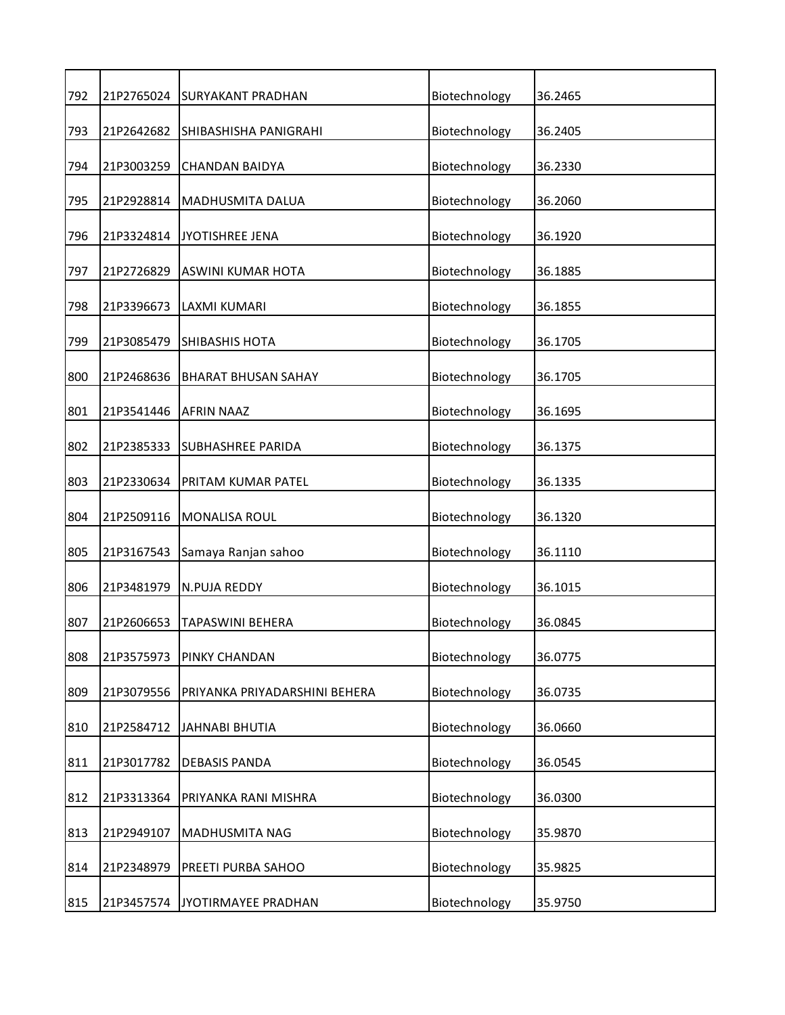| 792 | 21P2765024 | <b>SURYAKANT PRADHAN</b>      | Biotechnology | 36.2465 |
|-----|------------|-------------------------------|---------------|---------|
| 793 | 21P2642682 | SHIBASHISHA PANIGRAHI         | Biotechnology | 36.2405 |
| 794 | 21P3003259 | <b>CHANDAN BAIDYA</b>         | Biotechnology | 36.2330 |
| 795 | 21P2928814 | MADHUSMITA DALUA              | Biotechnology | 36.2060 |
| 796 | 21P3324814 | JYOTISHREE JENA               | Biotechnology | 36.1920 |
| 797 | 21P2726829 | ASWINI KUMAR HOTA             | Biotechnology | 36.1885 |
| 798 | 21P3396673 | LAXMI KUMARI                  | Biotechnology | 36.1855 |
| 799 | 21P3085479 | <b>SHIBASHIS HOTA</b>         | Biotechnology | 36.1705 |
| 800 | 21P2468636 | <b>BHARAT BHUSAN SAHAY</b>    | Biotechnology | 36.1705 |
| 801 | 21P3541446 | <b>AFRIN NAAZ</b>             | Biotechnology | 36.1695 |
| 802 | 21P2385333 | SUBHASHREE PARIDA             | Biotechnology | 36.1375 |
| 803 | 21P2330634 | PRITAM KUMAR PATEL            | Biotechnology | 36.1335 |
| 804 | 21P2509116 | MONALISA ROUL                 | Biotechnology | 36.1320 |
| 805 | 21P3167543 | Samaya Ranjan sahoo           | Biotechnology | 36.1110 |
| 806 | 21P3481979 | N.PUJA REDDY                  | Biotechnology | 36.1015 |
| 807 | 21P2606653 | TAPASWINI BEHERA              | Biotechnology | 36.0845 |
| 808 | 21P3575973 | PINKY CHANDAN                 | Biotechnology | 36.0775 |
| 809 | 21P3079556 | PRIYANKA PRIYADARSHINI BEHERA | Biotechnology | 36.0735 |
| 810 | 21P2584712 | JAHNABI BHUTIA                | Biotechnology | 36.0660 |
| 811 | 21P3017782 | <b>DEBASIS PANDA</b>          | Biotechnology | 36.0545 |
| 812 | 21P3313364 | PRIYANKA RANI MISHRA          | Biotechnology | 36.0300 |
| 813 | 21P2949107 | MADHUSMITA NAG                | Biotechnology | 35.9870 |
| 814 | 21P2348979 | PREETI PURBA SAHOO            | Biotechnology | 35.9825 |
| 815 | 21P3457574 | JYOTIRMAYEE PRADHAN           | Biotechnology | 35.9750 |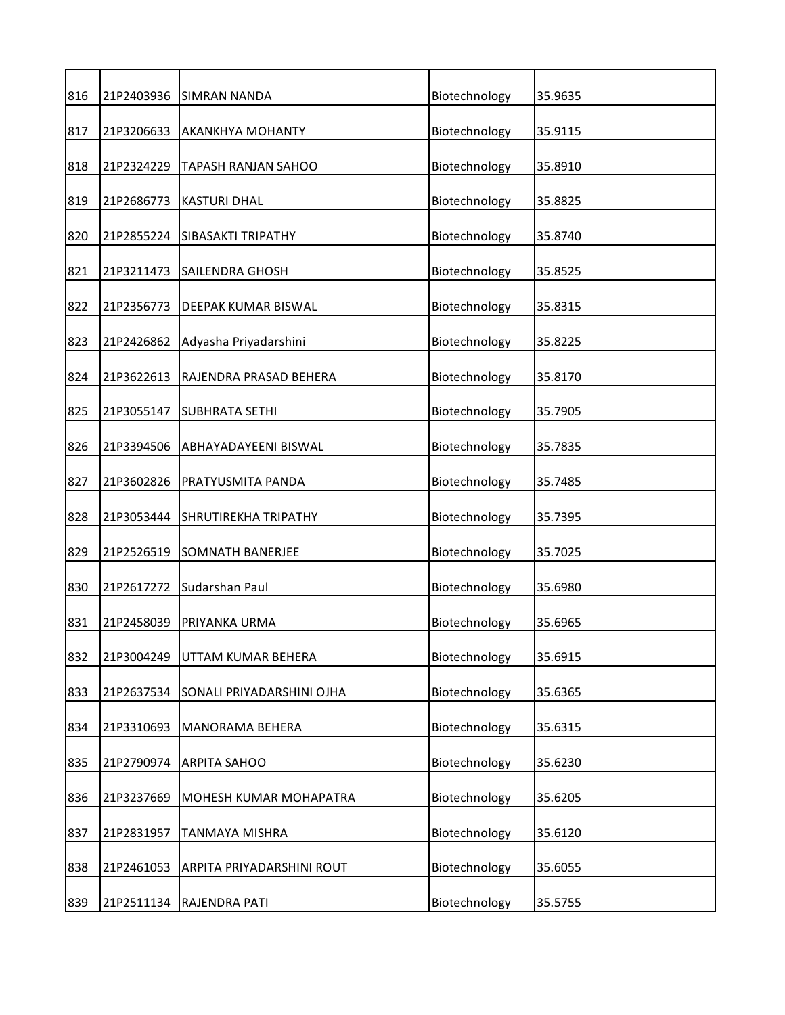| 816 | 21P2403936 | <b>SIMRAN NANDA</b>         | Biotechnology | 35.9635 |
|-----|------------|-----------------------------|---------------|---------|
| 817 | 21P3206633 | <b>AKANKHYA MOHANTY</b>     | Biotechnology | 35.9115 |
| 818 | 21P2324229 | TAPASH RANJAN SAHOO         | Biotechnology | 35.8910 |
| 819 | 21P2686773 | <b>KASTURI DHAL</b>         | Biotechnology | 35.8825 |
| 820 | 21P2855224 | SIBASAKTI TRIPATHY          | Biotechnology | 35.8740 |
| 821 | 21P3211473 | <b>SAILENDRA GHOSH</b>      | Biotechnology | 35.8525 |
| 822 | 21P2356773 | DEEPAK KUMAR BISWAL         | Biotechnology | 35.8315 |
| 823 | 21P2426862 | Adyasha Priyadarshini       | Biotechnology | 35.8225 |
| 824 | 21P3622613 | RAJENDRA PRASAD BEHERA      | Biotechnology | 35.8170 |
| 825 | 21P3055147 | <b>SUBHRATA SETHI</b>       | Biotechnology | 35.7905 |
| 826 | 21P3394506 | ABHAYADAYEENI BISWAL        | Biotechnology | 35.7835 |
| 827 | 21P3602826 | PRATYUSMITA PANDA           | Biotechnology | 35.7485 |
| 828 | 21P3053444 | <b>SHRUTIREKHA TRIPATHY</b> | Biotechnology | 35.7395 |
| 829 | 21P2526519 | <b>SOMNATH BANERJEE</b>     | Biotechnology | 35.7025 |
| 830 | 21P2617272 | Sudarshan Paul              | Biotechnology | 35.6980 |
| 831 | 21P2458039 | PRIYANKA URMA               | Biotechnology | 35.6965 |
| 832 | 21P3004249 | UTTAM KUMAR BEHERA          | Biotechnology | 35.6915 |
| 833 | 21P2637534 | SONALI PRIYADARSHINI OJHA   | Biotechnology | 35.6365 |
| 834 | 21P3310693 | MANORAMA BEHERA             | Biotechnology | 35.6315 |
| 835 | 21P2790974 | <b>ARPITA SAHOO</b>         | Biotechnology | 35.6230 |
| 836 | 21P3237669 | MOHESH KUMAR MOHAPATRA      | Biotechnology | 35.6205 |
| 837 | 21P2831957 | TANMAYA MISHRA              | Biotechnology | 35.6120 |
| 838 | 21P2461053 | ARPITA PRIYADARSHINI ROUT   | Biotechnology | 35.6055 |
| 839 | 21P2511134 | RAJENDRA PATI               | Biotechnology | 35.5755 |
|     |            |                             |               |         |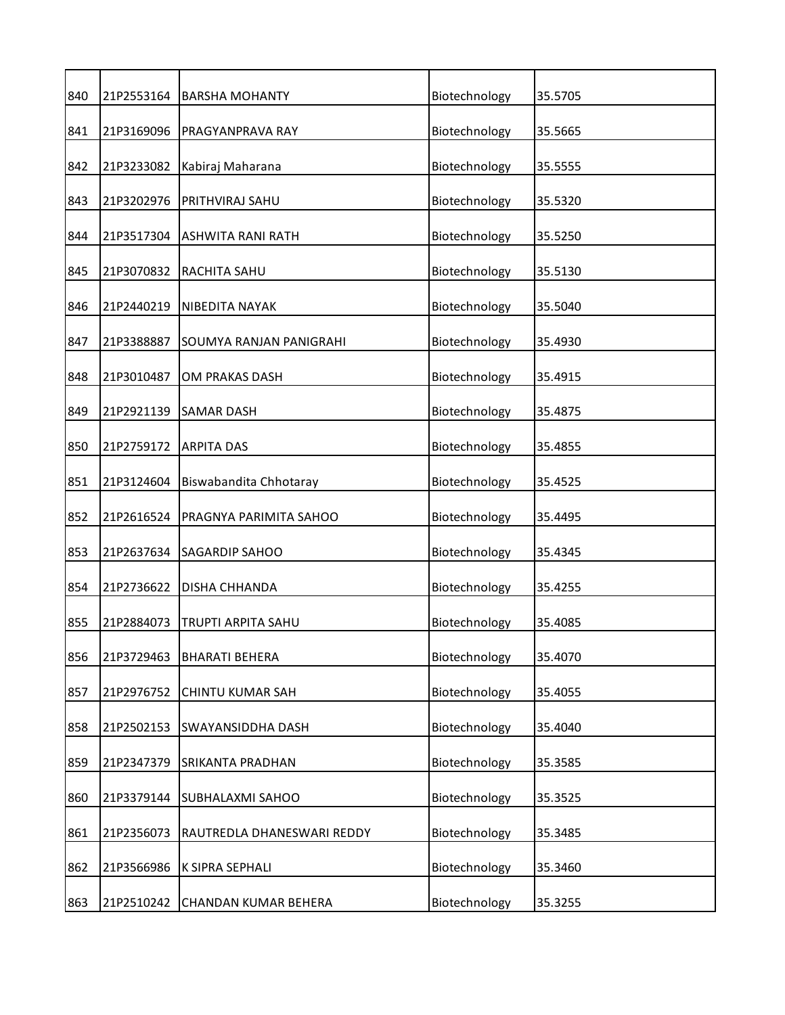| 840<br>Biotechnology<br>21P2553164<br>35.5705<br><b>BARSHA MOHANTY</b><br>21P3169096<br>Biotechnology<br>841<br>PRAGYANPRAVA RAY<br>35.5665<br>21P3233082<br>842<br>Kabiraj Maharana<br>Biotechnology<br>35.5555<br>21P3202976<br>Biotechnology<br>843<br>PRITHVIRAJ SAHU<br>35.5320<br>844<br>21P3517304<br>Biotechnology<br><b>ASHWITA RANI RATH</b><br>35.5250<br>21P3070832<br>Biotechnology<br>845<br>RACHITA SAHU<br>35.5130<br>846<br>21P2440219<br>Biotechnology<br>NIBEDITA NAYAK<br>35.5040<br>21P3388887<br>Biotechnology<br>847<br>35.4930<br>SOUMYA RANJAN PANIGRAHI<br>21P3010487<br>Biotechnology<br>848<br>OM PRAKAS DASH<br>35.4915<br>21P2921139<br>849<br><b>SAMAR DASH</b><br>Biotechnology<br>35.4875<br>850<br>21P2759172<br><b>ARPITA DAS</b><br>Biotechnology<br>35.4855<br>851<br>21P3124604<br>Biswabandita Chhotaray<br>Biotechnology<br>35.4525<br>21P2616524<br>Biotechnology<br>852<br>PRAGNYA PARIMITA SAHOO<br>35.4495<br>853<br>21P2637634<br>Biotechnology<br><b>SAGARDIP SAHOO</b><br>35.4345<br>854<br>21P2736622<br>Biotechnology<br><b>DISHA CHHANDA</b><br>35.4255<br>855<br>21P2884073<br>Biotechnology<br>TRUPTI ARPITA SAHU<br>35.4085<br>856<br>Biotechnology<br>35.4070<br>21P3729463<br><b>BHARATI BEHERA</b> |     |            |                         |               |         |
|------------------------------------------------------------------------------------------------------------------------------------------------------------------------------------------------------------------------------------------------------------------------------------------------------------------------------------------------------------------------------------------------------------------------------------------------------------------------------------------------------------------------------------------------------------------------------------------------------------------------------------------------------------------------------------------------------------------------------------------------------------------------------------------------------------------------------------------------------------------------------------------------------------------------------------------------------------------------------------------------------------------------------------------------------------------------------------------------------------------------------------------------------------------------------------------------------------------------------------------------------------|-----|------------|-------------------------|---------------|---------|
|                                                                                                                                                                                                                                                                                                                                                                                                                                                                                                                                                                                                                                                                                                                                                                                                                                                                                                                                                                                                                                                                                                                                                                                                                                                            |     |            |                         |               |         |
|                                                                                                                                                                                                                                                                                                                                                                                                                                                                                                                                                                                                                                                                                                                                                                                                                                                                                                                                                                                                                                                                                                                                                                                                                                                            |     |            |                         |               |         |
|                                                                                                                                                                                                                                                                                                                                                                                                                                                                                                                                                                                                                                                                                                                                                                                                                                                                                                                                                                                                                                                                                                                                                                                                                                                            |     |            |                         |               |         |
|                                                                                                                                                                                                                                                                                                                                                                                                                                                                                                                                                                                                                                                                                                                                                                                                                                                                                                                                                                                                                                                                                                                                                                                                                                                            |     |            |                         |               |         |
|                                                                                                                                                                                                                                                                                                                                                                                                                                                                                                                                                                                                                                                                                                                                                                                                                                                                                                                                                                                                                                                                                                                                                                                                                                                            |     |            |                         |               |         |
|                                                                                                                                                                                                                                                                                                                                                                                                                                                                                                                                                                                                                                                                                                                                                                                                                                                                                                                                                                                                                                                                                                                                                                                                                                                            |     |            |                         |               |         |
|                                                                                                                                                                                                                                                                                                                                                                                                                                                                                                                                                                                                                                                                                                                                                                                                                                                                                                                                                                                                                                                                                                                                                                                                                                                            |     |            |                         |               |         |
|                                                                                                                                                                                                                                                                                                                                                                                                                                                                                                                                                                                                                                                                                                                                                                                                                                                                                                                                                                                                                                                                                                                                                                                                                                                            |     |            |                         |               |         |
|                                                                                                                                                                                                                                                                                                                                                                                                                                                                                                                                                                                                                                                                                                                                                                                                                                                                                                                                                                                                                                                                                                                                                                                                                                                            |     |            |                         |               |         |
|                                                                                                                                                                                                                                                                                                                                                                                                                                                                                                                                                                                                                                                                                                                                                                                                                                                                                                                                                                                                                                                                                                                                                                                                                                                            |     |            |                         |               |         |
|                                                                                                                                                                                                                                                                                                                                                                                                                                                                                                                                                                                                                                                                                                                                                                                                                                                                                                                                                                                                                                                                                                                                                                                                                                                            |     |            |                         |               |         |
|                                                                                                                                                                                                                                                                                                                                                                                                                                                                                                                                                                                                                                                                                                                                                                                                                                                                                                                                                                                                                                                                                                                                                                                                                                                            |     |            |                         |               |         |
|                                                                                                                                                                                                                                                                                                                                                                                                                                                                                                                                                                                                                                                                                                                                                                                                                                                                                                                                                                                                                                                                                                                                                                                                                                                            |     |            |                         |               |         |
|                                                                                                                                                                                                                                                                                                                                                                                                                                                                                                                                                                                                                                                                                                                                                                                                                                                                                                                                                                                                                                                                                                                                                                                                                                                            |     |            |                         |               |         |
|                                                                                                                                                                                                                                                                                                                                                                                                                                                                                                                                                                                                                                                                                                                                                                                                                                                                                                                                                                                                                                                                                                                                                                                                                                                            |     |            |                         |               |         |
|                                                                                                                                                                                                                                                                                                                                                                                                                                                                                                                                                                                                                                                                                                                                                                                                                                                                                                                                                                                                                                                                                                                                                                                                                                                            |     |            |                         |               |         |
|                                                                                                                                                                                                                                                                                                                                                                                                                                                                                                                                                                                                                                                                                                                                                                                                                                                                                                                                                                                                                                                                                                                                                                                                                                                            |     |            |                         |               |         |
|                                                                                                                                                                                                                                                                                                                                                                                                                                                                                                                                                                                                                                                                                                                                                                                                                                                                                                                                                                                                                                                                                                                                                                                                                                                            | 857 | 21P2976752 | <b>CHINTU KUMAR SAH</b> | Biotechnology | 35.4055 |
| 21P2502153<br>Biotechnology<br>858<br>SWAYANSIDDHA DASH<br>35.4040                                                                                                                                                                                                                                                                                                                                                                                                                                                                                                                                                                                                                                                                                                                                                                                                                                                                                                                                                                                                                                                                                                                                                                                         |     |            |                         |               |         |
| Biotechnology<br>859<br>21P2347379<br>35.3585<br>SRIKANTA PRADHAN                                                                                                                                                                                                                                                                                                                                                                                                                                                                                                                                                                                                                                                                                                                                                                                                                                                                                                                                                                                                                                                                                                                                                                                          |     |            |                         |               |         |
| 860<br>21P3379144<br>Biotechnology<br><b>SUBHALAXMI SAHOO</b><br>35.3525                                                                                                                                                                                                                                                                                                                                                                                                                                                                                                                                                                                                                                                                                                                                                                                                                                                                                                                                                                                                                                                                                                                                                                                   |     |            |                         |               |         |
| 21P2356073<br>Biotechnology<br>35.3485<br>861<br>RAUTREDLA DHANESWARI REDDY                                                                                                                                                                                                                                                                                                                                                                                                                                                                                                                                                                                                                                                                                                                                                                                                                                                                                                                                                                                                                                                                                                                                                                                |     |            |                         |               |         |
| Biotechnology<br>862<br>21P3566986<br>K SIPRA SEPHALI<br>35.3460                                                                                                                                                                                                                                                                                                                                                                                                                                                                                                                                                                                                                                                                                                                                                                                                                                                                                                                                                                                                                                                                                                                                                                                           |     |            |                         |               |         |
| Biotechnology<br>863<br>21P2510242<br>35.3255<br>CHANDAN KUMAR BEHERA                                                                                                                                                                                                                                                                                                                                                                                                                                                                                                                                                                                                                                                                                                                                                                                                                                                                                                                                                                                                                                                                                                                                                                                      |     |            |                         |               |         |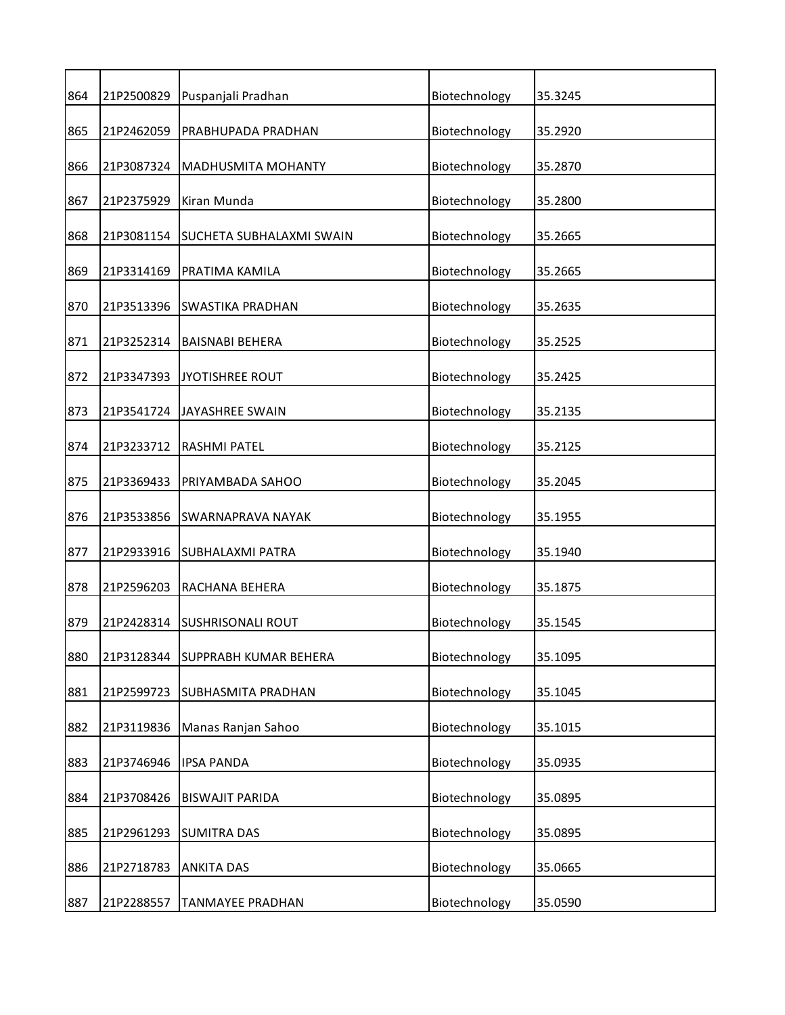| 864 | 21P2500829 | Puspanjali Pradhan           | Biotechnology | 35.3245 |
|-----|------------|------------------------------|---------------|---------|
| 865 | 21P2462059 | PRABHUPADA PRADHAN           | Biotechnology | 35.2920 |
| 866 | 21P3087324 | MADHUSMITA MOHANTY           | Biotechnology | 35.2870 |
| 867 | 21P2375929 | Kiran Munda                  | Biotechnology | 35.2800 |
| 868 | 21P3081154 | SUCHETA SUBHALAXMI SWAIN     | Biotechnology | 35.2665 |
| 869 | 21P3314169 | PRATIMA KAMILA               | Biotechnology | 35.2665 |
| 870 | 21P3513396 | <b>SWASTIKA PRADHAN</b>      | Biotechnology | 35.2635 |
| 871 | 21P3252314 | <b>BAISNABI BEHERA</b>       | Biotechnology | 35.2525 |
| 872 | 21P3347393 | <b>JYOTISHREE ROUT</b>       | Biotechnology | 35.2425 |
| 873 | 21P3541724 | <b>JAYASHREE SWAIN</b>       | Biotechnology | 35.2135 |
| 874 | 21P3233712 | <b>RASHMI PATEL</b>          | Biotechnology | 35.2125 |
| 875 | 21P3369433 | PRIYAMBADA SAHOO             | Biotechnology | 35.2045 |
| 876 | 21P3533856 | SWARNAPRAVA NAYAK            | Biotechnology | 35.1955 |
| 877 | 21P2933916 | <b>SUBHALAXMI PATRA</b>      | Biotechnology | 35.1940 |
| 878 | 21P2596203 | RACHANA BEHERA               | Biotechnology | 35.1875 |
| 879 | 21P2428314 | <b>SUSHRISONALI ROUT</b>     | Biotechnology | 35.1545 |
| 880 | 21P3128344 | <b>SUPPRABH KUMAR BEHERA</b> | Biotechnology | 35.1095 |
| 881 | 21P2599723 | SUBHASMITA PRADHAN           | Biotechnology | 35.1045 |
| 882 | 21P3119836 | Manas Ranjan Sahoo           | Biotechnology | 35.1015 |
| 883 | 21P3746946 | <b>IPSA PANDA</b>            | Biotechnology | 35.0935 |
| 884 | 21P3708426 | <b>BISWAJIT PARIDA</b>       | Biotechnology | 35.0895 |
| 885 | 21P2961293 | <b>SUMITRA DAS</b>           | Biotechnology | 35.0895 |
| 886 | 21P2718783 | <b>ANKITA DAS</b>            | Biotechnology | 35.0665 |
| 887 | 21P2288557 | TANMAYEE PRADHAN             | Biotechnology | 35.0590 |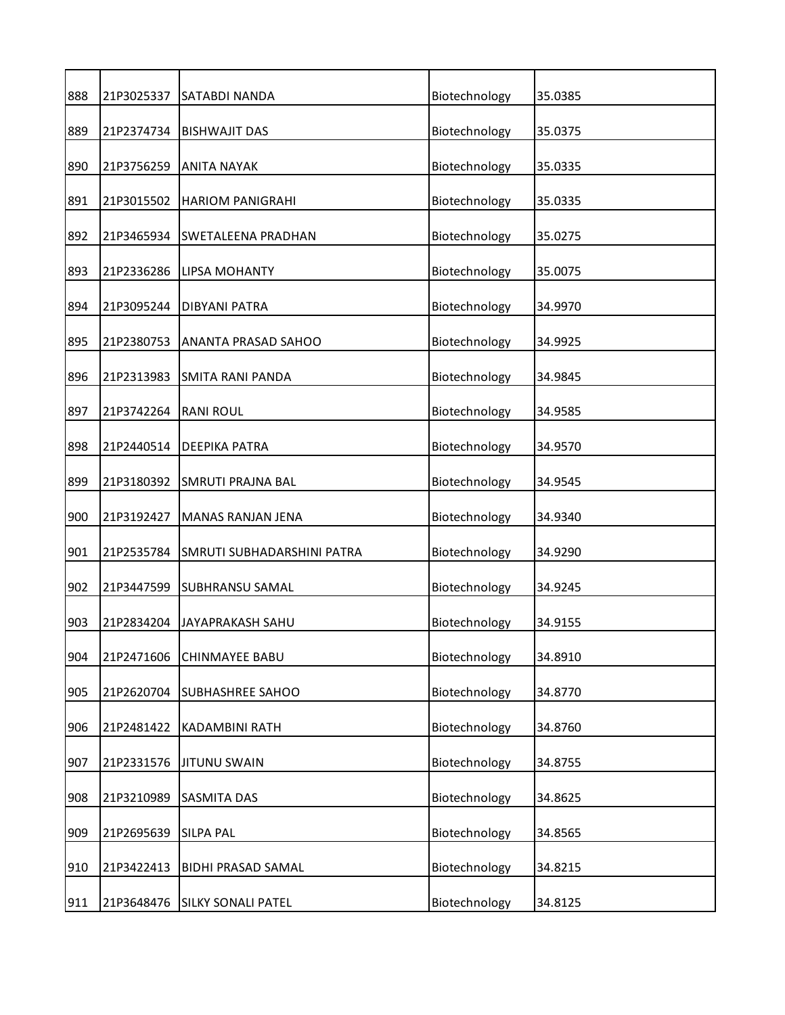| 888 | 21P3025337 | SATABDI NANDA              | Biotechnology | 35.0385 |
|-----|------------|----------------------------|---------------|---------|
| 889 | 21P2374734 | <b>BISHWAJIT DAS</b>       | Biotechnology | 35.0375 |
| 890 | 21P3756259 | <b>ANITA NAYAK</b>         | Biotechnology | 35.0335 |
| 891 | 21P3015502 | <b>HARIOM PANIGRAHI</b>    | Biotechnology | 35.0335 |
| 892 | 21P3465934 | <b>SWETALEENA PRADHAN</b>  | Biotechnology | 35.0275 |
| 893 | 21P2336286 | <b>LIPSA MOHANTY</b>       | Biotechnology | 35.0075 |
| 894 | 21P3095244 | <b>DIBYANI PATRA</b>       | Biotechnology | 34.9970 |
| 895 | 21P2380753 | <b>ANANTA PRASAD SAHOO</b> | Biotechnology | 34.9925 |
| 896 | 21P2313983 | <b>SMITA RANI PANDA</b>    | Biotechnology | 34.9845 |
| 897 | 21P3742264 | <b>RANI ROUL</b>           | Biotechnology | 34.9585 |
| 898 | 21P2440514 | <b>DEEPIKA PATRA</b>       | Biotechnology | 34.9570 |
| 899 | 21P3180392 | <b>SMRUTI PRAJNA BAL</b>   | Biotechnology | 34.9545 |
| 900 | 21P3192427 | MANAS RANJAN JENA          | Biotechnology | 34.9340 |
| 901 | 21P2535784 | SMRUTI SUBHADARSHINI PATRA | Biotechnology | 34.9290 |
| 902 | 21P3447599 | SUBHRANSU SAMAL            | Biotechnology | 34.9245 |
| 903 | 21P2834204 | JAYAPRAKASH SAHU           | Biotechnology | 34.9155 |
| 904 | 21P2471606 | <b>CHINMAYEE BABU</b>      | Biotechnology | 34.8910 |
| 905 | 21P2620704 | <b>SUBHASHREE SAHOO</b>    | Biotechnology | 34.8770 |
| 906 | 21P2481422 | KADAMBINI RATH             | Biotechnology | 34.8760 |
| 907 | 21P2331576 | <b>JITUNU SWAIN</b>        | Biotechnology | 34.8755 |
| 908 | 21P3210989 | <b>SASMITA DAS</b>         | Biotechnology | 34.8625 |
| 909 | 21P2695639 | <b>SILPA PAL</b>           | Biotechnology | 34.8565 |
| 910 | 21P3422413 | <b>BIDHI PRASAD SAMAL</b>  | Biotechnology | 34.8215 |
| 911 | 21P3648476 | <b>SILKY SONALI PATEL</b>  | Biotechnology | 34.8125 |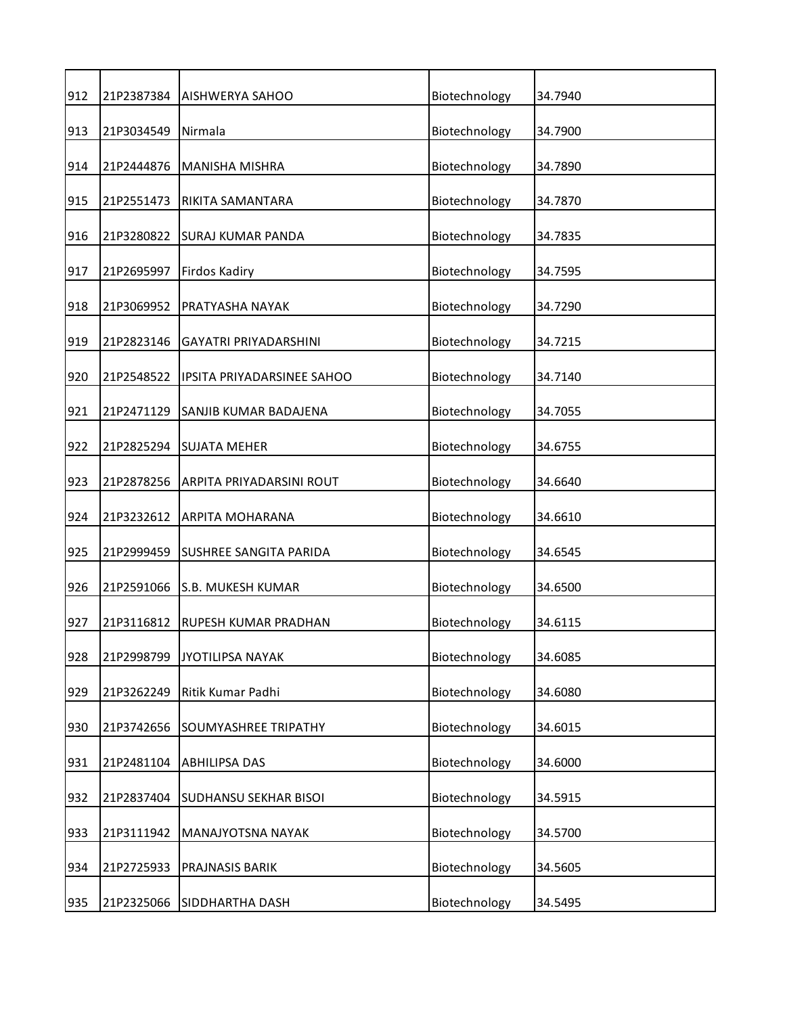| 912 | 21P2387384 | <b>AISHWERYA SAHOO</b>        | Biotechnology | 34.7940 |
|-----|------------|-------------------------------|---------------|---------|
| 913 | 21P3034549 | Nirmala                       | Biotechnology | 34.7900 |
| 914 | 21P2444876 | MANISHA MISHRA                | Biotechnology | 34.7890 |
| 915 | 21P2551473 | RIKITA SAMANTARA              | Biotechnology | 34.7870 |
| 916 | 21P3280822 | <b>SURAJ KUMAR PANDA</b>      | Biotechnology | 34.7835 |
| 917 | 21P2695997 | Firdos Kadiry                 | Biotechnology | 34.7595 |
| 918 | 21P3069952 | PRATYASHA NAYAK               | Biotechnology | 34.7290 |
| 919 | 21P2823146 | <b>GAYATRI PRIYADARSHINI</b>  | Biotechnology | 34.7215 |
| 920 | 21P2548522 | IPSITA PRIYADARSINEE SAHOO    | Biotechnology | 34.7140 |
| 921 | 21P2471129 | SANJIB KUMAR BADAJENA         | Biotechnology | 34.7055 |
| 922 | 21P2825294 | <b>SUJATA MEHER</b>           | Biotechnology | 34.6755 |
| 923 | 21P2878256 | ARPITA PRIYADARSINI ROUT      | Biotechnology | 34.6640 |
| 924 | 21P3232612 | ARPITA MOHARANA               | Biotechnology | 34.6610 |
| 925 | 21P2999459 | <b>SUSHREE SANGITA PARIDA</b> | Biotechnology | 34.6545 |
| 926 | 21P2591066 | <b>S.B. MUKESH KUMAR</b>      | Biotechnology | 34.6500 |
| 927 | 21P3116812 | RUPESH KUMAR PRADHAN          | Biotechnology | 34.6115 |
| 928 | 21P2998799 | <b>JYOTILIPSA NAYAK</b>       | Biotechnology | 34.6085 |
| 929 | 21P3262249 | Ritik Kumar Padhi             | Biotechnology | 34.6080 |
| 930 | 21P3742656 | SOUMYASHREE TRIPATHY          | Biotechnology | 34.6015 |
| 931 | 21P2481104 | ABHILIPSA DAS                 | Biotechnology | 34.6000 |
| 932 | 21P2837404 | <b>SUDHANSU SEKHAR BISOI</b>  | Biotechnology | 34.5915 |
| 933 | 21P3111942 | MANAJYOTSNA NAYAK             | Biotechnology | 34.5700 |
| 934 | 21P2725933 | PRAJNASIS BARIK               | Biotechnology | 34.5605 |
| 935 | 21P2325066 | SIDDHARTHA DASH               | Biotechnology | 34.5495 |
|     |            |                               |               |         |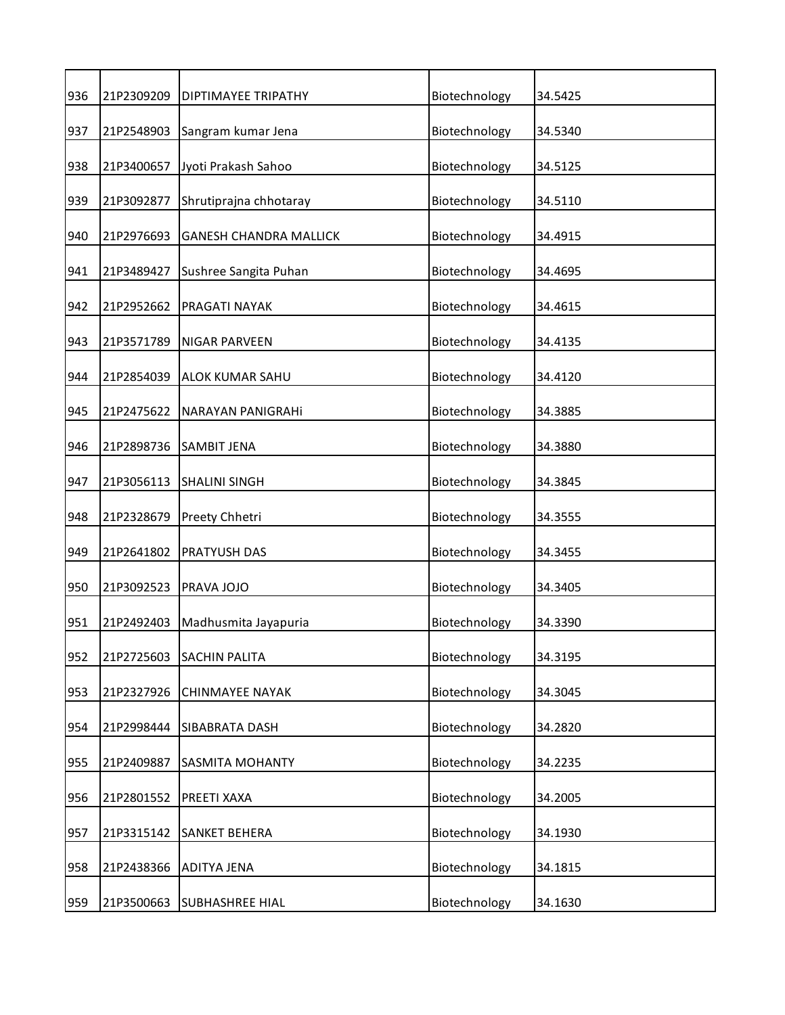| 936 | 21P2309209 | DIPTIMAYEE TRIPATHY           | Biotechnology | 34.5425 |
|-----|------------|-------------------------------|---------------|---------|
| 937 | 21P2548903 | Sangram kumar Jena            | Biotechnology | 34.5340 |
| 938 | 21P3400657 | Jyoti Prakash Sahoo           | Biotechnology | 34.5125 |
| 939 | 21P3092877 | Shrutiprajna chhotaray        | Biotechnology | 34.5110 |
| 940 | 21P2976693 | <b>GANESH CHANDRA MALLICK</b> | Biotechnology | 34.4915 |
| 941 | 21P3489427 | Sushree Sangita Puhan         | Biotechnology | 34.4695 |
| 942 | 21P2952662 | PRAGATI NAYAK                 | Biotechnology | 34.4615 |
| 943 | 21P3571789 | <b>NIGAR PARVEEN</b>          | Biotechnology | 34.4135 |
| 944 | 21P2854039 | ALOK KUMAR SAHU               | Biotechnology | 34.4120 |
| 945 | 21P2475622 | NARAYAN PANIGRAHI             | Biotechnology | 34.3885 |
| 946 | 21P2898736 | <b>SAMBIT JENA</b>            | Biotechnology | 34.3880 |
| 947 | 21P3056113 | <b>SHALINI SINGH</b>          | Biotechnology | 34.3845 |
| 948 | 21P2328679 | Preety Chhetri                | Biotechnology | 34.3555 |
| 949 | 21P2641802 | PRATYUSH DAS                  | Biotechnology | 34.3455 |
| 950 | 21P3092523 | PRAVA JOJO                    | Biotechnology | 34.3405 |
| 951 | 21P2492403 | Madhusmita Jayapuria          | Biotechnology | 34.3390 |
| 952 | 21P2725603 | <b>SACHIN PALITA</b>          | Biotechnology | 34.3195 |
| 953 | 21P2327926 | <b>CHINMAYEE NAYAK</b>        | Biotechnology | 34.3045 |
| 954 | 21P2998444 | SIBABRATA DASH                | Biotechnology | 34.2820 |
| 955 | 21P2409887 | <b>SASMITA MOHANTY</b>        | Biotechnology | 34.2235 |
| 956 | 21P2801552 | PREETI XAXA                   | Biotechnology | 34.2005 |
| 957 | 21P3315142 | <b>SANKET BEHERA</b>          | Biotechnology | 34.1930 |
| 958 | 21P2438366 | <b>ADITYA JENA</b>            | Biotechnology | 34.1815 |
| 959 | 21P3500663 | <b>SUBHASHREE HIAL</b>        | Biotechnology | 34.1630 |
|     |            |                               |               |         |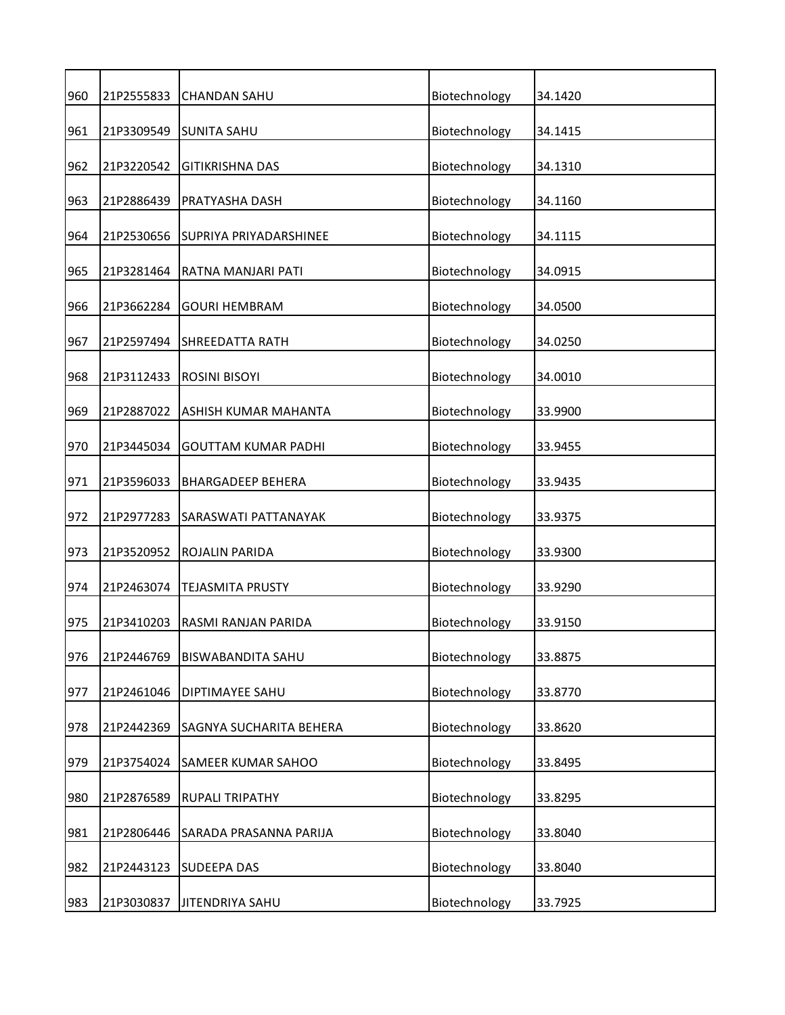| 960<br>Biotechnology<br>21P2555833<br>34.1420<br><b>CHANDAN SAHU</b><br>21P3309549<br>Biotechnology<br>961<br><b>SUNITA SAHU</b><br>34.1415<br>962<br>21P3220542<br>Biotechnology<br><b>GITIKRISHNA DAS</b><br>34.1310<br>21P2886439<br>Biotechnology<br>963<br>PRATYASHA DASH<br>34.1160<br>21P2530656<br>Biotechnology<br>964<br>SUPRIYA PRIYADARSHINEE<br>34.1115<br>21P3281464<br>Biotechnology<br>965<br>RATNA MANJARI PATI<br>34.0915<br>21P3662284<br>Biotechnology<br>966<br><b>GOURI HEMBRAM</b><br>34.0500<br>Biotechnology<br>967<br>21P2597494<br><b>SHREEDATTA RATH</b><br>34.0250<br>21P3112433<br>Biotechnology<br>968<br><b>ROSINI BISOYI</b><br>34.0010<br>969<br>21P2887022<br>ASHISH KUMAR MAHANTA<br>Biotechnology<br>33.9900<br>970<br>21P3445034<br>Biotechnology<br><b>GOUTTAM KUMAR PADHI</b><br>33.9455<br>971<br>21P3596033<br>Biotechnology<br>33.9435<br><b>BHARGADEEP BEHERA</b><br>21P2977283<br>Biotechnology<br>972<br>SARASWATI PATTANAYAK<br>33.9375<br>973<br>21P3520952<br>Biotechnology<br>33.9300<br>ROJALIN PARIDA<br>Biotechnology<br>974<br>21P2463074<br><b>TEJASMITA PRUSTY</b><br>33.9290<br>975<br>21P3410203<br>Biotechnology<br>RASMI RANJAN PARIDA<br>33.9150<br>976<br>21P2446769<br>Biotechnology<br>33.8875<br>BISWABANDITA SAHU<br>Biotechnology<br>977<br>21P2461046<br>DIPTIMAYEE SAHU<br>33.8770<br>Biotechnology<br>978<br>21P2442369<br>SAGNYA SUCHARITA BEHERA<br>33.8620<br>Biotechnology<br>979<br>21P3754024<br>33.8495<br>SAMEER KUMAR SAHOO<br>980<br>21P2876589<br>Biotechnology<br>33.8295<br><b>RUPALI TRIPATHY</b><br>21P2806446<br>Biotechnology<br>33.8040<br>981<br>SARADA PRASANNA PARIJA<br>Biotechnology<br>982<br>21P2443123<br><b>SUDEEPA DAS</b><br>33.8040 |  |  |  |
|-----------------------------------------------------------------------------------------------------------------------------------------------------------------------------------------------------------------------------------------------------------------------------------------------------------------------------------------------------------------------------------------------------------------------------------------------------------------------------------------------------------------------------------------------------------------------------------------------------------------------------------------------------------------------------------------------------------------------------------------------------------------------------------------------------------------------------------------------------------------------------------------------------------------------------------------------------------------------------------------------------------------------------------------------------------------------------------------------------------------------------------------------------------------------------------------------------------------------------------------------------------------------------------------------------------------------------------------------------------------------------------------------------------------------------------------------------------------------------------------------------------------------------------------------------------------------------------------------------------------------------------------------------------------------------------------------------------------------------------------|--|--|--|
|                                                                                                                                                                                                                                                                                                                                                                                                                                                                                                                                                                                                                                                                                                                                                                                                                                                                                                                                                                                                                                                                                                                                                                                                                                                                                                                                                                                                                                                                                                                                                                                                                                                                                                                                         |  |  |  |
|                                                                                                                                                                                                                                                                                                                                                                                                                                                                                                                                                                                                                                                                                                                                                                                                                                                                                                                                                                                                                                                                                                                                                                                                                                                                                                                                                                                                                                                                                                                                                                                                                                                                                                                                         |  |  |  |
|                                                                                                                                                                                                                                                                                                                                                                                                                                                                                                                                                                                                                                                                                                                                                                                                                                                                                                                                                                                                                                                                                                                                                                                                                                                                                                                                                                                                                                                                                                                                                                                                                                                                                                                                         |  |  |  |
|                                                                                                                                                                                                                                                                                                                                                                                                                                                                                                                                                                                                                                                                                                                                                                                                                                                                                                                                                                                                                                                                                                                                                                                                                                                                                                                                                                                                                                                                                                                                                                                                                                                                                                                                         |  |  |  |
|                                                                                                                                                                                                                                                                                                                                                                                                                                                                                                                                                                                                                                                                                                                                                                                                                                                                                                                                                                                                                                                                                                                                                                                                                                                                                                                                                                                                                                                                                                                                                                                                                                                                                                                                         |  |  |  |
|                                                                                                                                                                                                                                                                                                                                                                                                                                                                                                                                                                                                                                                                                                                                                                                                                                                                                                                                                                                                                                                                                                                                                                                                                                                                                                                                                                                                                                                                                                                                                                                                                                                                                                                                         |  |  |  |
|                                                                                                                                                                                                                                                                                                                                                                                                                                                                                                                                                                                                                                                                                                                                                                                                                                                                                                                                                                                                                                                                                                                                                                                                                                                                                                                                                                                                                                                                                                                                                                                                                                                                                                                                         |  |  |  |
|                                                                                                                                                                                                                                                                                                                                                                                                                                                                                                                                                                                                                                                                                                                                                                                                                                                                                                                                                                                                                                                                                                                                                                                                                                                                                                                                                                                                                                                                                                                                                                                                                                                                                                                                         |  |  |  |
|                                                                                                                                                                                                                                                                                                                                                                                                                                                                                                                                                                                                                                                                                                                                                                                                                                                                                                                                                                                                                                                                                                                                                                                                                                                                                                                                                                                                                                                                                                                                                                                                                                                                                                                                         |  |  |  |
|                                                                                                                                                                                                                                                                                                                                                                                                                                                                                                                                                                                                                                                                                                                                                                                                                                                                                                                                                                                                                                                                                                                                                                                                                                                                                                                                                                                                                                                                                                                                                                                                                                                                                                                                         |  |  |  |
|                                                                                                                                                                                                                                                                                                                                                                                                                                                                                                                                                                                                                                                                                                                                                                                                                                                                                                                                                                                                                                                                                                                                                                                                                                                                                                                                                                                                                                                                                                                                                                                                                                                                                                                                         |  |  |  |
|                                                                                                                                                                                                                                                                                                                                                                                                                                                                                                                                                                                                                                                                                                                                                                                                                                                                                                                                                                                                                                                                                                                                                                                                                                                                                                                                                                                                                                                                                                                                                                                                                                                                                                                                         |  |  |  |
|                                                                                                                                                                                                                                                                                                                                                                                                                                                                                                                                                                                                                                                                                                                                                                                                                                                                                                                                                                                                                                                                                                                                                                                                                                                                                                                                                                                                                                                                                                                                                                                                                                                                                                                                         |  |  |  |
|                                                                                                                                                                                                                                                                                                                                                                                                                                                                                                                                                                                                                                                                                                                                                                                                                                                                                                                                                                                                                                                                                                                                                                                                                                                                                                                                                                                                                                                                                                                                                                                                                                                                                                                                         |  |  |  |
|                                                                                                                                                                                                                                                                                                                                                                                                                                                                                                                                                                                                                                                                                                                                                                                                                                                                                                                                                                                                                                                                                                                                                                                                                                                                                                                                                                                                                                                                                                                                                                                                                                                                                                                                         |  |  |  |
|                                                                                                                                                                                                                                                                                                                                                                                                                                                                                                                                                                                                                                                                                                                                                                                                                                                                                                                                                                                                                                                                                                                                                                                                                                                                                                                                                                                                                                                                                                                                                                                                                                                                                                                                         |  |  |  |
|                                                                                                                                                                                                                                                                                                                                                                                                                                                                                                                                                                                                                                                                                                                                                                                                                                                                                                                                                                                                                                                                                                                                                                                                                                                                                                                                                                                                                                                                                                                                                                                                                                                                                                                                         |  |  |  |
|                                                                                                                                                                                                                                                                                                                                                                                                                                                                                                                                                                                                                                                                                                                                                                                                                                                                                                                                                                                                                                                                                                                                                                                                                                                                                                                                                                                                                                                                                                                                                                                                                                                                                                                                         |  |  |  |
|                                                                                                                                                                                                                                                                                                                                                                                                                                                                                                                                                                                                                                                                                                                                                                                                                                                                                                                                                                                                                                                                                                                                                                                                                                                                                                                                                                                                                                                                                                                                                                                                                                                                                                                                         |  |  |  |
|                                                                                                                                                                                                                                                                                                                                                                                                                                                                                                                                                                                                                                                                                                                                                                                                                                                                                                                                                                                                                                                                                                                                                                                                                                                                                                                                                                                                                                                                                                                                                                                                                                                                                                                                         |  |  |  |
|                                                                                                                                                                                                                                                                                                                                                                                                                                                                                                                                                                                                                                                                                                                                                                                                                                                                                                                                                                                                                                                                                                                                                                                                                                                                                                                                                                                                                                                                                                                                                                                                                                                                                                                                         |  |  |  |
|                                                                                                                                                                                                                                                                                                                                                                                                                                                                                                                                                                                                                                                                                                                                                                                                                                                                                                                                                                                                                                                                                                                                                                                                                                                                                                                                                                                                                                                                                                                                                                                                                                                                                                                                         |  |  |  |
|                                                                                                                                                                                                                                                                                                                                                                                                                                                                                                                                                                                                                                                                                                                                                                                                                                                                                                                                                                                                                                                                                                                                                                                                                                                                                                                                                                                                                                                                                                                                                                                                                                                                                                                                         |  |  |  |
| Biotechnology<br>983<br>21P3030837<br>33.7925<br><b>JITENDRIYA SAHU</b>                                                                                                                                                                                                                                                                                                                                                                                                                                                                                                                                                                                                                                                                                                                                                                                                                                                                                                                                                                                                                                                                                                                                                                                                                                                                                                                                                                                                                                                                                                                                                                                                                                                                 |  |  |  |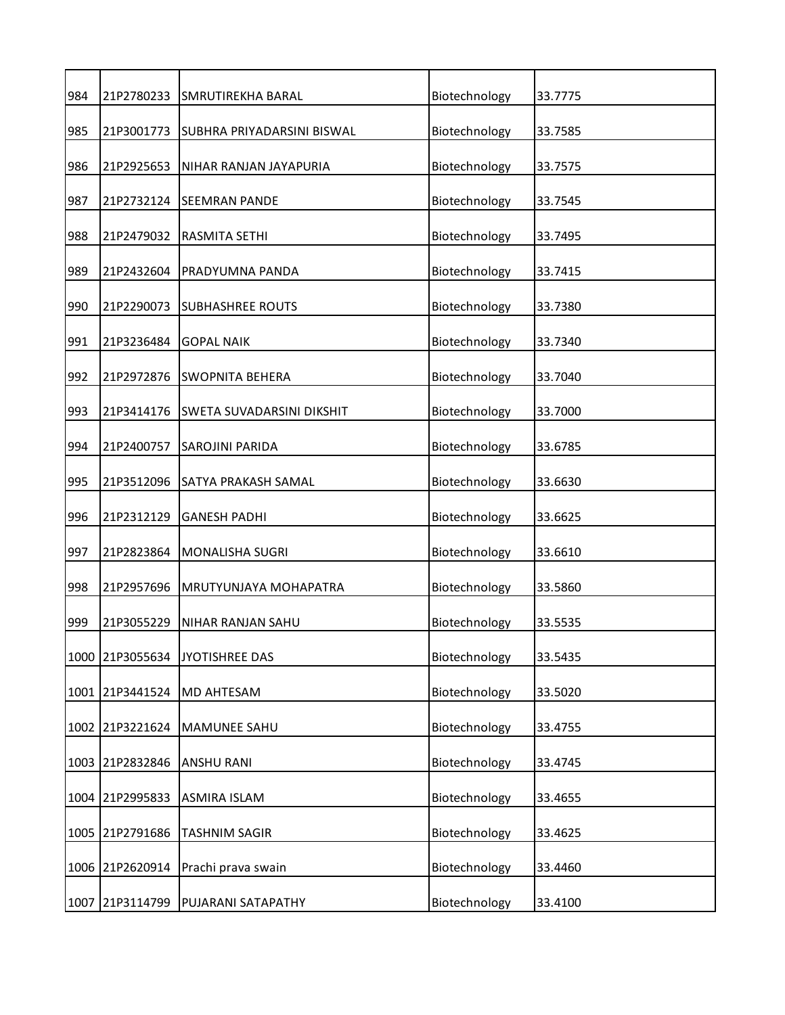| 984 | 21P2780233      | SMRUTIREKHA BARAL          | Biotechnology | 33.7775 |
|-----|-----------------|----------------------------|---------------|---------|
| 985 | 21P3001773      | SUBHRA PRIYADARSINI BISWAL | Biotechnology | 33.7585 |
| 986 | 21P2925653      | NIHAR RANJAN JAYAPURIA     | Biotechnology | 33.7575 |
| 987 | 21P2732124      | <b>SEEMRAN PANDE</b>       | Biotechnology | 33.7545 |
| 988 | 21P2479032      | RASMITA SETHI              | Biotechnology | 33.7495 |
| 989 | 21P2432604      | PRADYUMNA PANDA            | Biotechnology | 33.7415 |
| 990 | 21P2290073      | <b>SUBHASHREE ROUTS</b>    | Biotechnology | 33.7380 |
| 991 | 21P3236484      | <b>GOPAL NAIK</b>          | Biotechnology | 33.7340 |
| 992 | 21P2972876      | <b>SWOPNITA BEHERA</b>     | Biotechnology | 33.7040 |
| 993 | 21P3414176      | SWETA SUVADARSINI DIKSHIT  | Biotechnology | 33.7000 |
| 994 | 21P2400757      | SAROJINI PARIDA            | Biotechnology | 33.6785 |
| 995 | 21P3512096      | SATYA PRAKASH SAMAL        | Biotechnology | 33.6630 |
| 996 | 21P2312129      | <b>GANESH PADHI</b>        | Biotechnology | 33.6625 |
| 997 | 21P2823864      | <b>MONALISHA SUGRI</b>     | Biotechnology | 33.6610 |
| 998 | 21P2957696      | MRUTYUNJAYA MOHAPATRA      | Biotechnology | 33.5860 |
| 999 | 21P3055229      | NIHAR RANJAN SAHU          | Biotechnology | 33.5535 |
|     | 1000 21P3055634 | <b>JYOTISHREE DAS</b>      | Biotechnology | 33.5435 |
|     | 1001 21P3441524 | MD AHTESAM                 | Biotechnology | 33.5020 |
|     | 1002 21P3221624 | MAMUNEE SAHU               | Biotechnology | 33.4755 |
|     | 1003 21P2832846 | <b>ANSHU RANI</b>          | Biotechnology | 33.4745 |
|     | 1004 21P2995833 | <b>ASMIRA ISLAM</b>        | Biotechnology | 33.4655 |
|     | 1005 21P2791686 | <b>TASHNIM SAGIR</b>       | Biotechnology | 33.4625 |
|     | 1006 21P2620914 | Prachi prava swain         | Biotechnology | 33.4460 |
|     | 1007 21P3114799 | PUJARANI SATAPATHY         | Biotechnology | 33.4100 |
|     |                 |                            |               |         |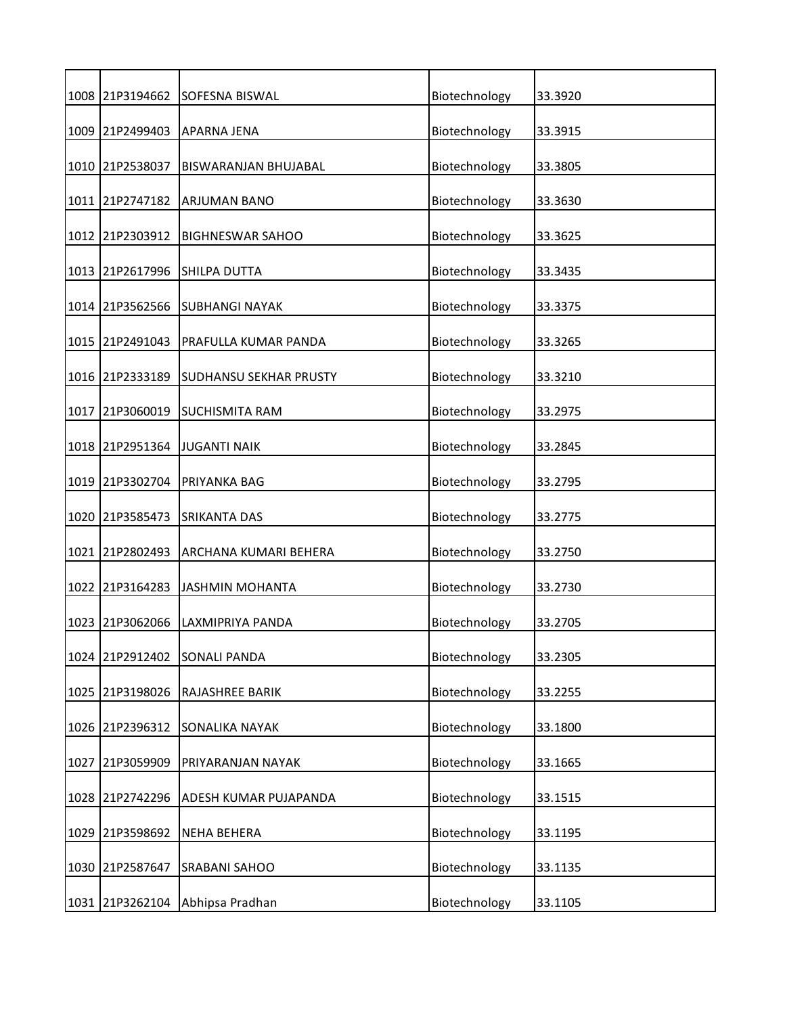| 1008 21P3194662 | SOFESNA BISWAL                | Biotechnology | 33.3920 |
|-----------------|-------------------------------|---------------|---------|
| 1009 21P2499403 | APARNA JENA                   | Biotechnology | 33.3915 |
| 1010 21P2538037 | BISWARANJAN BHUJABAL          | Biotechnology | 33.3805 |
| 1011 21P2747182 | <b>ARJUMAN BANO</b>           | Biotechnology | 33.3630 |
| 1012 21P2303912 | <b>BIGHNESWAR SAHOO</b>       | Biotechnology | 33.3625 |
| 1013 21P2617996 | <b>SHILPA DUTTA</b>           | Biotechnology | 33.3435 |
| 1014 21P3562566 | <b>SUBHANGI NAYAK</b>         | Biotechnology | 33.3375 |
| 1015 21P2491043 | PRAFULLA KUMAR PANDA          | Biotechnology | 33.3265 |
| 1016 21P2333189 | <b>SUDHANSU SEKHAR PRUSTY</b> | Biotechnology | 33.3210 |
| 1017 21P3060019 | <b>SUCHISMITA RAM</b>         | Biotechnology | 33.2975 |
| 1018 21P2951364 | <b>JUGANTI NAIK</b>           | Biotechnology | 33.2845 |
| 1019 21P3302704 | PRIYANKA BAG                  | Biotechnology | 33.2795 |
| 1020 21P3585473 | <b>SRIKANTA DAS</b>           | Biotechnology | 33.2775 |
| 1021 21P2802493 | ARCHANA KUMARI BEHERA         | Biotechnology | 33.2750 |
| 1022 21P3164283 | <b>JASHMIN MOHANTA</b>        | Biotechnology | 33.2730 |
| 1023 21P3062066 | LAXMIPRIYA PANDA              | Biotechnology | 33.2705 |
| 1024 21P2912402 | <b>SONALI PANDA</b>           | Biotechnology | 33.2305 |
| 1025 21P3198026 | RAJASHREE BARIK               | Biotechnology | 33.2255 |
| 1026 21P2396312 | SONALIKA NAYAK                | Biotechnology | 33.1800 |
| 1027 21P3059909 | PRIYARANJAN NAYAK             | Biotechnology | 33.1665 |
| 1028 21P2742296 | ADESH KUMAR PUJAPANDA         | Biotechnology | 33.1515 |
| 1029 21P3598692 | <b>NEHA BEHERA</b>            | Biotechnology | 33.1195 |
| 1030 21P2587647 | <b>SRABANI SAHOO</b>          | Biotechnology | 33.1135 |
| 1031 21P3262104 | Abhipsa Pradhan               | Biotechnology | 33.1105 |
|                 |                               |               |         |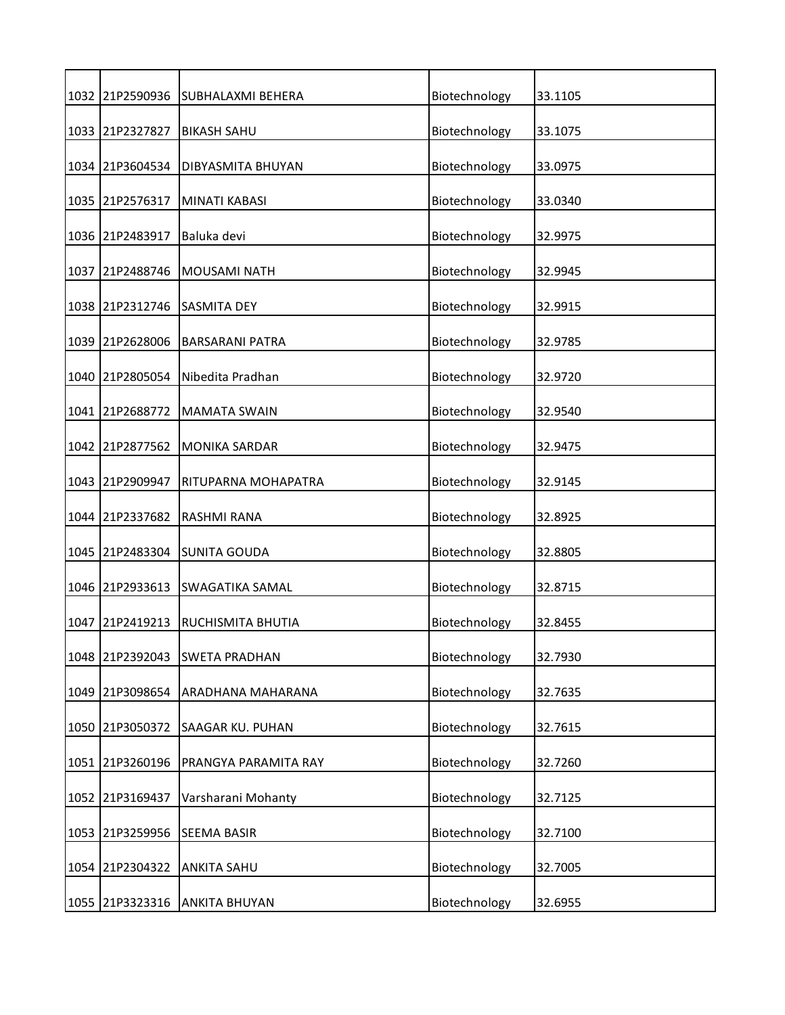| 1032 21P2590936 | <b>SUBHALAXMI BEHERA</b> | Biotechnology | 33.1105 |
|-----------------|--------------------------|---------------|---------|
| 1033 21P2327827 | <b>BIKASH SAHU</b>       | Biotechnology | 33.1075 |
| 1034 21P3604534 | DIBYASMITA BHUYAN        | Biotechnology | 33.0975 |
| 1035 21P2576317 | <b>MINATI KABASI</b>     | Biotechnology | 33.0340 |
| 1036 21P2483917 | Baluka devi              | Biotechnology | 32.9975 |
| 1037 21P2488746 | <b>MOUSAMI NATH</b>      | Biotechnology | 32.9945 |
| 1038 21P2312746 | <b>SASMITA DEY</b>       | Biotechnology | 32.9915 |
| 1039 21P2628006 | <b>BARSARANI PATRA</b>   | Biotechnology | 32.9785 |
| 1040 21P2805054 | Nibedita Pradhan         | Biotechnology | 32.9720 |
| 1041 21P2688772 | <b>MAMATA SWAIN</b>      | Biotechnology | 32.9540 |
| 1042 21P2877562 | <b>MONIKA SARDAR</b>     | Biotechnology | 32.9475 |
| 1043 21P2909947 | RITUPARNA MOHAPATRA      | Biotechnology | 32.9145 |
| 1044 21P2337682 | RASHMI RANA              | Biotechnology | 32.8925 |
| 1045 21P2483304 | <b>SUNITA GOUDA</b>      | Biotechnology | 32.8805 |
| 1046 21P2933613 | <b>SWAGATIKA SAMAL</b>   | Biotechnology | 32.8715 |
| 1047 21P2419213 | RUCHISMITA BHUTIA        | Biotechnology | 32.8455 |
| 1048 21P2392043 | <b>SWETA PRADHAN</b>     | Biotechnology | 32.7930 |
| 1049 21P3098654 | ARADHANA MAHARANA        | Biotechnology | 32.7635 |
| 1050 21P3050372 | SAAGAR KU. PUHAN         | Biotechnology | 32.7615 |
| 1051 21P3260196 | PRANGYA PARAMITA RAY     | Biotechnology | 32.7260 |
| 1052 21P3169437 | Varsharani Mohanty       | Biotechnology | 32.7125 |
| 1053 21P3259956 | <b>SEEMA BASIR</b>       | Biotechnology | 32.7100 |
| 1054 21P2304322 | <b>ANKITA SAHU</b>       | Biotechnology | 32.7005 |
| 1055 21P3323316 | <b>ANKITA BHUYAN</b>     | Biotechnology | 32.6955 |
|                 |                          |               |         |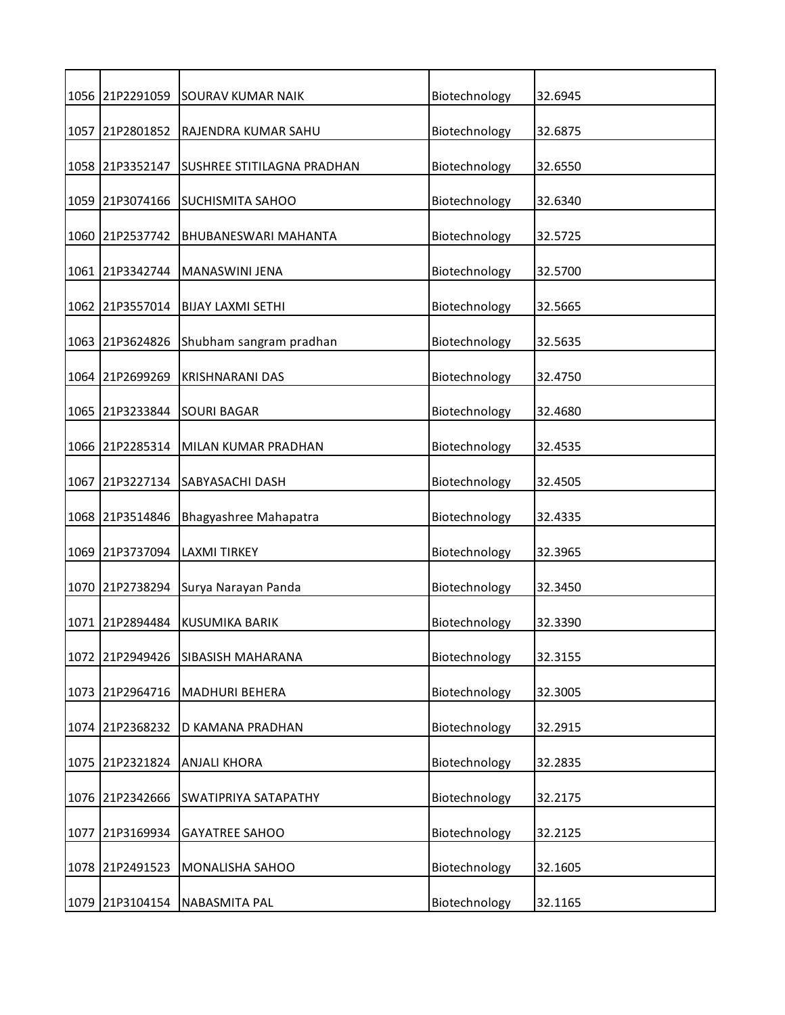|      | 1056 21P2291059 | SOURAV KUMAR NAIK          | Biotechnology | 32.6945 |
|------|-----------------|----------------------------|---------------|---------|
|      | 1057 21P2801852 | RAJENDRA KUMAR SAHU        | Biotechnology | 32.6875 |
|      | 1058 21P3352147 | SUSHREE STITILAGNA PRADHAN | Biotechnology | 32.6550 |
|      | 1059 21P3074166 | <b>SUCHISMITA SAHOO</b>    | Biotechnology | 32.6340 |
|      | 1060 21P2537742 | BHUBANESWARI MAHANTA       | Biotechnology | 32.5725 |
|      | 1061 21P3342744 | MANASWINI JENA             | Biotechnology | 32.5700 |
|      | 1062 21P3557014 | <b>BIJAY LAXMI SETHI</b>   | Biotechnology | 32.5665 |
|      | 1063 21P3624826 | Shubham sangram pradhan    | Biotechnology | 32.5635 |
|      | 1064 21P2699269 | <b>KRISHNARANI DAS</b>     | Biotechnology | 32.4750 |
|      | 1065 21P3233844 | <b>SOURI BAGAR</b>         | Biotechnology | 32.4680 |
|      | 1066 21P2285314 | MILAN KUMAR PRADHAN        | Biotechnology | 32.4535 |
| 1067 | 21P3227134      | <b>SABYASACHI DASH</b>     | Biotechnology | 32.4505 |
|      | 1068 21P3514846 | Bhagyashree Mahapatra      | Biotechnology | 32.4335 |
| 1069 | 21P3737094      | <b>LAXMI TIRKEY</b>        | Biotechnology | 32.3965 |
|      | 1070 21P2738294 | Surya Narayan Panda        | Biotechnology | 32.3450 |
|      | 1071 21P2894484 | <b>KUSUMIKA BARIK</b>      | Biotechnology | 32.3390 |
|      | 1072 21P2949426 | SIBASISH MAHARANA          | Biotechnology | 32.3155 |
|      | 1073 21P2964716 | <b>MADHURI BEHERA</b>      | Biotechnology | 32.3005 |
|      | 1074 21P2368232 | D KAMANA PRADHAN           | Biotechnology | 32.2915 |
|      | 1075 21P2321824 | <b>ANJALI KHORA</b>        | Biotechnology | 32.2835 |
|      | 1076 21P2342666 | SWATIPRIYA SATAPATHY       | Biotechnology | 32.2175 |
|      | 1077 21P3169934 | <b>GAYATREE SAHOO</b>      | Biotechnology | 32.2125 |
|      | 1078 21P2491523 | MONALISHA SAHOO            | Biotechnology | 32.1605 |
|      | 1079 21P3104154 | <b>NABASMITA PAL</b>       | Biotechnology | 32.1165 |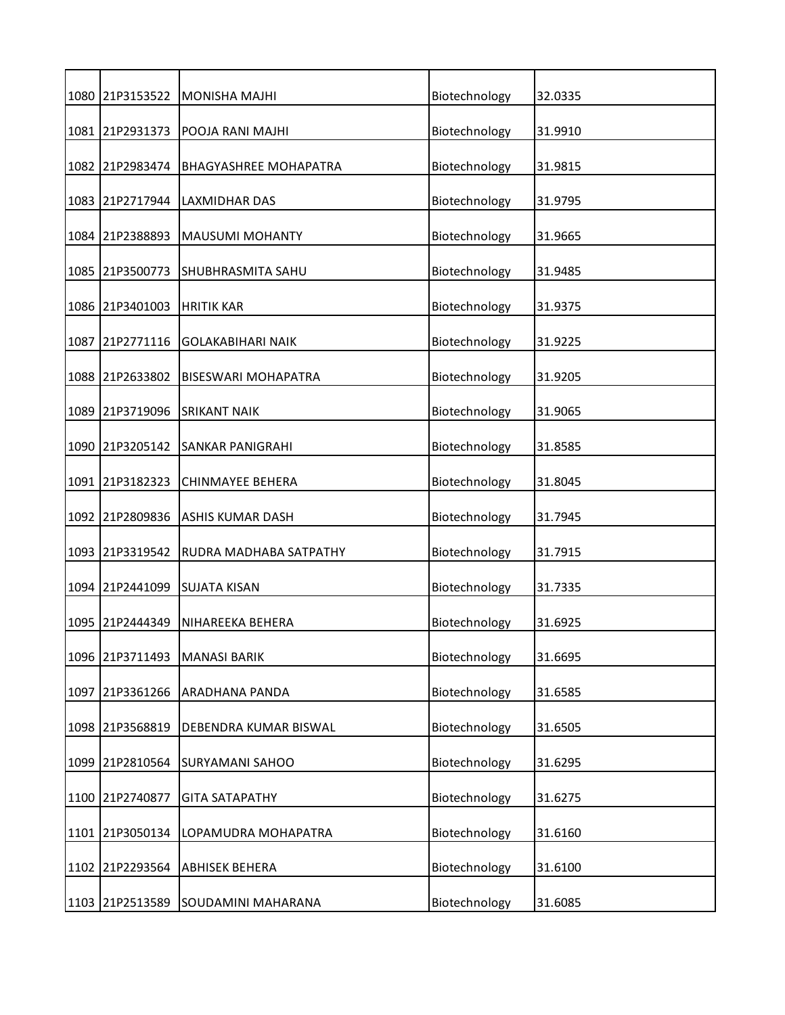|      | 1080 21P3153522 | <b>MONISHA MAJHI</b>         | Biotechnology | 32.0335 |
|------|-----------------|------------------------------|---------------|---------|
|      | 1081 21P2931373 | POOJA RANI MAJHI             | Biotechnology | 31.9910 |
|      | 1082 21P2983474 | <b>BHAGYASHREE MOHAPATRA</b> | Biotechnology | 31.9815 |
|      | 1083 21P2717944 | <b>LAXMIDHAR DAS</b>         | Biotechnology | 31.9795 |
|      | 1084 21P2388893 | <b>MAUSUMI MOHANTY</b>       | Biotechnology | 31.9665 |
|      | 1085 21P3500773 | <b>SHUBHRASMITA SAHU</b>     | Biotechnology | 31.9485 |
|      | 1086 21P3401003 | <b>HRITIK KAR</b>            | Biotechnology | 31.9375 |
|      | 1087 21P2771116 | <b>GOLAKABIHARI NAIK</b>     | Biotechnology | 31.9225 |
|      | 1088 21P2633802 | <b>BISESWARI MOHAPATRA</b>   | Biotechnology | 31.9205 |
|      | 1089 21P3719096 | <b>SRIKANT NAIK</b>          | Biotechnology | 31.9065 |
|      | 1090 21P3205142 | <b>SANKAR PANIGRAHI</b>      | Biotechnology | 31.8585 |
|      | 1091 21P3182323 | <b>CHINMAYEE BEHERA</b>      | Biotechnology | 31.8045 |
|      | 1092 21P2809836 | <b>ASHIS KUMAR DASH</b>      | Biotechnology | 31.7945 |
|      | 1093 21P3319542 | RUDRA MADHABA SATPATHY       | Biotechnology | 31.7915 |
|      | 1094 21P2441099 | <b>SUJATA KISAN</b>          | Biotechnology | 31.7335 |
|      | 1095 21P2444349 | NIHAREEKA BEHERA             | Biotechnology | 31.6925 |
|      | 1096 21P3711493 | <b>MANASI BARIK</b>          | Biotechnology | 31.6695 |
|      | 1097 21P3361266 | ARADHANA PANDA               | Biotechnology | 31.6585 |
| 1098 | 21P3568819      | DEBENDRA KUMAR BISWAL        | Biotechnology | 31.6505 |
|      | 1099 21P2810564 | <b>SURYAMANI SAHOO</b>       | Biotechnology | 31.6295 |
| 1100 | 21P2740877      | <b>GITA SATAPATHY</b>        | Biotechnology | 31.6275 |
|      | 1101 21P3050134 | LOPAMUDRA MOHAPATRA          | Biotechnology | 31.6160 |
|      | 1102 21P2293564 | <b>ABHISEK BEHERA</b>        | Biotechnology | 31.6100 |
|      | 1103 21P2513589 | SOUDAMINI MAHARANA           | Biotechnology | 31.6085 |
|      |                 |                              |               |         |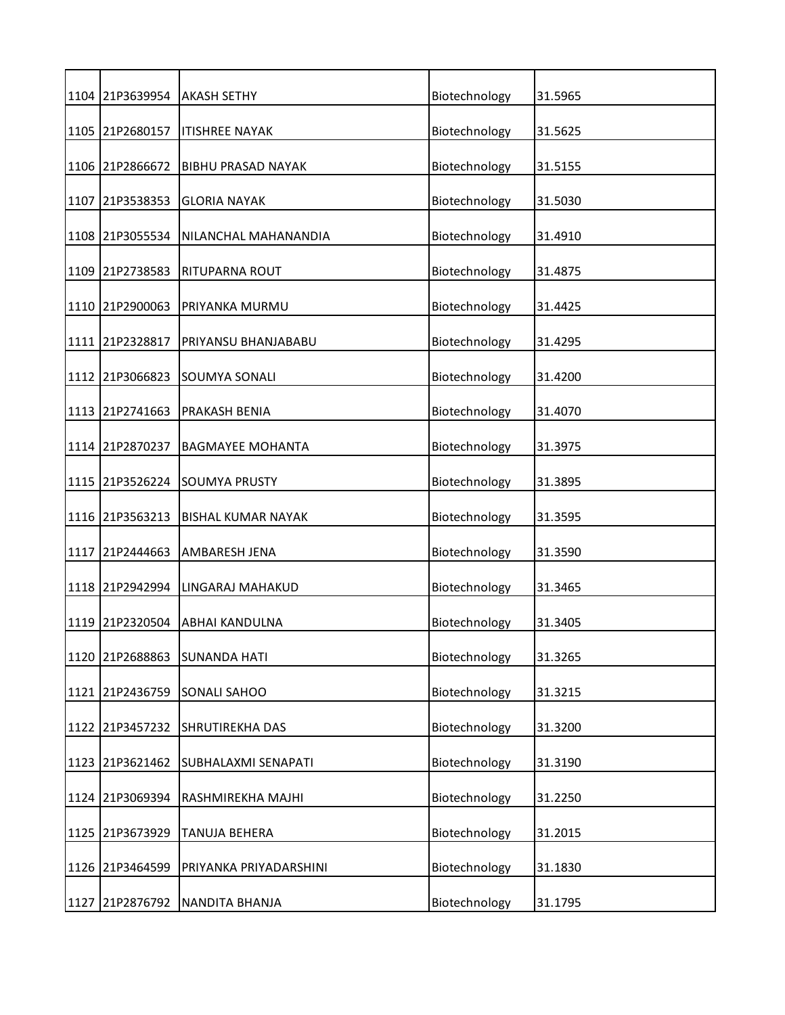|      | 1104 21P3639954 | <b>AKASH SETHY</b>        | Biotechnology | 31.5965 |
|------|-----------------|---------------------------|---------------|---------|
|      | 1105 21P2680157 | <b>ITISHREE NAYAK</b>     | Biotechnology | 31.5625 |
|      | 1106 21P2866672 | <b>BIBHU PRASAD NAYAK</b> | Biotechnology | 31.5155 |
|      | 1107 21P3538353 | <b>GLORIA NAYAK</b>       | Biotechnology | 31.5030 |
|      | 1108 21P3055534 | NILANCHAL MAHANANDIA      | Biotechnology | 31.4910 |
| 1109 | 21P2738583      | RITUPARNA ROUT            | Biotechnology | 31.4875 |
|      | 1110 21P2900063 | PRIYANKA MURMU            | Biotechnology | 31.4425 |
|      | 1111 21P2328817 | PRIYANSU BHANJABABU       | Biotechnology | 31.4295 |
|      | 1112 21P3066823 | SOUMYA SONALI             | Biotechnology | 31.4200 |
|      | 1113 21P2741663 | PRAKASH BENIA             | Biotechnology | 31.4070 |
|      | 1114 21P2870237 | <b>BAGMAYEE MOHANTA</b>   | Biotechnology | 31.3975 |
|      | 1115 21P3526224 | <b>SOUMYA PRUSTY</b>      | Biotechnology | 31.3895 |
|      | 1116 21P3563213 | <b>BISHAL KUMAR NAYAK</b> | Biotechnology | 31.3595 |
| 1117 | 21P2444663      | <b>AMBARESH JENA</b>      | Biotechnology | 31.3590 |
|      | 1118 21P2942994 | LINGARAJ MAHAKUD          | Biotechnology | 31.3465 |
|      | 1119 21P2320504 | <b>ABHAI KANDULNA</b>     | Biotechnology | 31.3405 |
| 1120 | 21P2688863      | <b>SUNANDA HATI</b>       | Biotechnology | 31.3265 |
| 1121 | 21P2436759      | <b>SONALI SAHOO</b>       | Biotechnology | 31.3215 |
|      | 1122 21P3457232 | SHRUTIREKHA DAS           | Biotechnology | 31.3200 |
|      | 1123 21P3621462 | SUBHALAXMI SENAPATI       | Biotechnology | 31.3190 |
| 1124 | 21P3069394      | RASHMIREKHA MAJHI         | Biotechnology | 31.2250 |
|      | 1125 21P3673929 | TANUJA BEHERA             | Biotechnology | 31.2015 |
| 1126 | 21P3464599      | PRIYANKA PRIYADARSHINI    | Biotechnology | 31.1830 |
|      | 1127 21P2876792 | NANDITA BHANJA            | Biotechnology | 31.1795 |
|      |                 |                           |               |         |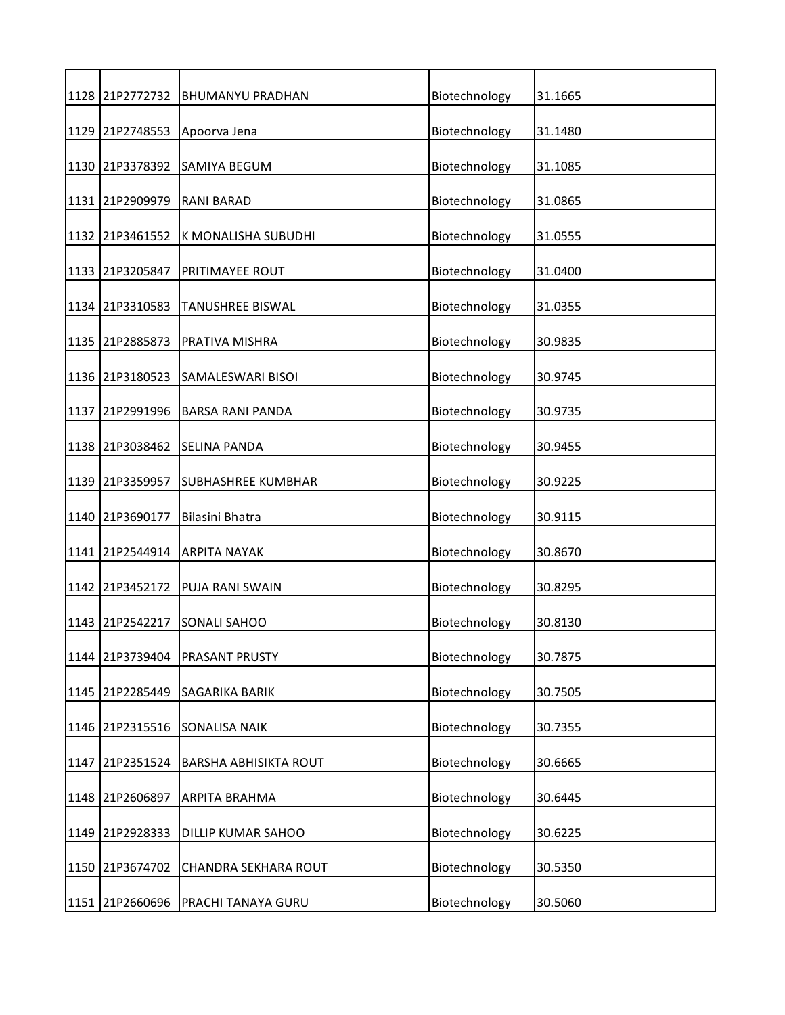| 1128 21P2772732 | <b>BHUMANYU PRADHAN</b>   | Biotechnology | 31.1665 |
|-----------------|---------------------------|---------------|---------|
| 1129 21P2748553 | Apoorva Jena              | Biotechnology | 31.1480 |
| 1130 21P3378392 | SAMIYA BEGUM              | Biotechnology | 31.1085 |
| 1131 21P2909979 | <b>RANI BARAD</b>         | Biotechnology | 31.0865 |
| 1132 21P3461552 | K MONALISHA SUBUDHI       | Biotechnology | 31.0555 |
| 1133 21P3205847 | PRITIMAYEE ROUT           | Biotechnology | 31.0400 |
| 1134 21P3310583 | <b>TANUSHREE BISWAL</b>   | Biotechnology | 31.0355 |
| 1135 21P2885873 | PRATIVA MISHRA            | Biotechnology | 30.9835 |
| 1136 21P3180523 | SAMALESWARI BISOI         | Biotechnology | 30.9745 |
| 1137 21P2991996 | <b>BARSA RANI PANDA</b>   | Biotechnology | 30.9735 |
| 1138 21P3038462 | SELINA PANDA              | Biotechnology | 30.9455 |
| 1139 21P3359957 | <b>SUBHASHREE KUMBHAR</b> | Biotechnology | 30.9225 |
| 1140 21P3690177 | Bilasini Bhatra           | Biotechnology | 30.9115 |
| 1141 21P2544914 | <b>ARPITA NAYAK</b>       | Biotechnology | 30.8670 |
| 1142 21P3452172 | PUJA RANI SWAIN           | Biotechnology | 30.8295 |
| 1143 21P2542217 | SONALI SAHOO              | Biotechnology | 30.8130 |
| 1144 21P3739404 | PRASANT PRUSTY            | Biotechnology | 30.7875 |
| 1145 21P2285449 | <b>SAGARIKA BARIK</b>     | Biotechnology | 30.7505 |
| 1146 21P2315516 | SONALISA NAIK             | Biotechnology | 30.7355 |
| 1147 21P2351524 | BARSHA ABHISIKTA ROUT     | Biotechnology | 30.6665 |
| 1148 21P2606897 | ARPITA BRAHMA             | Biotechnology | 30.6445 |
| 1149 21P2928333 | DILLIP KUMAR SAHOO        | Biotechnology | 30.6225 |
| 1150 21P3674702 | CHANDRA SEKHARA ROUT      | Biotechnology | 30.5350 |
| 1151 21P2660696 | PRACHI TANAYA GURU        | Biotechnology | 30.5060 |
|                 |                           |               |         |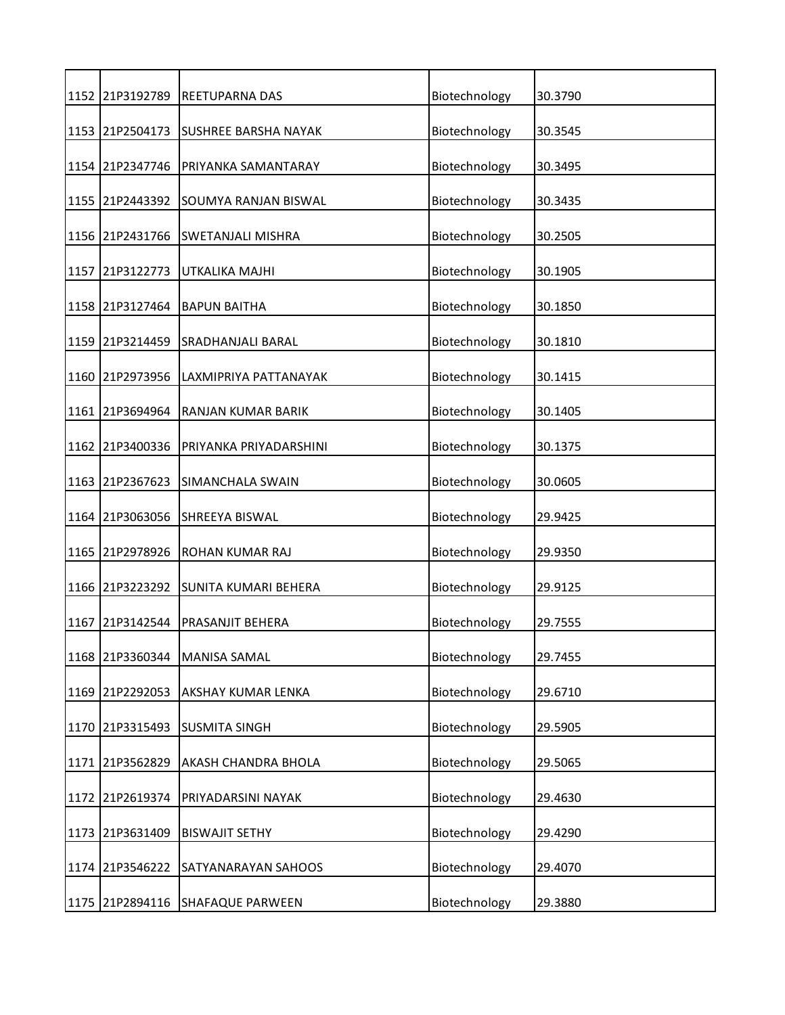| 1152 21P3192789 | <b>REETUPARNA DAS</b>     | Biotechnology | 30.3790 |
|-----------------|---------------------------|---------------|---------|
| 1153 21P2504173 | SUSHREE BARSHA NAYAK      | Biotechnology | 30.3545 |
| 1154 21P2347746 | PRIYANKA SAMANTARAY       | Biotechnology | 30.3495 |
| 1155 21P2443392 | SOUMYA RANJAN BISWAL      | Biotechnology | 30.3435 |
| 1156 21P2431766 | <b>SWETANJALI MISHRA</b>  | Biotechnology | 30.2505 |
| 1157 21P3122773 | UTKALIKA MAJHI            | Biotechnology | 30.1905 |
| 1158 21P3127464 | <b>BAPUN BAITHA</b>       | Biotechnology | 30.1850 |
| 1159 21P3214459 | <b>SRADHANJALI BARAL</b>  | Biotechnology | 30.1810 |
| 1160 21P2973956 | LAXMIPRIYA PATTANAYAK     | Biotechnology | 30.1415 |
| 1161 21P3694964 | <b>RANJAN KUMAR BARIK</b> | Biotechnology | 30.1405 |
| 1162 21P3400336 | PRIYANKA PRIYADARSHINI    | Biotechnology | 30.1375 |
| 1163 21P2367623 | SIMANCHALA SWAIN          | Biotechnology | 30.0605 |
| 1164 21P3063056 | SHREEYA BISWAL            | Biotechnology | 29.9425 |
| 1165 21P2978926 | ROHAN KUMAR RAJ           | Biotechnology | 29.9350 |
| 1166 21P3223292 | SUNITA KUMARI BEHERA      | Biotechnology | 29.9125 |
| 1167 21P3142544 | PRASANJIT BEHERA          | Biotechnology | 29.7555 |
| 1168 21P3360344 | MANISA SAMAL              | Biotechnology | 29.7455 |
| 1169 21P2292053 | AKSHAY KUMAR LENKA        | Biotechnology | 29.6710 |
| 1170 21P3315493 | <b>SUSMITA SINGH</b>      | Biotechnology | 29.5905 |
| 1171 21P3562829 | AKASH CHANDRA BHOLA       | Biotechnology | 29.5065 |
| 1172 21P2619374 | PRIYADARSINI NAYAK        | Biotechnology | 29.4630 |
| 1173 21P3631409 | <b>BISWAJIT SETHY</b>     | Biotechnology | 29.4290 |
| 1174 21P3546222 | SATYANARAYAN SAHOOS       | Biotechnology | 29.4070 |
| 1175 21P2894116 | <b>SHAFAQUE PARWEEN</b>   | Biotechnology | 29.3880 |
|                 |                           |               |         |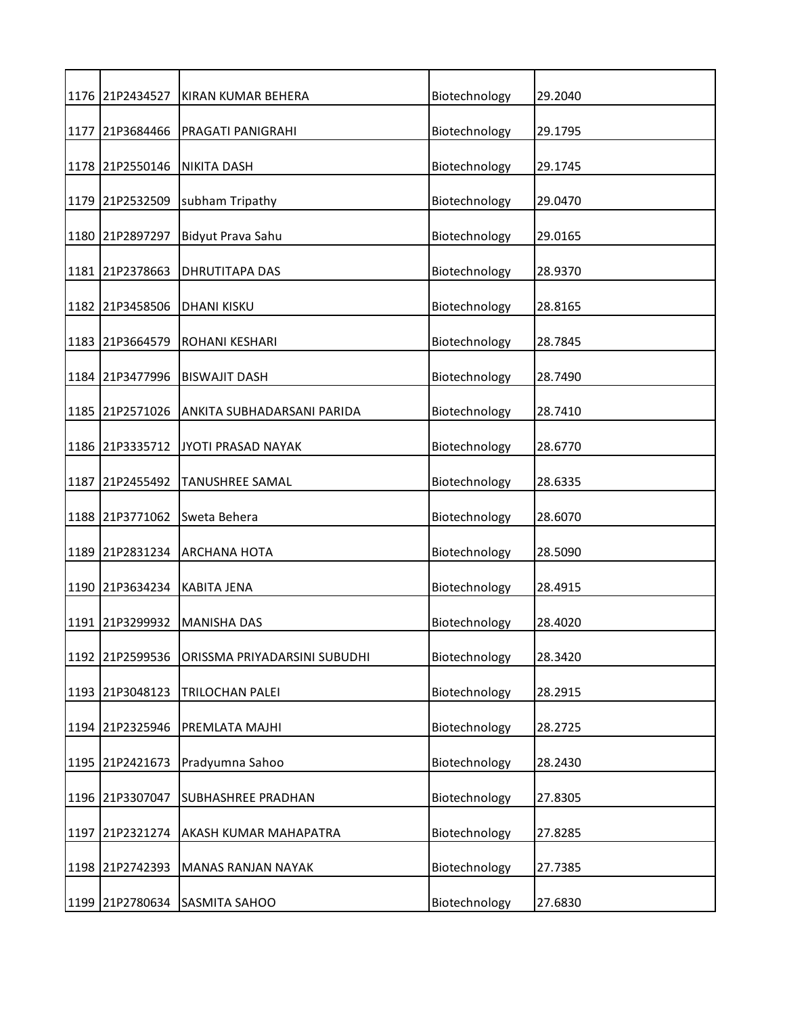| 1176 21P2434527 | KIRAN KUMAR BEHERA           | Biotechnology | 29.2040 |
|-----------------|------------------------------|---------------|---------|
| 1177 21P3684466 | PRAGATI PANIGRAHI            | Biotechnology | 29.1795 |
| 1178 21P2550146 | <b>NIKITA DASH</b>           | Biotechnology | 29.1745 |
| 1179 21P2532509 | subham Tripathy              | Biotechnology | 29.0470 |
| 1180 21P2897297 | Bidyut Prava Sahu            | Biotechnology | 29.0165 |
| 1181 21P2378663 | <b>DHRUTITAPA DAS</b>        | Biotechnology | 28.9370 |
| 1182 21P3458506 | <b>DHANI KISKU</b>           | Biotechnology | 28.8165 |
| 1183 21P3664579 | <b>ROHANI KESHARI</b>        | Biotechnology | 28.7845 |
| 1184 21P3477996 | <b>BISWAJIT DASH</b>         | Biotechnology | 28.7490 |
| 1185 21P2571026 | ANKITA SUBHADARSANI PARIDA   | Biotechnology | 28.7410 |
| 1186 21P3335712 | JYOTI PRASAD NAYAK           | Biotechnology | 28.6770 |
| 1187 21P2455492 | <b>TANUSHREE SAMAL</b>       | Biotechnology | 28.6335 |
| 1188 21P3771062 | Sweta Behera                 | Biotechnology | 28.6070 |
| 1189 21P2831234 | <b>ARCHANA HOTA</b>          | Biotechnology | 28.5090 |
| 1190 21P3634234 | <b>KABITA JENA</b>           | Biotechnology | 28.4915 |
| 1191 21P3299932 | <b>MANISHA DAS</b>           | Biotechnology | 28.4020 |
| 1192 21P2599536 | ORISSMA PRIYADARSINI SUBUDHI | Biotechnology | 28.3420 |
| 1193 21P3048123 | TRILOCHAN PALEI              | Biotechnology | 28.2915 |
| 1194 21P2325946 | PREMLATA MAJHI               | Biotechnology | 28.2725 |
| 1195 21P2421673 | Pradyumna Sahoo              | Biotechnology | 28.2430 |
| 1196 21P3307047 | <b>SUBHASHREE PRADHAN</b>    | Biotechnology | 27.8305 |
| 1197 21P2321274 | AKASH KUMAR MAHAPATRA        | Biotechnology | 27.8285 |
| 1198 21P2742393 | MANAS RANJAN NAYAK           | Biotechnology | 27.7385 |
| 1199 21P2780634 | SASMITA SAHOO                | Biotechnology | 27.6830 |
|                 |                              |               |         |